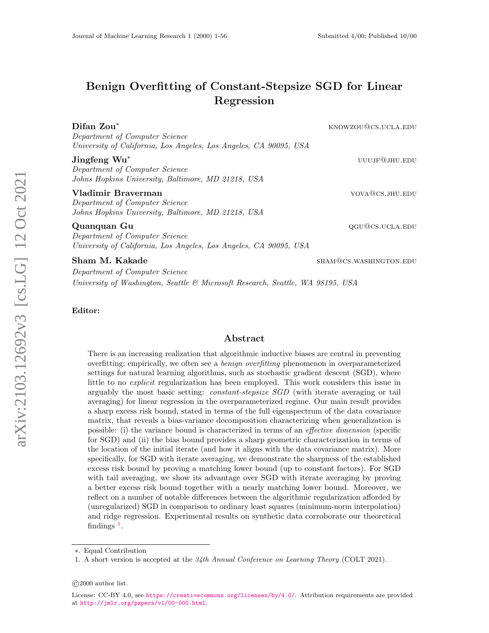# Benign Overfitting of Constant-Stepsize SGD for Linear Regression

Difan Zou<sup>∗</sup> knowzou@cs.ucla.edu

Department of Computer Science University of California, Los Angeles, Los Angeles, CA 90095, USA

#### $J$ ingfeng  $\text{Wu}^*$  uuujf@jhu.edu

Department of Computer Science Johns Hopkins University, Baltimore, MD 21218, USA

#### Vladimir Braverman von de la component vova and vova and vova and vova and vova and vova and vor entrance vor

Department of Computer Science

Department of Computer Science Johns Hopkins University, Baltimore, MD 21218, USA

University of California, Los Angeles, Los Angeles, CA 90095, USA

Quanquan Gu quantum Gundhi qgu@cs.ucla.edu

Sham M. Kakade shame sham@cs.washington.edu

Department of Computer Science University of Washington, Seattle & Microsoft Research, Seattle, WA 98195, USA

#### Editor:

## Abstract

There is an increasing realization that algorithmic inductive biases are central in preventing overfitting; empirically, we often see a benign overfitting phenomenon in overparameterized settings for natural learning algorithms, such as stochastic gradient descent (SGD), where little to no explicit regularization has been employed. This work considers this issue in arguably the most basic setting: *constant-stepsize SGD* (with iterate averaging or tail averaging) for linear regression in the overparameterized regime. Our main result provides a sharp excess risk bound, stated in terms of the full eigenspectrum of the data covariance matrix, that reveals a bias-variance decomposition characterizing when generalization is possible: (i) the variance bound is characterized in terms of an effective dimension (specific for SGD) and (ii) the bias bound provides a sharp geometric characterization in terms of the location of the initial iterate (and how it aligns with the data covariance matrix). More specifically, for SGD with iterate averaging, we demonstrate the sharpness of the established excess risk bound by proving a matching lower bound (up to constant factors). For SGD with tail averaging, we show its advantage over SGD with iterate averaging by proving a better excess risk bound together with a nearly matching lower bound. Moreover, we reflect on a number of notable differences between the algorithmic regularization afforded by (unregularized) SGD in comparison to ordinary least squares (minimum-norm interpolation) and ridge regression. Experimental results on synthetic data corroborate our theoretical findings  $<sup>1</sup>$  $<sup>1</sup>$  $<sup>1</sup>$ .</sup>

©2000 author list.

License: CC-BY 4.0, see <https://creativecommons.org/licenses/by/4.0/>. Attribution requirements are provided at <http://jmlr.org/papers/v1/00-000.html>.

<sup>∗</sup>. Equal Contribution

<span id="page-0-0"></span><sup>1.</sup> A short version is accepted at the 34th Annual Conference on Learning Theory (COLT 2021).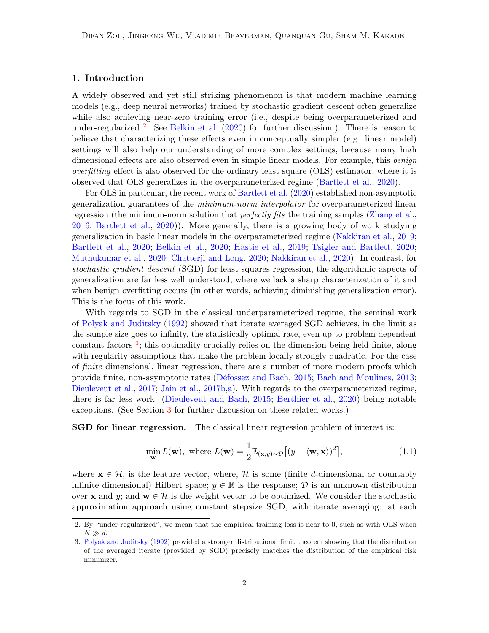## 1. Introduction

A widely observed and yet still striking phenomenon is that modern machine learning models (e.g., deep neural networks) trained by stochastic gradient descent often generalize while also achieving near-zero training error (i.e., despite being overparameterized and under-regularized <sup>[2](#page-1-0)</sup>. See [Belkin et al.](#page-17-0) [\(2020\)](#page-17-0) for further discussion.). There is reason to believe that characterizing these effects even in conceptually simpler (e.g. linear model) settings will also help our understanding of more complex settings, because many high dimensional effects are also observed even in simple linear models. For example, this *benign* overfitting effect is also observed for the ordinary least square (OLS) estimator, where it is observed that OLS generalizes in the overparameterized regime [\(Bartlett et al.,](#page-17-1) [2020\)](#page-17-1).

For OLS in particular, the recent work of [Bartlett et al.](#page-17-1) [\(2020\)](#page-17-1) established non-asymptotic generalization guarantees of the minimum-norm interpolator for overparameterized linear regression (the minimum-norm solution that *perfectly fits* the training samples [\(Zhang et al.,](#page-19-0) [2016;](#page-19-0) [Bartlett et al.,](#page-17-1) [2020\)](#page-17-1)). More generally, there is a growing body of work studying generalization in basic linear models in the overparameterized regime [\(Nakkiran et al.,](#page-18-0) [2019;](#page-18-0) [Bartlett et al.,](#page-17-1) [2020;](#page-17-1) [Belkin et al.,](#page-17-0) [2020;](#page-17-0) [Hastie et al.,](#page-18-1) [2019;](#page-18-1) [Tsigler and Bartlett,](#page-18-2) [2020;](#page-18-2) [Muthukumar et al.,](#page-18-3) [2020;](#page-18-3) [Chatterji and Long,](#page-17-2) [2020;](#page-17-2) [Nakkiran et al.,](#page-18-4) [2020\)](#page-18-4). In contrast, for stochastic gradient descent (SGD) for least squares regression, the algorithmic aspects of generalization are far less well understood, where we lack a sharp characterization of it and when benign overfitting occurs (in other words, achieving diminishing generalization error). This is the focus of this work.

With regards to SGD in the classical underparameterized regime, the seminal work of [Polyak and Juditsky](#page-18-5) [\(1992\)](#page-18-5) showed that iterate averaged SGD achieves, in the limit as the sample size goes to infinity, the statistically optimal rate, even up to problem dependent constant factors <sup>[3](#page-1-1)</sup>; this optimality crucially relies on the dimension being held finite, along with regularity assumptions that make the problem locally strongly quadratic. For the case of finite dimensional, linear regression, there are a number of more modern proofs which provide finite, non-asymptotic rates (Défossez and Bach, [2015;](#page-17-3) [Bach and Moulines,](#page-17-4) [2013;](#page-17-4) [Dieuleveut et al.,](#page-17-5) [2017;](#page-17-5) [Jain et al.,](#page-18-6) [2017b](#page-18-6)[,a\)](#page-18-7). With regards to the overparameterized regime, there is far less work [\(Dieuleveut and Bach,](#page-17-6) [2015;](#page-17-6) [Berthier et al.,](#page-17-7) [2020\)](#page-17-7) being notable exceptions. (See Section [3](#page-9-0) for further discussion on these related works.)

SGD for linear regression. The classical linear regression problem of interest is:

$$
\min_{\mathbf{w}} L(\mathbf{w}), \text{ where } L(\mathbf{w}) = \frac{1}{2} \mathbb{E}_{(\mathbf{x}, y) \sim \mathcal{D}} \left[ (y - \langle \mathbf{w}, \mathbf{x} \rangle)^2 \right], \tag{1.1}
$$

where  $\mathbf{x} \in \mathcal{H}$ , is the feature vector, where, H is some (finite d-dimensional or countably infinite dimensional) Hilbert space;  $y \in \mathbb{R}$  is the response;  $\mathcal{D}$  is an unknown distribution over x and y; and  $w \in \mathcal{H}$  is the weight vector to be optimized. We consider the stochastic approximation approach using constant stepsize SGD, with iterate averaging: at each

<span id="page-1-0"></span><sup>2.</sup> By "under-regularized", we mean that the empirical training loss is near to 0, such as with OLS when  $N \gg d$ .

<span id="page-1-1"></span><sup>3.</sup> [Polyak and Juditsky](#page-18-5) [\(1992\)](#page-18-5) provided a stronger distributional limit theorem showing that the distribution of the averaged iterate (provided by SGD) precisely matches the distribution of the empirical risk minimizer.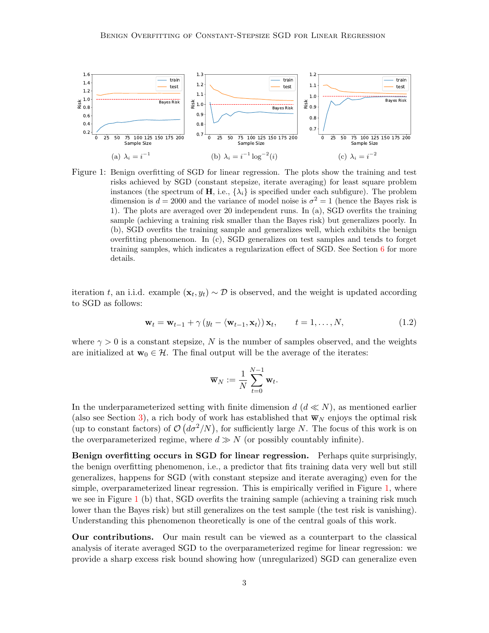

<span id="page-2-0"></span>Figure 1: Benign overfitting of SGD for linear regression. The plots show the training and test risks achieved by SGD (constant stepsize, iterate averaging) for least square problem instances (the spectrum of H, i.e.,  $\{\lambda_i\}$  is specified under each subfigure). The problem dimension is  $d = 2000$  and the variance of model noise is  $\sigma^2 = 1$  (hence the Bayes risk is 1). The plots are averaged over 20 independent runs. In (a), SGD overfits the training sample (achieving a training risk smaller than the Bayes risk) but generalizes poorly. In (b), SGD overfits the training sample and generalizes well, which exhibits the benign overfitting phenomenon. In (c), SGD generalizes on test samples and tends to forget training samples, which indicates a regularization effect of SGD. See Section [6](#page-15-0) for more details.

iteration t, an i.i.d. example  $(\mathbf{x}_t, y_t) \sim \mathcal{D}$  is observed, and the weight is updated according to SGD as follows:

<span id="page-2-1"></span>
$$
\mathbf{w}_{t} = \mathbf{w}_{t-1} + \gamma \left( y_t - \langle \mathbf{w}_{t-1}, \mathbf{x}_t \rangle \right) \mathbf{x}_t, \qquad t = 1, \dots, N, \tag{1.2}
$$

where  $\gamma > 0$  is a constant stepsize, N is the number of samples observed, and the weights are initialized at  $\mathbf{w}_0 \in \mathcal{H}$ . The final output will be the average of the iterates:

$$
\overline{\mathbf{w}}_N := \frac{1}{N} \sum_{t=0}^{N-1} \mathbf{w}_t.
$$

In the underparameterized setting with finite dimension  $d$  ( $d \ll N$ ), as mentioned earlier (also see Section [3\)](#page-9-0), a rich body of work has established that  $\overline{\mathbf{w}}_N$  enjoys the optimal risk (up to constant factors) of  $\mathcal{O}(d\sigma^2/N)$ , for sufficiently large N. The focus of this work is on the overparameterized regime, where  $d \gg N$  (or possibly countably infinite).

Benign overfitting occurs in SGD for linear regression. Perhaps quite surprisingly, the benign overfitting phenomenon, i.e., a predictor that fits training data very well but still generalizes, happens for SGD (with constant stepsize and iterate averaging) even for the simple, overparameterized linear regression. This is empirically verified in Figure [1,](#page-2-0) where we see in Figure [1](#page-2-0) (b) that, SGD overfits the training sample (achieving a training risk much lower than the Bayes risk) but still generalizes on the test sample (the test risk is vanishing). Understanding this phenomenon theoretically is one of the central goals of this work.

Our contributions. Our main result can be viewed as a counterpart to the classical analysis of iterate averaged SGD to the overparameterized regime for linear regression: we provide a sharp excess risk bound showing how (unregularized) SGD can generalize even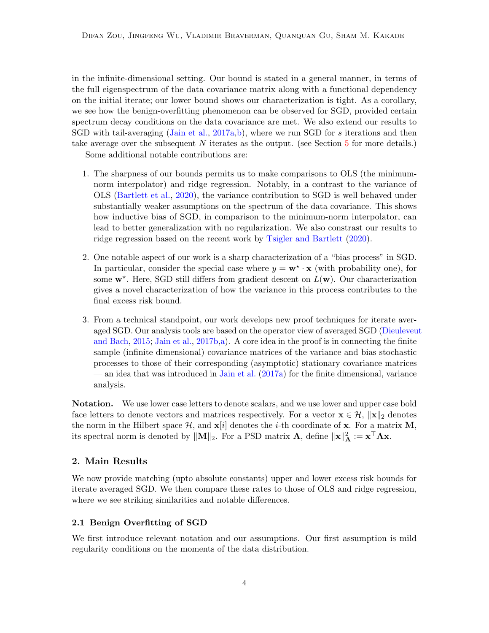in the infinite-dimensional setting. Our bound is stated in a general manner, in terms of the full eigenspectrum of the data covariance matrix along with a functional dependency on the initial iterate; our lower bound shows our characterization is tight. As a corollary, we see how the benign-overfitting phenomenon can be observed for SGD, provided certain spectrum decay conditions on the data covariance are met. We also extend our results to SGD with tail-averaging [\(Jain et al.,](#page-18-7)  $2017a,b$  $2017a,b$ ), where we run SGD for s iterations and then take average over the subsequent  $N$  iterates as the output. (see Section  $5$  for more details.)

Some additional notable contributions are:

- 1. The sharpness of our bounds permits us to make comparisons to OLS (the minimumnorm interpolator) and ridge regression. Notably, in a contrast to the variance of OLS [\(Bartlett et al.,](#page-17-1) [2020\)](#page-17-1), the variance contribution to SGD is well behaved under substantially weaker assumptions on the spectrum of the data covariance. This shows how inductive bias of SGD, in comparison to the minimum-norm interpolator, can lead to better generalization with no regularization. We also constrast our results to ridge regression based on the recent work by [Tsigler and Bartlett](#page-18-2) [\(2020\)](#page-18-2).
- 2. One notable aspect of our work is a sharp characterization of a "bias process" in SGD. In particular, consider the special case where  $y = \mathbf{w}^* \cdot \mathbf{x}$  (with probability one), for some  $\mathbf{w}^*$ . Here, SGD still differs from gradient descent on  $L(\mathbf{w})$ . Our characterization gives a novel characterization of how the variance in this process contributes to the final excess risk bound.
- 3. From a technical standpoint, our work develops new proof techniques for iterate averaged SGD. Our analysis tools are based on the operator view of averaged SGD [\(Dieuleveu](#page-17-6)t [and Bach,](#page-17-6) [2015;](#page-17-6) [Jain et al.,](#page-18-6) [2017b](#page-18-6)[,a\)](#page-18-7). A core idea in the proof is in connecting the finite sample (infinite dimensional) covariance matrices of the variance and bias stochastic processes to those of their corresponding (asymptotic) stationary covariance matrices — an idea that was introduced in [Jain et al.](#page-18-7)  $(2017a)$  for the finite dimensional, variance analysis.

Notation. We use lower case letters to denote scalars, and we use lower and upper case bold face letters to denote vectors and matrices respectively. For a vector  $\mathbf{x} \in \mathcal{H}$ ,  $\|\mathbf{x}\|_2$  denotes the norm in the Hilbert space  $\mathcal{H}$ , and  $\mathbf{x}[i]$  denotes the *i*-th coordinate of **x**. For a matrix **M**, its spectral norm is denoted by  $\|\mathbf{M}\|_2$ . For a PSD matrix **A**, define  $\|\mathbf{x}\|_A^2 := \mathbf{x}^\top \mathbf{A} \mathbf{x}$ .

## <span id="page-3-1"></span>2. Main Results

We now provide matching (upto absolute constants) upper and lower excess risk bounds for iterate averaged SGD. We then compare these rates to those of OLS and ridge regression, where we see striking similarities and notable differences.

#### 2.1 Benign Overfitting of SGD

<span id="page-3-0"></span>We first introduce relevant notation and our assumptions. Our first assumption is mild regularity conditions on the moments of the data distribution.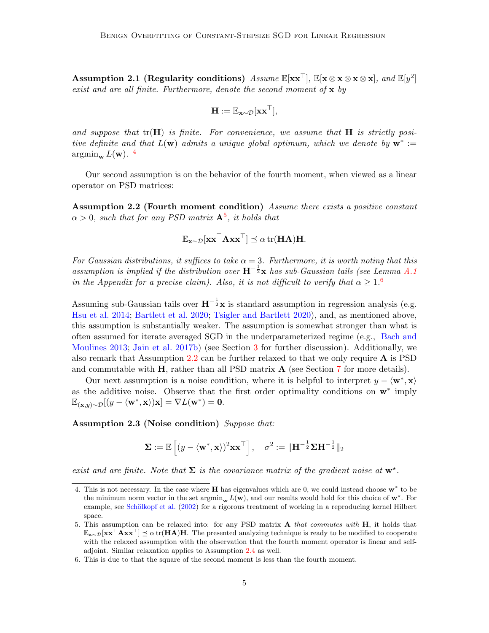Assumption 2.1 (Regularity conditions)  $Assume \ \mathbb{E}[\mathbf{x} \mathbf{x}^{\top}], \ \mathbb{E}[\mathbf{x} \otimes \mathbf{x} \otimes \mathbf{x}]$ , and  $\mathbb{E}[y^2]$ exist and are all finite. Furthermore, denote the second moment of  $\mathbf x$  by

$$
\mathbf{H} := \mathbb{E}_{\mathbf{x} \sim \mathcal{D}}[\mathbf{x} \mathbf{x}^\top],
$$

and suppose that  $tr(\mathbf{H})$  is finite. For convenience, we assume that  $\mathbf{H}$  is strictly positive definite and that  $L(\mathbf{w})$  admits a unique global optimum, which we denote by  $\mathbf{w}^* :=$  $\operatorname{argmin}_{\mathbf{w}} L(\mathbf{w}).$ <sup>[4](#page-4-0)</sup>

Our second assumption is on the behavior of the fourth moment, when viewed as a linear operator on PSD matrices:

Assumption 2.2 (Fourth moment condition) Assume there exists a positive constant  $\alpha > 0$ , such that for any PSD matrix  $A^5$  $A^5$ , it holds that

<span id="page-4-3"></span>
$$
\mathbb{E}_{\mathbf{x}\sim\mathcal{D}}[\mathbf{x}\mathbf{x}^{\top}\mathbf{A}\mathbf{x}\mathbf{x}^{\top}] \preceq \alpha \operatorname{tr}(\mathbf{H}\mathbf{A})\mathbf{H}.
$$

For Gaussian distributions, it suffices to take  $\alpha = 3$ . Furthermore, it is worth noting that this assumption is implied if the distribution over  $H^{-\frac{1}{2}}x$  has sub-Gaussian tails (see Lemma [A.1](#page-19-1) in the Appendix for a precise claim). Also, it is not difficult to verify that  $\alpha \geq 1.6$  $\alpha \geq 1.6$ 

Assuming sub-Gaussian tails over  $H^{-\frac{1}{2}}x$  is standard assumption in regression analysis (e.g. [Hsu et al.](#page-18-8) [2014;](#page-18-8) [Bartlett et al.](#page-17-1) [2020;](#page-17-1) [Tsigler and Bartlett](#page-18-2) [2020\)](#page-18-2), and, as mentioned above, this assumption is substantially weaker. The assumption is somewhat stronger than what is often assumed for iterate averaged SGD in the underparameterized regime (e.g., [Bach and](#page-17-4) [Moulines](#page-17-4) [2013;](#page-17-4) [Jain et al.](#page-18-6) [2017b\)](#page-18-6) (see Section [3](#page-9-0) for further discussion). Additionally, we also remark that Assumption [2.2](#page-4-3) can be further relaxed to that we only require A is PSD and commutable with  $H$ , rather than all PSD matrix  $A$  (see Section [7](#page-16-0) for more details).

Our next assumption is a noise condition, where it is helpful to interpret  $y - \langle w^*, x \rangle$ as the additive noise. Observe that the first order optimality conditions on  $w^*$  imply  $\mathbb{E}_{(\mathbf{x},y)\sim\mathcal{D}}[(y-\langle \mathbf{w}^*,\mathbf{x}\rangle)\mathbf{x}] = \nabla L(\mathbf{w}^*) = \mathbf{0}.$ 

Assumption 2.3 (Noise condition) Suppose that:

<span id="page-4-4"></span>
$$
\pmb{\Sigma} := \mathbb{E}\left[(y - \langle \mathbf{w}^*, \mathbf{x} \rangle)^2 \mathbf{x} \mathbf{x}^\top\right], \quad \sigma^2 := \|\mathbf{H}^{-\frac{1}{2}}\pmb{\Sigma}\mathbf{H}^{-\frac{1}{2}}\|_2
$$

exist and are finite. Note that  $\Sigma$  is the covariance matrix of the gradient noise at  $w^*$ .

<span id="page-4-0"></span><sup>4.</sup> This is not necessary. In the case where  $H$  has eigenvalues which are 0, we could instead choose  $w^*$  to be the minimum norm vector in the set  $\operatorname{argmin}_{\mathbf{w}} L(\mathbf{w})$ , and our results would hold for this choice of  $\mathbf{w}^*$ . For example, see Schölkopf et al. [\(2002\)](#page-18-9) for a rigorous treatment of working in a reproducing kernel Hilbert space.

<span id="page-4-1"></span><sup>5.</sup> This assumption can be relaxed into: for any PSD matrix A that commutes with H, it holds that  $\mathbb{E}_{\mathbf{x} \sim \mathcal{D}}[\mathbf{x} \mathbf{x}^{\top} \mathbf{A} \mathbf{x}^{\top}] \preceq \alpha \text{ tr}(\mathbf{HA})\mathbf{H}$ . The presented analyzing technique is ready to be modified to cooperate with the relaxed assumption with the observation that the fourth moment operator is linear and selfadjoint. Similar relaxation applies to Assumption [2.4](#page-6-0) as well.

<span id="page-4-2"></span><sup>6.</sup> This is due to that the square of the second moment is less than the fourth moment.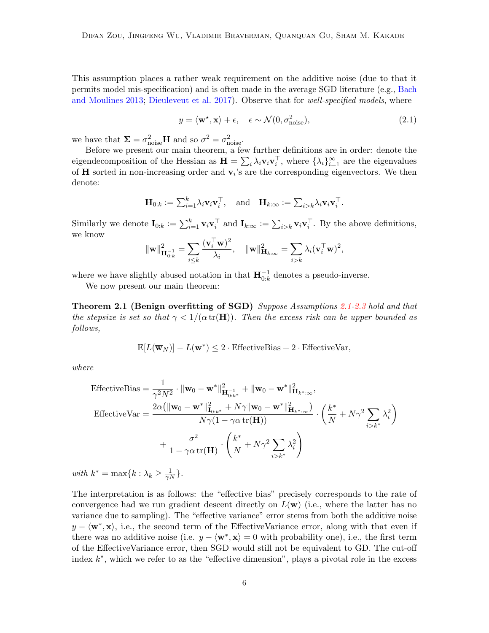This assumption places a rather weak requirement on the additive noise (due to that it permits model mis-specification) and is often made in the average SGD literature (e.g., [Bach](#page-17-4) [and Moulines](#page-17-4) [2013;](#page-17-4) [Dieuleveut et al.](#page-17-5) [2017\)](#page-17-5). Observe that for *well-specified models*, where

<span id="page-5-0"></span>
$$
y = \langle \mathbf{w}^*, \mathbf{x} \rangle + \epsilon, \quad \epsilon \sim \mathcal{N}(0, \sigma_{\text{noise}}^2), \tag{2.1}
$$

we have that  $\Sigma = \sigma_{noise}^2 \mathbf{H}$  and so  $\sigma^2 = \sigma_{noise}^2$ .

Before we present our main theorem, a few further definitions are in order: denote the eigendecomposition of the Hessian as  $\mathbf{H} = \sum_i \lambda_i \mathbf{v}_i \mathbf{v}_i^{\top}$ , where  $\{\lambda_i\}_{i=1}^{\infty}$  are the eigenvalues of **H** sorted in non-increasing order and  $\mathbf{v}_i$ 's are the corresponding eigenvectors. We then denote:

$$
\mathbf{H}_{0:k} := \sum_{i=1}^k \lambda_i \mathbf{v}_i \mathbf{v}_i^\top, \quad \text{and} \quad \mathbf{H}_{k:\infty} := \sum_{i>k} \lambda_i \mathbf{v}_i \mathbf{v}_i^\top.
$$

Similarly we denote  $\mathbf{I}_{0:k} := \sum_{i=1}^k \mathbf{v}_i \mathbf{v}_i^\top$  and  $\mathbf{I}_{k:\infty} := \sum_{i>k} \mathbf{v}_i \mathbf{v}_i^\top$ . By the above definitions, we know

$$
\|\mathbf{w}\|_{\mathbf{H}_{0:k}^{-1}}^2 = \sum_{i\leq k} \frac{(\mathbf{v}_i^{\top}\mathbf{w})^2}{\lambda_i}, \quad \|\mathbf{w}\|_{\mathbf{H}_{k:\infty}}^2 = \sum_{i>k} \lambda_i (\mathbf{v}_i^{\top}\mathbf{w})^2,
$$

where we have slightly abused notation in that  $\mathbf{H}_{0:k}^{-1}$  denotes a pseudo-inverse.

We now present our main theorem:

<span id="page-5-1"></span>Theorem 2.1 (Benign overfitting of SGD) Suppose Assumptions [2.1-](#page-3-0)[2.3](#page-4-4) hold and that the stepsize is set so that  $\gamma < 1/(\alpha \operatorname{tr}(\mathbf{H}))$ . Then the excess risk can be upper bounded as follows,

$$
\mathbb{E}[L(\overline{\mathbf{w}}_N)] - L(\mathbf{w}^*) \le 2 \cdot \text{EffectiveBias} + 2 \cdot \text{EffectiveVar},
$$

where

$$
\begin{split} \text{EffectiveBias} &= \frac{1}{\gamma^2 N^2} \cdot \|\mathbf{w}_0 - \mathbf{w}^*\|_{\mathbf{H}_{0:k^*}}^2 + \|\mathbf{w}_0 - \mathbf{w}^*\|_{\mathbf{H}_{k^*:\infty}}^2, \\ \text{EffectiveVar} &= \frac{2\alpha (\|\mathbf{w}_0 - \mathbf{w}^*\|_{\mathbf{I}_{0:k^*}}^2 + N\gamma \|\mathbf{w}_0 - \mathbf{w}^*\|_{\mathbf{H}_{k^*:\infty}}^2)}{N\gamma (1 - \gamma \alpha \operatorname{tr}(\mathbf{H}))} \cdot \left(\frac{k^*}{N} + N\gamma^2 \sum_{i > k^*} \lambda_i^2\right) \\ &+ \frac{\sigma^2}{1 - \gamma \alpha \operatorname{tr}(\mathbf{H})} \cdot \left(\frac{k^*}{N} + N\gamma^2 \sum_{i > k^*} \lambda_i^2\right) \end{split}
$$

with  $k^* = \max\{k : \lambda_k \geq \frac{1}{\gamma N}\}.$ 

The interpretation is as follows: the "effective bias" precisely corresponds to the rate of convergence had we run gradient descent directly on  $L(\mathbf{w})$  (i.e., where the latter has no variance due to sampling). The "effective variance" error stems from both the additive noise  $y - \langle \mathbf{w}^*, \mathbf{x} \rangle$ , i.e., the second term of the EffectiveVariance error, along with that even if there was no additive noise (i.e.  $y - \langle \mathbf{w}^*, \mathbf{x} \rangle = 0$  with probability one), i.e., the first term of the EffectiveVariance error, then SGD would still not be equivalent to GD. The cut-off index  $k^*$ , which we refer to as the "effective dimension", plays a pivotal role in the excess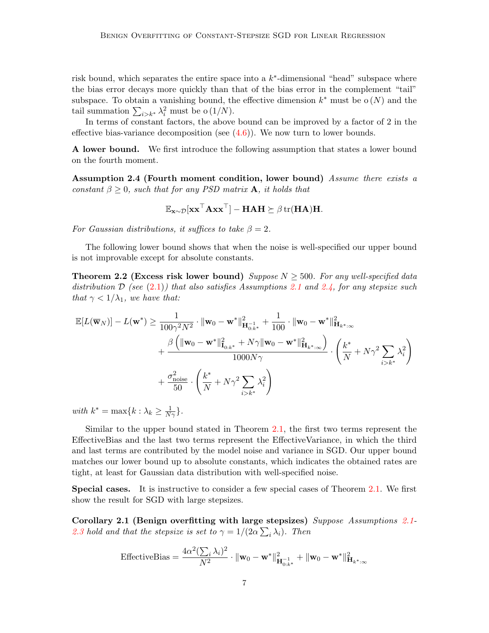risk bound, which separates the entire space into a  $k^*$ -dimensional "head" subspace where the bias error decays more quickly than that of the bias error in the complement "tail" subspace. To obtain a vanishing bound, the effective dimension  $k^*$  must be  $o(N)$  and the tail summation  $\sum_{i>k^*}\lambda_i^2$  must be o(1/N).

In terms of constant factors, the above bound can be improved by a factor of 2 in the effective bias-variance decomposition (see  $(4.6)$ ). We now turn to lower bounds.

A lower bound. We first introduce the following assumption that states a lower bound on the fourth moment.

Assumption 2.4 (Fourth moment condition, lower bound) Assume there exists a constant  $\beta \geq 0$ , such that for any PSD matrix **A**, it holds that

<span id="page-6-1"></span><span id="page-6-0"></span>
$$
\mathbb{E}_{\mathbf{x} \sim \mathcal{D}}[\mathbf{x} \mathbf{x}^{\top} \mathbf{A} \mathbf{x} \mathbf{x}^{\top}] - \mathbf{H} \mathbf{A} \mathbf{H} \succeq \beta \operatorname{tr}(\mathbf{H} \mathbf{A}) \mathbf{H}.
$$

For Gaussian distributions, it suffices to take  $\beta = 2$ .

The following lower bound shows that when the noise is well-specified our upper bound is not improvable except for absolute constants.

**Theorem 2.2 (Excess risk lower bound)** Suppose  $N \geq 500$ . For any well-specified data distribution  $\mathcal{D}$  (see [\(2.1\)](#page-5-0)) that also satisfies Assumptions [2.1](#page-3-0) and [2.4,](#page-6-0) for any stepsize such that  $\gamma < 1/\lambda_1$ , we have that:

$$
\mathbb{E}[L(\overline{\mathbf{w}}_N)] - L(\mathbf{w}^*) \ge \frac{1}{100\gamma^2 N^2} \cdot \|\mathbf{w}_0 - \mathbf{w}^*\|_{\mathbf{H}_{0:k^*}^{-1}}^2 + \frac{1}{100} \cdot \|\mathbf{w}_0 - \mathbf{w}^*\|_{\mathbf{H}_{k^*:\infty}}^2 + \frac{\beta \left(\|\mathbf{w}_0 - \mathbf{w}^*\|_{\mathbf{H}_{0:k^*}}^2 + N\gamma \|\mathbf{w}_0 - \mathbf{w}^*\|_{\mathbf{H}_{k^*:\infty}}^2\right)}{1000N\gamma} \cdot \left(\frac{k^*}{N} + N\gamma^2 \sum_{i > k^*} \lambda_i^2\right) + \frac{\sigma_{\text{noise}}^2}{50} \cdot \left(\frac{k^*}{N} + N\gamma^2 \sum_{i > k^*} \lambda_i^2\right)
$$

with  $k^* = \max\{k : \lambda_k \geq \frac{1}{N\gamma}\}.$ 

Similar to the upper bound stated in Theorem [2.1,](#page-5-1) the first two terms represent the EffectiveBias and the last two terms represent the EffectiveVariance, in which the third and last terms are contributed by the model noise and variance in SGD. Our upper bound matches our lower bound up to absolute constants, which indicates the obtained rates are tight, at least for Gaussian data distribution with well-specified noise.

Special cases. It is instructive to consider a few special cases of Theorem [2.1.](#page-5-1) We first show the result for SGD with large stepsizes.

<span id="page-6-2"></span>Corollary 2.1 (Benign overfitting with large stepsizes) Suppose Assumptions [2.1-](#page-3-0) [2.3](#page-4-4) hold and that the stepsize is set to  $\gamma = 1/(2\alpha \sum_i \lambda_i)$ . Then

$$
\text{EffectiveBias} = \frac{4\alpha^2 (\sum_i \lambda_i)^2}{N^2} \cdot \|\mathbf{w}_0 - \mathbf{w}^*\|_{\mathbf{H}_{0:k^*}}^2 + \|\mathbf{w}_0 - \mathbf{w}^*\|_{\mathbf{H}_{k^*:\infty}}^2
$$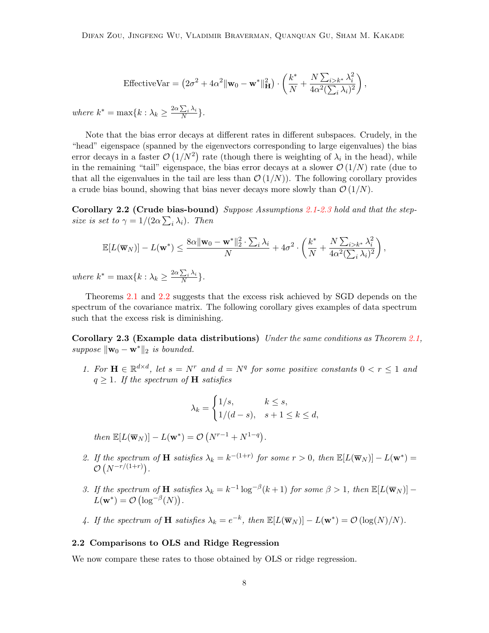$$
\begin{aligned} \text{EffectiveVar} &= \left(2\sigma^2 + 4\alpha^2 \|\mathbf{w}_0 - \mathbf{w}^*\|_{\mathbf{H}}^2\right) \cdot \left(\frac{k^*}{N} + \frac{N \sum_{i > k^*} \lambda_i^2}{4\alpha^2 (\sum_i \lambda_i)^2}\right), \\ \text{max}\{k : \lambda_i > \frac{2\alpha \sum_i \lambda_i}{N} \end{aligned}
$$

where  $k^* = \max\{k : \lambda_k \geq \frac{2\alpha \sum_i \lambda_i}{N}$  $\frac{\sum_i \lambda_i}{N}$ .

Note that the bias error decays at different rates in different subspaces. Crudely, in the "head" eigenspace (spanned by the eigenvectors corresponding to large eigenvalues) the bias error decays in a faster  $\mathcal{O}(1/N^2)$  rate (though there is weighting of  $\lambda_i$  in the head), while in the remaining "tail" eigenspace, the bias error decays at a slower  $\mathcal{O}(1/N)$  rate (due to that all the eigenvalues in the tail are less than  $\mathcal{O}(1/N)$ . The following corollary provides a crude bias bound, showing that bias never decays more slowly than  $\mathcal{O}(1/N)$ .

Corollary 2.2 (Crude bias-bound) Suppose Assumptions [2.1-](#page-3-0)[2.3](#page-4-4) hold and that the stepsize is set to  $\gamma = 1/(2\alpha \sum_i \lambda_i)$ . Then

<span id="page-7-1"></span>
$$
\mathbb{E}[L(\overline{\mathbf{w}}_N)] - L(\mathbf{w}^*) \le \frac{8\alpha \|\mathbf{w}_0 - \mathbf{w}^*\|_2^2 \cdot \sum_i \lambda_i}{N} + 4\sigma^2 \cdot \left(\frac{k^*}{N} + \frac{N\sum_{i>k^*}\lambda_i^2}{4\alpha^2(\sum_i \lambda_i)^2}\right),
$$

where  $k^* = \max\{k : \lambda_k \geq \frac{2\alpha \sum_i \lambda_i}{N}$  $\frac{\sum_i \lambda_i}{N}$ .

Theorems [2.1](#page-5-1) and [2.2](#page-6-1) suggests that the excess risk achieved by SGD depends on the spectrum of the covariance matrix. The following corollary gives examples of data spectrum such that the excess risk is diminishing.

Corollary 2.3 (Example data distributions) Under the same conditions as Theorem [2.1,](#page-5-1) suppose  $\|\mathbf{w}_0 - \mathbf{w}^*\|_2$  is bounded.

1. For  $\mathbf{H} \in \mathbb{R}^{d \times d}$ , let  $s = N^r$  and  $d = N^q$  for some positive constants  $0 < r \leq 1$  and  $q \geq 1$ . If the spectrum of **H** satisfies

<span id="page-7-0"></span>
$$
\lambda_k = \begin{cases} 1/s, & k \le s, \\ 1/(d-s), & s+1 \le k \le d, \end{cases}
$$

then  $\mathbb{E}[L(\overline{\mathbf{w}}_N)] - L(\mathbf{w}^*) = \mathcal{O}(N^{r-1} + N^{1-q}).$ 

- 2. If the spectrum of **H** satisfies  $\lambda_k = k^{-(1+r)}$  for some  $r > 0$ , then  $\mathbb{E}[L(\overline{\mathbf{w}}_N)] L(\mathbf{w}^*)$  $\mathcal{O}(N^{-r/(1+r)})$ .
- 3. If the spectrum of **H** satisfies  $\lambda_k = k^{-1} \log^{-\beta}(k+1)$  for some  $\beta > 1$ , then  $\mathbb{E}[L(\overline{\mathbf{w}}_N)]$   $L(\mathbf{w}^*) = \mathcal{O}\left(\log^{-\beta}(N)\right).$
- 4. If the spectrum of **H** satisfies  $\lambda_k = e^{-k}$ , then  $\mathbb{E}[L(\overline{\mathbf{w}}_N)] L(\mathbf{w}^*) = \mathcal{O}(\log(N)/N)$ .

#### 2.2 Comparisons to OLS and Ridge Regression

We now compare these rates to those obtained by OLS or ridge regression.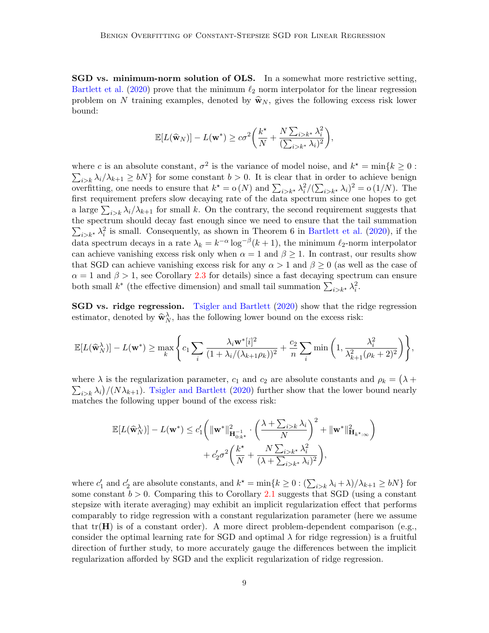SGD vs. minimum-norm solution of OLS. In a somewhat more restrictive setting, [Bartlett et al.](#page-17-1) [\(2020\)](#page-17-1) prove that the minimum  $\ell_2$  norm interpolator for the linear regression problem on N training examples, denoted by  $\hat{\mathbf{w}}_N$ , gives the following excess risk lower bound:

$$
\mathbb{E}[L(\widehat{\mathbf{w}}_N)] - L(\mathbf{w}^*) \ge c\sigma^2 \bigg(\frac{k^*}{N} + \frac{N\sum_{i>k^*}\lambda_i^2}{(\sum_{i>k^*}\lambda_i)^2}\bigg),
$$

where c is an absolute constant,  $\sigma^2$  is the variance of model noise, and  $k^* = \min\{k \geq 0:$  $\sum_{i>k} \lambda_i/\lambda_{k+1} \ge bN$  for some constant  $b > 0$ . It is clear that in order to achieve benign overfitting, one needs to ensure that  $k^* = o(N)$  and  $\sum_{i>k^*} \lambda_i^2/(\sum_{i>k^*} \lambda_i)^2 = o(1/N)$ . The first requirement prefers slow decaying rate of the data spectrum since one hopes to get a large  $\sum_{i>k} \lambda_i/\lambda_{k+1}$  for small k. On the contrary, the second requirement suggests that the spectrum should decay fast enough since we need to ensure that the tail summation  $\sum_{i>k^*}\lambda_i^2$  is small. Consequently, as shown in Theorem 6 in [Bartlett et al.](#page-17-1) [\(2020\)](#page-17-1), if the data spectrum decays in a rate  $\lambda_k = k^{-\alpha} \log^{-\beta}(k+1)$ , the minimum  $\ell_2$ -norm interpolator can achieve vanishing excess risk only when  $\alpha = 1$  and  $\beta \geq 1$ . In contrast, our results show that SGD can achieve vanishing excess risk for any  $\alpha > 1$  and  $\beta \geq 0$  (as well as the case of  $\alpha = 1$  and  $\beta > 1$ , see Corollary [2.3](#page-7-0) for details) since a fast decaying spectrum can ensure both small  $k^*$  (the effective dimension) and small tail summation  $\sum_{i>k^*} \lambda_i^2$ .

SGD vs. ridge regression. [Tsigler and Bartlett](#page-18-2) [\(2020\)](#page-18-2) show that the ridge regression estimator, denoted by  $\widehat{\mathbf{w}}_N^{\lambda}$ , has the following lower bound on the excess risk:

$$
\mathbb{E}[L(\widehat{\mathbf{w}}_N^{\lambda})] - L(\mathbf{w}^*) \ge \max_k \left\{ c_1 \sum_i \frac{\lambda_i \mathbf{w}^* [i]^2}{(1 + \lambda_i/(\lambda_{k+1}\rho_k))^2} + \frac{c_2}{n} \sum_i \min\left(1, \frac{\lambda_i^2}{\lambda_{k+1}^2(\rho_k + 2)^2}\right) \right\},\
$$

where  $\lambda$  is the regularization parameter,  $c_1$  and  $c_2$  are absolute constants and  $\rho_k = (\lambda + \lambda)$  $\sum_{i>k} \lambda_i/(N\lambda_{k+1})$ . [Tsigler and Bartlett](#page-18-2) [\(2020\)](#page-18-2) further show that the lower bound nearly matches the following upper bound of the excess risk:

$$
\mathbb{E}[L(\widehat{\mathbf{w}}_N^{\lambda})] - L(\mathbf{w}^*) \le c'_1 \left( \|\mathbf{w}^*\|_{\mathbf{H}_{0,k^\star}^{-1}}^2 \cdot \left(\frac{\lambda + \sum_{i>k} \lambda_i}{N}\right)^2 + \|\mathbf{w}^*\|_{\mathbf{H}_{k^\star,\infty}}^2 \right) + c'_2 \sigma^2 \left(\frac{k^\star}{N} + \frac{N \sum_{i>k} \lambda_i^2}{(\lambda + \sum_{i>k^*} \lambda_i)^2}\right),
$$

where  $c'_1$  and  $c'_2$  are absolute constants, and  $k^* = \min\{k \ge 0 : (\sum_{i>k} \lambda_i + \lambda)/\lambda_{k+1} \ge bN\}$  for some constant  $b > 0$ . Comparing this to Corollary [2.1](#page-6-2) suggests that SGD (using a constant stepsize with iterate averaging) may exhibit an implicit regularization effect that performs comparably to ridge regression with a constant regularization parameter (here we assume that  $tr(\mathbf{H})$  is of a constant order). A more direct problem-dependent comparison (e.g., consider the optimal learning rate for SGD and optimal  $\lambda$  for ridge regression) is a fruitful direction of further study, to more accurately gauge the differences between the implicit regularization afforded by SGD and the explicit regularization of ridge regression.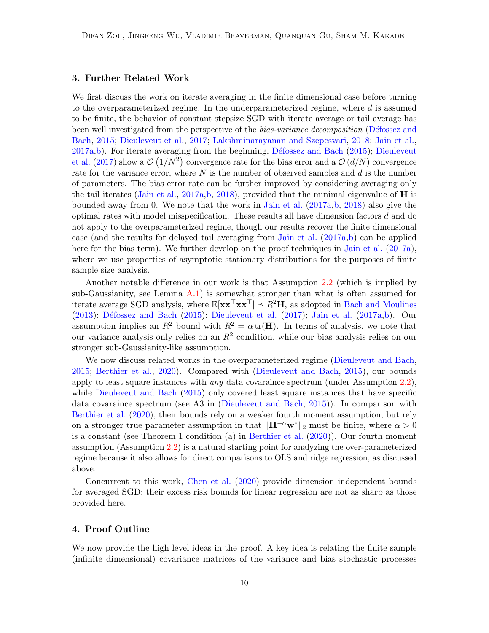#### <span id="page-9-0"></span>3. Further Related Work

We first discuss the work on iterate averaging in the finite dimensional case before turning to the overparameterized regime. In the underparameterized regime, where  $d$  is assumed to be finite, the behavior of constant stepsize SGD with iterate average or tail average has been well investigated from the perspective of the *bias-variance decomposition* (Défossez and [Bach,](#page-17-3) [2015;](#page-17-3) [Dieuleveut et al.,](#page-17-5) [2017;](#page-17-5) [Lakshminarayanan and Szepesvari,](#page-18-10) [2018;](#page-18-10) [Jain et al.,](#page-18-7) [2017a,](#page-18-7)[b\)](#page-18-6). For iterate averaging from the beginning, Défossez and Bach [\(2015\)](#page-17-3); [Dieuleveut](#page-17-5) [et al.](#page-17-5) [\(2017\)](#page-17-5) show a  $\mathcal{O}(1/N^2)$  convergence rate for the bias error and a  $\mathcal{O}(d/N)$  convergence rate for the variance error, where  $N$  is the number of observed samples and  $d$  is the number of parameters. The bias error rate can be further improved by considering averaging only the tail iterates [\(Jain et al.,](#page-18-7) [2017a](#page-18-7), b, [2018\)](#page-18-11), provided that the minimal eigenvalue of  $\bf{H}$  is bounded away from 0. We note that the work in [Jain et al.](#page-18-7)  $(2017a,b, 2018)$  $(2017a,b, 2018)$  $(2017a,b, 2018)$  $(2017a,b, 2018)$  also give the optimal rates with model misspecification. These results all have dimension factors  $d$  and do not apply to the overparameterized regime, though our results recover the finite dimensional case (and the results for delayed tail averaging from [Jain et al.](#page-18-7) [\(2017a,](#page-18-7)[b\)](#page-18-6) can be applied here for the bias term). We further develop on the proof techniques in [Jain et al.](#page-18-7) [\(2017a\)](#page-18-7), where we use properties of asymptotic stationary distributions for the purposes of finite sample size analysis.

Another notable difference in our work is that Assumption [2.2](#page-4-3) (which is implied by sub-Gaussianity, see Lemma  $A.1$ ) is somewhat stronger than what is often assumed for iterate average SGD analysis, where  $\mathbb{E}[\mathbf{x}\mathbf{x}^{\top}\mathbf{x}\mathbf{x}^{\top}] \preceq R^2\mathbf{H}$ , as adopted in [Bach and Moulines](#page-17-4) [\(2013\)](#page-17-4); Défossez and Bach [\(2015\)](#page-17-3); [Dieuleveut et al.](#page-17-5) [\(2017\)](#page-17-5); [Jain et al.](#page-18-7) [\(2017a,](#page-18-7)[b\)](#page-18-6). Our assumption implies an  $R^2$  bound with  $R^2 = \alpha \text{ tr}(\mathbf{H})$ . In terms of analysis, we note that our variance analysis only relies on an  $R^2$  condition, while our bias analysis relies on our stronger sub-Gaussianity-like assumption.

We now discuss related works in the overparameterized regime [\(Dieuleveut and Bach,](#page-17-6) [2015;](#page-17-6) [Berthier et al.,](#page-17-7) [2020\)](#page-17-7). Compared with [\(Dieuleveut and Bach,](#page-17-6) [2015\)](#page-17-6), our bounds apply to least square instances with any data covaraince spectrum (under Assumption [2.2\)](#page-4-3), while [Dieuleveut and Bach](#page-17-6) [\(2015\)](#page-17-6) only covered least square instances that have specific data covaraince spectrum (see A3 in [\(Dieuleveut and Bach,](#page-17-6) [2015\)](#page-17-6)). In comparison with [Berthier et al.](#page-17-7) [\(2020\)](#page-17-7), their bounds rely on a weaker fourth moment assumption, but rely on a stronger true parameter assumption in that  $\|\mathbf{H}^{-\alpha}\mathbf{w}^*\|_2$  must be finite, where  $\alpha > 0$ is a constant (see Theorem 1 condition (a) in [Berthier et al.](#page-17-7) [\(2020\)](#page-17-7)). Our fourth moment assumption (Assumption [2.2\)](#page-4-3) is a natural starting point for analyzing the over-parameterized regime because it also allows for direct comparisons to OLS and ridge regression, as discussed above.

Concurrent to this work, [Chen et al.](#page-17-8) [\(2020\)](#page-17-8) provide dimension independent bounds for averaged SGD; their excess risk bounds for linear regression are not as sharp as those provided here.

## <span id="page-9-1"></span>4. Proof Outline

We now provide the high level ideas in the proof. A key idea is relating the finite sample (infinite dimensional) covariance matrices of the variance and bias stochastic processes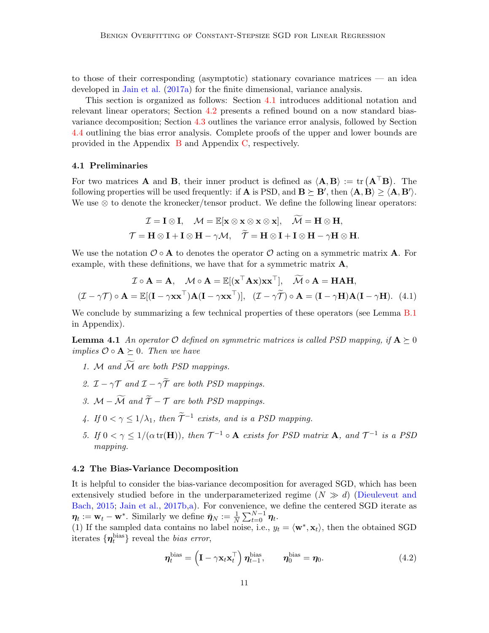to those of their corresponding (asymptotic) stationary covariance matrices — an idea developed in [Jain et al.](#page-18-7) [\(2017a\)](#page-18-7) for the finite dimensional, variance analysis.

This section is organized as follows: Section [4.1](#page-10-0) introduces additional notation and relevant linear operators; Section [4.2](#page-10-1) presents a refined bound on a now standard biasvariance decomposition; Section [4.3](#page-12-0) outlines the variance error analysis, followed by Section [4.4](#page-13-0) outlining the bias error analysis. Complete proofs of the upper and lower bounds are provided in the Appendix  $\overline{B}$  $\overline{B}$  $\overline{B}$  and Appendix  $\overline{C}$ , respectively.

#### <span id="page-10-0"></span>4.1 Preliminaries

For two matrices **A** and **B**, their inner product is defined as  $\langle \mathbf{A}, \mathbf{B} \rangle := \text{tr}(\mathbf{A}^{\top} \mathbf{B})$ . The following properties will be used frequently: if **A** is PSD, and  $\mathbf{B} \succeq \mathbf{B}'$ , then  $\langle \mathbf{A}, \mathbf{B} \rangle \ge \langle \mathbf{A}, \mathbf{B}' \rangle$ . We use  $\otimes$  to denote the kronecker/tensor product. We define the following linear operators:

<span id="page-10-3"></span>
$$
\mathcal{I} = \mathbf{I} \otimes \mathbf{I}, \quad \mathcal{M} = \mathbb{E}[\mathbf{x} \otimes \mathbf{x} \otimes \mathbf{x}]; \quad \widetilde{\mathcal{M}} = \mathbf{H} \otimes \mathbf{H}, \n\mathcal{T} = \mathbf{H} \otimes \mathbf{I} + \mathbf{I} \otimes \mathbf{H} - \gamma \mathcal{M}, \quad \widetilde{\mathcal{T}} = \mathbf{H} \otimes \mathbf{I} + \mathbf{I} \otimes \mathbf{H} - \gamma \mathbf{H} \otimes \mathbf{H}.
$$

We use the notation  $\mathcal{O} \circ \mathbf{A}$  to denotes the operator  $\mathcal{O}$  acting on a symmetric matrix  $\mathbf{A}$ . For example, with these definitions, we have that for a symmetric matrix  $\mathbf{A}$ ,

$$
\mathcal{I} \circ \mathbf{A} = \mathbf{A}, \quad \mathcal{M} \circ \mathbf{A} = \mathbb{E}[(\mathbf{x}^{\top} \mathbf{A} \mathbf{x}) \mathbf{x} \mathbf{x}^{\top}], \quad \widetilde{\mathcal{M}} \circ \mathbf{A} = \mathbf{H} \mathbf{A} \mathbf{H},
$$

$$
(\mathcal{I} - \gamma \mathcal{T}) \circ \mathbf{A} = \mathbb{E}[(\mathbf{I} - \gamma \mathbf{x} \mathbf{x}^{\top}) \mathbf{A} (\mathbf{I} - \gamma \mathbf{x} \mathbf{x}^{\top})], \quad (\mathcal{I} - \gamma \widetilde{\mathcal{T}}) \circ \mathbf{A} = (\mathbf{I} - \gamma \mathbf{H}) \mathbf{A} (\mathbf{I} - \gamma \mathbf{H}). \quad (4.1)
$$

<span id="page-10-4"></span>We conclude by summarizing a few technical properties of these operators (see Lemma [B.1](#page-5-1)) in Appendix).

**Lemma 4.1** An operator  $\mathcal{O}$  defined on symmetric matrices is called PSD mapping, if  $\mathbf{A} \succeq 0$ implies  $\mathcal{O} \circ \mathbf{A} \succeq 0$ . Then we have

- 1. M and  $\widetilde{M}$  are both PSD mappings.
- 2.  $\mathcal{I} \gamma \mathcal{T}$  and  $\mathcal{I} \gamma \widetilde{\mathcal{T}}$  are both PSD mappings.
- 3.  $M \widetilde{M}$  and  $\widetilde{T} \mathcal{T}$  are both PSD mappings.
- 4. If  $0 < \gamma \leq 1/\lambda_1$ , then  $\widetilde{\mathcal{T}}^{-1}$  exists, and is a PSD mapping.
- 5. If  $0 < \gamma \leq 1/(\alpha \operatorname{tr}(\mathbf{H}))$ , then  $\mathcal{T}^{-1} \circ \mathbf{A}$  exists for PSD matrix  $\mathbf{A}$ , and  $\mathcal{T}^{-1}$  is a PSD mapping.

#### <span id="page-10-1"></span>4.2 The Bias-Variance Decomposition

It is helpful to consider the bias-variance decomposition for averaged SGD, which has been extensively studied before in the underparameterized regime  $(N \gg d)$  [\(Dieuleveut and](#page-17-6) [Bach,](#page-17-6) [2015;](#page-17-6) [Jain et al.,](#page-18-6) [2017b,](#page-18-6)[a\)](#page-18-7). For convenience, we define the centered SGD iterate as  $\eta_t := \mathbf{w}_t - \mathbf{w}^*$ . Similarly we define  $\bar{\eta}_N := \frac{1}{N} \sum_{t=0}^{N-1} \eta_t$ .

(1) If the sampled data contains no label noise, i.e.,  $y_t = \langle \mathbf{w}^*, \mathbf{x}_t \rangle$ , then the obtained SGD iterates  $\{\boldsymbol{\eta}_t^{\text{bias}}\}$  reveal the *bias error*,

<span id="page-10-2"></span>
$$
\eta_t^{\text{bias}} = \left(\mathbf{I} - \gamma \mathbf{x}_t \mathbf{x}_t^\top\right) \eta_{t-1}^{\text{bias}}, \qquad \eta_0^{\text{bias}} = \eta_0. \tag{4.2}
$$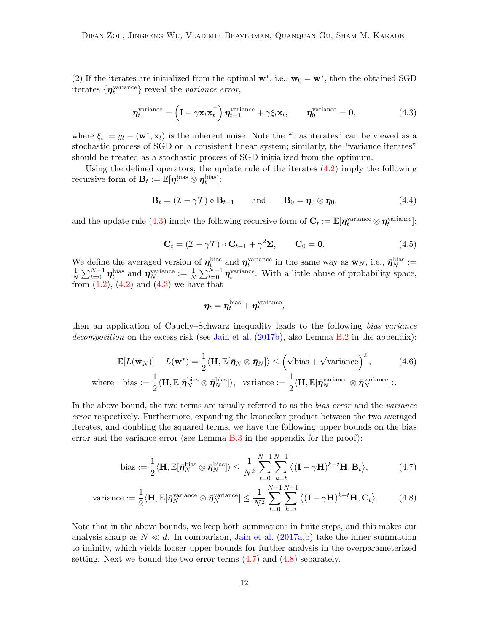(2) If the iterates are initialized from the optimal  $\mathbf{w}^*$ , i.e.,  $\mathbf{w}_0 = \mathbf{w}^*$ , then the obtained SGD iterates  $\{\boldsymbol{\eta}_t^{\text{variance}}\}$  reveal the variance error,

<span id="page-11-1"></span>
$$
\eta_t^{\text{variance}} = \left(\mathbf{I} - \gamma \mathbf{x}_t \mathbf{x}_t^\top\right) \eta_{t-1}^{\text{variance}} + \gamma \xi_t \mathbf{x}_t, \qquad \eta_0^{\text{variance}} = \mathbf{0}, \tag{4.3}
$$

where  $\xi_t := y_t - \langle \mathbf{w}^*, \mathbf{x}_t \rangle$  is the inherent noise. Note the "bias iterates" can be viewed as a stochastic process of SGD on a consistent linear system; similarly, the "variance iterates" should be treated as a stochastic process of SGD initialized from the optimum.

Using the defined operators, the update rule of the iterates  $(4.2)$  imply the following recursive form of  $\mathbf{B}_t := \mathbb{E}[\eta_t^{\text{bias}} \otimes \eta_t^{\text{bias}}]$ :

<span id="page-11-5"></span>
$$
\mathbf{B}_t = (\mathcal{I} - \gamma \mathcal{T}) \circ \mathbf{B}_{t-1} \quad \text{and} \quad \mathbf{B}_0 = \eta_0 \otimes \eta_0, \tag{4.4}
$$

<span id="page-11-4"></span>and the update rule [\(4.3\)](#page-11-1) imply the following recursive form of  $\mathbf{C}_t := \mathbb{E}[\eta_t^{\text{variance}} \otimes \eta_t^{\text{variance}}]$ :

$$
\mathbf{C}_t = (\mathcal{I} - \gamma \mathcal{T}) \circ \mathbf{C}_{t-1} + \gamma^2 \Sigma, \qquad \mathbf{C}_0 = \mathbf{0}.
$$
 (4.5)

We define the averaged version of  $\eta_t^{\text{bias}}$  and  $\eta_t^{\text{variance}}$  in the same way as  $\overline{\mathbf{w}}_N$ , i.e.,  $\overline{\eta}_N^{\text{bias}} :=$ <br> $\frac{1}{N} \sum_{l=1}^{N-1} \mathbf{p}^{\text{bias}}$  and  $\overline{\mathbf{p}}^{\text{variance}}$   $\sum_{l=1}^{N-1} \mathbf{p}^{\text{variance}}$  With a little ab  $\frac{1}{N}\sum_{t=0}^{N-1} \eta_t^{\text{bias}}$  and  $\bar{\eta}_N^{\text{variance}} := \frac{1}{N}\sum_{t=0}^{N-1} \eta_t^{\text{variance}}$ . With a little abuse of probability space, from  $(1.2)$ ,  $(4.2)$  and  $(4.3)$  we have that

<span id="page-11-3"></span><span id="page-11-2"></span><span id="page-11-0"></span>
$$
\boldsymbol{\eta}_t = \boldsymbol{\eta}_t^{\text{bias}} + \boldsymbol{\eta}_t^{\text{variance}},
$$

then an application of Cauchy–Schwarz inequality leads to the following bias-variance decomposition on the excess risk (see [Jain et al.](#page-18-6) [\(2017b\)](#page-18-6), also Lemma [B.2](#page-6-1) in the appendix):

$$
\mathbb{E}[L(\overline{\mathbf{w}}_N)] - L(\mathbf{w}^*) = \frac{1}{2} \langle \mathbf{H}, \mathbb{E}[\bar{\boldsymbol{\eta}}_N \otimes \bar{\boldsymbol{\eta}}_N] \rangle \le (\sqrt{\text{bias}} + \sqrt{\text{variance}})^2, \qquad (4.6)
$$
  
where  $\text{bias} := \frac{1}{2} \langle \mathbf{H}, \mathbb{E}[\bar{\boldsymbol{\eta}}_N^{\text{bias}} \otimes \bar{\boldsymbol{\eta}}_N^{\text{bias}}] \rangle$ , variance  $:= \frac{1}{2} \langle \mathbf{H}, \mathbb{E}[\bar{\boldsymbol{\eta}}_N^{\text{variance}} \otimes \bar{\boldsymbol{\eta}}_N^{\text{variance}}] \rangle$ .

In the above bound, the two terms are usually referred to as the bias error and the variance error respectively. Furthermore, expanding the kronecker product between the two averaged iterates, and doubling the squared terms, we have the following upper bounds on the bias error and the variance error (see Lemma [B.3](#page-22-0) in the appendix for the proof):

bias := 
$$
\frac{1}{2} \langle \mathbf{H}, \mathbb{E}[\bar{\boldsymbol{\eta}}_N^{\text{bias}} \otimes \bar{\boldsymbol{\eta}}_N^{\text{bias}}] \rangle \le \frac{1}{N^2} \sum_{t=0}^{N-1} \sum_{k=t}^{N-1} \langle (\mathbf{I} - \gamma \mathbf{H})^{k-t} \mathbf{H}, \mathbf{B}_t \rangle,
$$
 (4.7)

variance := 
$$
\frac{1}{2} \langle \mathbf{H}, \mathbb{E}[\bar{\boldsymbol{\eta}}_N^{\text{variance}} \otimes \bar{\boldsymbol{\eta}}_N^{\text{variance}}] \le \frac{1}{N^2} \sum_{t=0}^{N-1} \sum_{k=t}^{N-1} \langle (\mathbf{I} - \gamma \mathbf{H})^{k-t} \mathbf{H}, \mathbf{C}_t \rangle.
$$
 (4.8)

Note that in the above bounds, we keep both summations in finite steps, and this makes our analysis sharp as  $N \ll d$ . In comparison, [Jain et al.](#page-18-7) [\(2017a,](#page-18-7)[b\)](#page-18-6) take the inner summation to infinity, which yields looser upper bounds for further analysis in the overparameterized setting. Next we bound the two error terms  $(4.7)$  and  $(4.8)$  separately.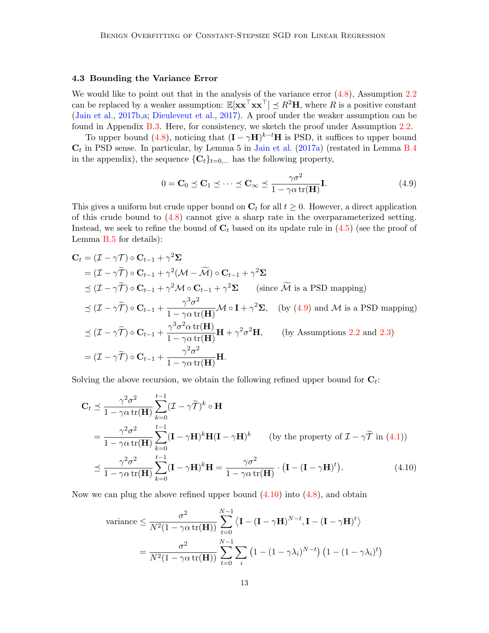### <span id="page-12-0"></span>4.3 Bounding the Variance Error

We would like to point out that in the analysis of the variance error  $(4.8)$ , Assumption [2.2](#page-4-3) can be replaced by a weaker assumption:  $\mathbb{E}[\mathbf{x}\mathbf{x}^{\top}\mathbf{x}\mathbf{x}^{\top}] \preceq R^2\mathbf{H}$ , where R is a positive constant [\(Jain et al.,](#page-18-6) [2017b,](#page-18-6)[a;](#page-18-7) [Dieuleveut et al.,](#page-17-5) [2017\)](#page-17-5). A proof under the weaker assumption can be found in Appendix [B.3.](#page-23-0) Here, for consistency, we sketch the proof under Assumption [2.2.](#page-4-3)

To upper bound [\(4.8\)](#page-11-3), noticing that  $(I - \gamma H)^{k-t}$ **H** is PSD, it suffices to upper bound  $\mathbf{C}_t$  in PSD sense. In particular, by Lemma 5 in [Jain et al.](#page-18-7) [\(2017a\)](#page-18-7) (restated in Lemma [B.4](#page-23-1) in the appendix), the sequence  ${C<sub>t</sub>}<sub>t=0,...</sub>$  has the following property,

<span id="page-12-1"></span>
$$
0 = \mathbf{C}_0 \preceq \mathbf{C}_1 \preceq \dots \preceq \mathbf{C}_{\infty} \preceq \frac{\gamma \sigma^2}{1 - \gamma \alpha \operatorname{tr}(\mathbf{H})} \mathbf{I}.
$$
 (4.9)

This gives a uniform but crude upper bound on  $\mathbf{C}_t$  for all  $t \geq 0$ . However, a direct application of this crude bound to [\(4.8\)](#page-11-3) cannot give a sharp rate in the overparameterized setting. Instead, we seek to refine the bound of  $C_t$  based on its update rule in  $(4.5)$  (see the proof of Lemma [B.5](#page-25-0) for details):

$$
\mathbf{C}_{t} = (\mathcal{I} - \gamma \mathcal{T}) \circ \mathbf{C}_{t-1} + \gamma^{2} \mathbf{\Sigma}
$$
\n
$$
= (\mathcal{I} - \gamma \mathcal{T}) \circ \mathbf{C}_{t-1} + \gamma^{2} (\mathcal{M} - \mathcal{M}) \circ \mathbf{C}_{t-1} + \gamma^{2} \mathbf{\Sigma}
$$
\n
$$
\preceq (\mathcal{I} - \gamma \mathcal{T}) \circ \mathbf{C}_{t-1} + \gamma^{2} \mathcal{M} \circ \mathbf{C}_{t-1} + \gamma^{2} \mathbf{\Sigma} \qquad \text{(since } \mathcal{M} \text{ is a PSD mapping)}
$$
\n
$$
\preceq (\mathcal{I} - \gamma \mathcal{T}) \circ \mathbf{C}_{t-1} + \frac{\gamma^{3} \sigma^{2}}{1 - \gamma \alpha \operatorname{tr}(\mathbf{H})} \mathcal{M} \circ \mathbf{I} + \gamma^{2} \mathbf{\Sigma}, \quad \text{(by (4.9) and } \mathcal{M} \text{ is a PSD mapping)}
$$
\n
$$
\preceq (\mathcal{I} - \gamma \mathcal{T}) \circ \mathbf{C}_{t-1} + \frac{\gamma^{3} \sigma^{2} \alpha \operatorname{tr}(\mathbf{H})}{1 - \gamma \alpha \operatorname{tr}(\mathbf{H})} \mathbf{H} + \gamma^{2} \sigma^{2} \mathbf{H}, \qquad \text{(by Assumptions 2.2 and 2.3)}
$$
\n
$$
= (\mathcal{I} - \gamma \mathcal{T}) \circ \mathbf{C}_{t-1} + \frac{\gamma^{2} \sigma^{2}}{1 - \gamma \alpha \operatorname{tr}(\mathbf{H})} \mathbf{H}.
$$

Solving the above recursion, we obtain the following refined upper bound for  $C_t$ :

$$
\mathbf{C}_{t} \preceq \frac{\gamma^{2} \sigma^{2}}{1 - \gamma \alpha \operatorname{tr}(\mathbf{H})} \sum_{k=0}^{t-1} (\mathcal{I} - \gamma \widetilde{\mathcal{T}})^{k} \circ \mathbf{H}
$$
\n
$$
= \frac{\gamma^{2} \sigma^{2}}{1 - \gamma \alpha \operatorname{tr}(\mathbf{H})} \sum_{k=0}^{t-1} (\mathbf{I} - \gamma \mathbf{H})^{k} \mathbf{H} (\mathbf{I} - \gamma \mathbf{H})^{k} \qquad \text{(by the property of } \mathcal{I} - \gamma \widetilde{\mathcal{T}} \text{ in (4.1)})
$$
\n
$$
\preceq \frac{\gamma^{2} \sigma^{2}}{1 - \gamma \alpha \operatorname{tr}(\mathbf{H})} \sum_{k=0}^{t-1} (\mathbf{I} - \gamma \mathbf{H})^{k} \mathbf{H} = \frac{\gamma \sigma^{2}}{1 - \gamma \alpha \operatorname{tr}(\mathbf{H})} \cdot (\mathbf{I} - (\mathbf{I} - \gamma \mathbf{H})^{t}). \tag{4.10}
$$

Now we can plug the above refined upper bound  $(4.10)$  into  $(4.8)$ , and obtain

<span id="page-12-2"></span>variance 
$$
\leq \frac{\sigma^2}{N^2(1 - \gamma \alpha \operatorname{tr}(\mathbf{H}))} \sum_{t=0}^{N-1} \langle \mathbf{I} - (\mathbf{I} - \gamma \mathbf{H})^{N-t}, \mathbf{I} - (\mathbf{I} - \gamma \mathbf{H})^t \rangle
$$
  
= 
$$
\frac{\sigma^2}{N^2(1 - \gamma \alpha \operatorname{tr}(\mathbf{H}))} \sum_{t=0}^{N-1} \sum_i (1 - (1 - \gamma \lambda_i)^{N-t}) (1 - (1 - \gamma \lambda_i)^t)
$$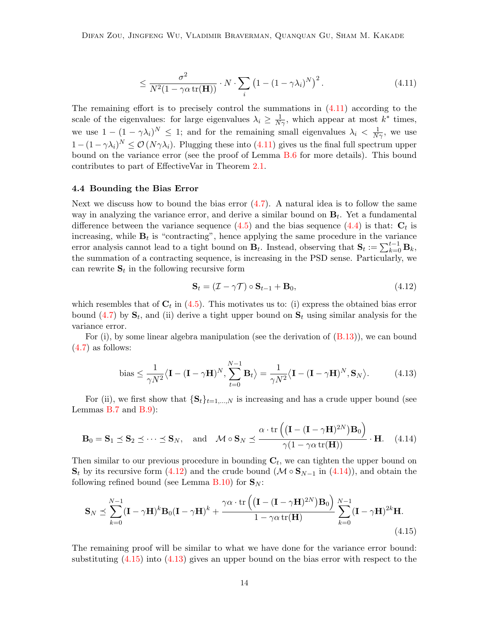<span id="page-13-1"></span>
$$
\leq \frac{\sigma^2}{N^2(1 - \gamma \alpha \operatorname{tr}(\mathbf{H}))} \cdot N \cdot \sum_{i} \left(1 - (1 - \gamma \lambda_i)^N\right)^2.
$$
 (4.11)

The remaining effort is to precisely control the summations in [\(4.11\)](#page-13-1) according to the scale of the eigenvalues: for large eigenvalues  $\lambda_i \geq \frac{1}{N\gamma}$ , which appear at most  $k^*$  times, we use  $1 - (1 - \gamma \lambda_i)^N \leq 1$ ; and for the remaining small eigenvalues  $\lambda_i < \frac{1}{N\gamma}$ , we use  $1-(1-\gamma\lambda_i)^N \leq \mathcal{O}(N\gamma\lambda_i)$ . Plugging these into [\(4.11\)](#page-13-1) gives us the final full spectrum upper bound on the variance error (see the proof of Lemma [B.6](#page-26-0) for more details). This bound contributes to part of EffectiveVar in Theorem [2.1.](#page-5-1)

#### <span id="page-13-0"></span>4.4 Bounding the Bias Error

Next we discuss how to bound the bias error  $(4.7)$ . A natural idea is to follow the same way in analyzing the variance error, and derive a similar bound on  $B_t$ . Yet a fundamental difference between the variance sequence  $(4.5)$  and the bias sequence  $(4.4)$  is that:  $C_t$  is increasing, while  $\mathbf{B}_t$  is "contracting", hence applying the same procedure in the variance error analysis cannot lead to a tight bound on  $\mathbf{B}_t$ . Instead, observing that  $\mathbf{S}_t := \sum_{k=0}^{t-1} \mathbf{B}_k$ , the summation of a contracting sequence, is increasing in the PSD sense. Particularly, we can rewrite  $S_t$  in the following recursive form

<span id="page-13-5"></span><span id="page-13-3"></span><span id="page-13-2"></span>
$$
\mathbf{S}_t = (\mathcal{I} - \gamma \mathcal{T}) \circ \mathbf{S}_{t-1} + \mathbf{B}_0,\tag{4.12}
$$

which resembles that of  $\mathbf{C}_t$  in [\(4.5\)](#page-11-4). This motivates us to: (i) express the obtained bias error bound [\(4.7\)](#page-11-2) by  $S_t$ , and (ii) derive a tight upper bound on  $S_t$  using similar analysis for the variance error.

For (i), by some linear algebra manipulation (see the derivation of  $(B.13)$ ), we can bound  $(4.7)$  as follows:

bias 
$$
\leq \frac{1}{\gamma N^2} \langle \mathbf{I} - (\mathbf{I} - \gamma \mathbf{H})^N, \sum_{t=0}^{N-1} \mathbf{B}_t \rangle = \frac{1}{\gamma N^2} \langle \mathbf{I} - (\mathbf{I} - \gamma \mathbf{H})^N, \mathbf{S}_N \rangle.
$$
 (4.13)

For (ii), we first show that  $\{S_t\}_{t=1,\dots,N}$  is increasing and has a crude upper bound (see Lemmas [B.7](#page-27-1) and [B.9\)](#page-29-0):

$$
\mathbf{B}_0 = \mathbf{S}_1 \preceq \mathbf{S}_2 \preceq \cdots \preceq \mathbf{S}_N, \text{ and } \mathcal{M} \circ \mathbf{S}_N \preceq \frac{\alpha \cdot \text{tr}\left( (\mathbf{I} - (\mathbf{I} - \gamma \mathbf{H})^{2N}) \mathbf{B}_0 \right)}{\gamma (1 - \gamma \alpha \, \text{tr}(\mathbf{H}))} \cdot \mathbf{H}. \tag{4.14}
$$

Then similar to our previous procedure in bounding  $C_t$ , we can tighten the upper bound on  $\mathbf{S}_t$  by its recursive form [\(4.12\)](#page-13-2) and the crude bound ( $\mathcal{M} \circ \mathbf{S}_{N-1}$  in [\(4.14\)](#page-13-3)), and obtain the following refined bound (see Lemma [B.10\)](#page-30-0) for  $\mathbf{S}_N$ :

<span id="page-13-4"></span>
$$
\mathbf{S}_N \preceq \sum_{k=0}^{N-1} (\mathbf{I} - \gamma \mathbf{H})^k \mathbf{B}_0 (\mathbf{I} - \gamma \mathbf{H})^k + \frac{\gamma \alpha \cdot \text{tr} \left( (\mathbf{I} - (\mathbf{I} - \gamma \mathbf{H})^{2N}) \mathbf{B}_0 \right)}{1 - \gamma \alpha \, \text{tr}(\mathbf{H})} \sum_{k=0}^{N-1} (\mathbf{I} - \gamma \mathbf{H})^{2k} \mathbf{H}.
$$
\n(4.15)

The remaining proof will be similar to what we have done for the variance error bound: substituting  $(4.15)$  into  $(4.13)$  gives an upper bound on the bias error with respect to the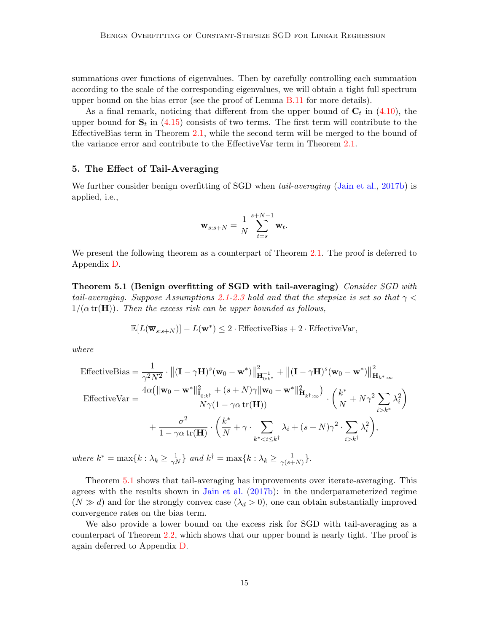summations over functions of eigenvalues. Then by carefully controlling each summation according to the scale of the corresponding eigenvalues, we will obtain a tight full spectrum upper bound on the bias error (see the proof of Lemma  $B.11$  for more details).

As a final remark, noticing that different from the upper bound of  $C_t$  in [\(4.10\)](#page-12-2), the upper bound for  $S_t$  in [\(4.15\)](#page-13-4) consists of two terms. The first term will contribute to the EffectiveBias term in Theorem [2.1,](#page-5-1) while the second term will be merged to the bound of the variance error and contribute to the EffectiveVar term in Theorem [2.1.](#page-5-1)

## <span id="page-14-0"></span>5. The Effect of Tail-Averaging

We further consider benign overfitting of SGD when *tail-averaging* [\(Jain et al.,](#page-18-6) [2017b\)](#page-18-6) is applied, i.e.,

$$
\overline{\mathbf{w}}_{s:s+N} = \frac{1}{N} \sum_{t=s}^{s+N-1} \mathbf{w}_t.
$$

We present the following theorem as a counterpart of Theorem [2.1.](#page-5-1) The proof is deferred to Appendix [D.](#page-9-1)

<span id="page-14-1"></span>Theorem 5.1 (Benign overfitting of SGD with tail-averaging) Consider SGD with tail-averaging. Suppose Assumptions [2.1-](#page-3-0)[2.3](#page-4-4) hold and that the stepsize is set so that  $\gamma$  <  $1/(\alpha \operatorname{tr}(\mathbf{H}))$ . Then the excess risk can be upper bounded as follows,

$$
\mathbb{E}[L(\overline{\mathbf{w}}_{s:s+N})] - L(\mathbf{w}^*) \le 2 \cdot \text{EffectiveBias} + 2 \cdot \text{EffectiveVar},
$$

where

$$
\begin{split} \text{EffectiveBias} &= \frac{1}{\gamma^2 N^2} \cdot \left\| (\mathbf{I} - \gamma \mathbf{H})^s (\mathbf{w}_0 - \mathbf{w}^*) \right\|_{\mathbf{H}_{0:k^*}^{-1}}^2 + \left\| (\mathbf{I} - \gamma \mathbf{H})^s (\mathbf{w}_0 - \mathbf{w}^*) \right\|_{\mathbf{H}_{k^*:\infty}^{-1}}^2 \\ \text{EffectiveVar} &= \frac{4\alpha \left( \|\mathbf{w}_0 - \mathbf{w}^*\|_{\mathbf{I}_{0:k^{\dagger}}}^2 + (s + N)\gamma \|\mathbf{w}_0 - \mathbf{w}^*\|_{\mathbf{H}_{k^{\dagger}:\infty}}^2 \right)}{N\gamma (1 - \gamma \alpha \operatorname{tr}(\mathbf{H}))} \cdot \left( \frac{k^*}{N} + N\gamma^2 \sum_{i > k^*} \lambda_i^2 \right) \\ &+ \frac{\sigma^2}{1 - \gamma \alpha \operatorname{tr}(\mathbf{H})} \cdot \left( \frac{k^*}{N} + \gamma \cdot \sum_{k^* < i \leq k^{\dagger}} \lambda_i + (s + N)\gamma^2 \cdot \sum_{i > k^{\dagger}} \lambda_i^2 \right), \end{split}
$$

where  $k^* = \max\{k : \lambda_k \geq \frac{1}{\gamma N}\}\$ and  $k^{\dagger} = \max\{k : \lambda_k \geq \frac{1}{\gamma (s + 1)}\}$  $\frac{1}{\gamma(s+N)}\big\}.$ 

Theorem [5.1](#page-14-1) shows that tail-averaging has improvements over iterate-averaging. This agrees with the results shown in [Jain et al.](#page-18-6) [\(2017b\)](#page-18-6): in the underparameterized regime  $(N \gg d)$  and for the strongly convex case  $(\lambda_d > 0)$ , one can obtain substantially improved convergence rates on the bias term.

<span id="page-14-2"></span>We also provide a lower bound on the excess risk for SGD with tail-averaging as a counterpart of Theorem [2.2,](#page-6-1) which shows that our upper bound is nearly tight. The proof is again deferred to Appendix [D.](#page-9-1)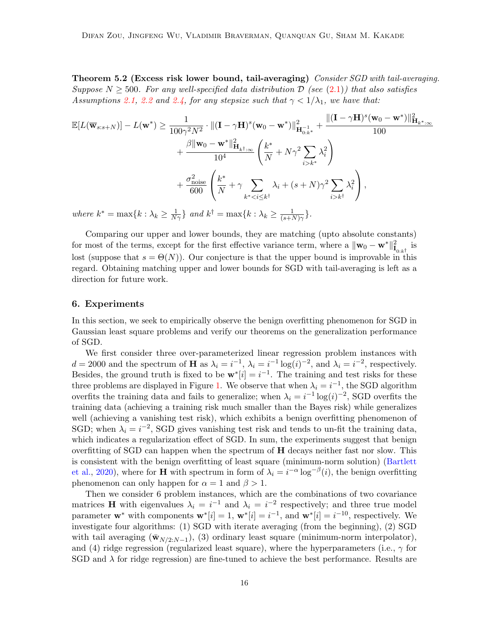Theorem 5.2 (Excess risk lower bound, tail-averaging) Consider SGD with tail-averaging. Suppose  $N \geq 500$ . For any well-specified data distribution D (see [\(2.1\)](#page-5-0)) that also satisfies Assumptions [2.1,](#page-3-0) [2.2](#page-4-3) and [2.4,](#page-6-0) for any stepsize such that  $\gamma < 1/\lambda_1$ , we have that:

$$
\mathbb{E}[L(\overline{\mathbf{w}}_{s:s+N})] - L(\mathbf{w}^*) \ge \frac{1}{100\gamma^2 N^2} \cdot ||(\mathbf{I} - \gamma \mathbf{H})^s (\mathbf{w}_0 - \mathbf{w}^*)||^2_{\mathbf{H}_{0:k^*}} + \frac{||(\mathbf{I} - \gamma \mathbf{H})^s (\mathbf{w}_0 - \mathbf{w}^*)||^2_{\mathbf{H}_{k^*:\infty}}}{100} + \frac{\beta ||\mathbf{w}_0 - \mathbf{w}^*||^2_{\mathbf{H}_{k^*:\infty}}}{10^4} \left(\frac{k^*}{N} + N\gamma^2 \sum_{i > k^*} \lambda_i^2\right) + \frac{\sigma_{\text{noise}}^2}{600} \left(\frac{k^*}{N} + \gamma \sum_{k^* < i \le k^{\dagger}} \lambda_i + (s + N)\gamma^2 \sum_{i > k^{\dagger}} \lambda_i^2\right),
$$

where  $k^* = \max\{k : \lambda_k \geq \frac{1}{N\gamma}\}\$  and  $k^{\dagger} = \max\{k : \lambda_k \geq \frac{1}{(s+l)}\}\$  $\frac{1}{(s+N)\gamma}\big\}.$ 

Comparing our upper and lower bounds, they are matching (upto absolute constants) for most of the terms, except for the first effective variance term, where a  $\|\mathbf{w}_0 - \mathbf{w}^*\|_{\mathbf{I}_{0:k^{\dagger}}}^2$  is lost (suppose that  $s = \Theta(N)$ ). Our conjecture is that the upper bound is improvable in this regard. Obtaining matching upper and lower bounds for SGD with tail-averaging is left as a direction for future work.

## <span id="page-15-0"></span>6. Experiments

In this section, we seek to empirically observe the benign overfitting phenomenon for SGD in Gaussian least square problems and verify our theorems on the generalization performance of SGD.

We first consider three over-parameterized linear regression problem instances with  $d = 2000$  and the spectrum of **H** as  $\lambda_i = i^{-1}$ ,  $\lambda_i = i^{-1} \log(i)^{-2}$ , and  $\lambda_i = i^{-2}$ , respectively. Besides, the ground truth is fixed to be  $w^*[i] = i^{-1}$ . The training and test risks for these three problems are displayed in Figure [1.](#page-2-0) We observe that when  $\lambda_i = i^{-1}$ , the SGD algorithm overfits the training data and fails to generalize; when  $\lambda_i = i^{-1} \log(i)^{-2}$ , SGD overfits the training data (achieving a training risk much smaller than the Bayes risk) while generalizes well (achieving a vanishing test risk), which exhibits a benign overfitting phenomenon of SGD; when  $\lambda_i = i^{-2}$ , SGD gives vanishing test risk and tends to un-fit the training data, which indicates a regularization effect of SGD. In sum, the experiments suggest that benign overfitting of SGD can happen when the spectrum of H decays neither fast nor slow. This is consistent with the benign overfitting of least square (minimum-norm solution) [\(Bartlett](#page-17-1) [et al.,](#page-17-1) [2020\)](#page-17-1), where for **H** with spectrum in form of  $\lambda_i = i^{-\alpha} \log^{-\beta}(i)$ , the benign overfitting phenomenon can only happen for  $\alpha = 1$  and  $\beta > 1$ .

Then we consider 6 problem instances, which are the combinations of two covariance matrices **H** with eigenvalues  $\lambda_i = i^{-1}$  and  $\lambda_i = i^{-2}$  respectively; and three true model parameter **w**<sup>\*</sup> with components  $\mathbf{w}^*[i] = 1$ ,  $\mathbf{w}^*[i] = i^{-1}$ , and  $\mathbf{w}^*[i] = i^{-10}$ , respectively. We investigate four algorithms: (1) SGD with iterate averaging (from the beginning), (2) SGD with tail averaging  $(\bar{w}_{N/2:N-1})$ , (3) ordinary least square (minimum-norm interpolator), and (4) ridge regression (regularized least square), where the hyperparameters (i.e.,  $\gamma$  for SGD and  $\lambda$  for ridge regression) are fine-tuned to achieve the best performance. Results are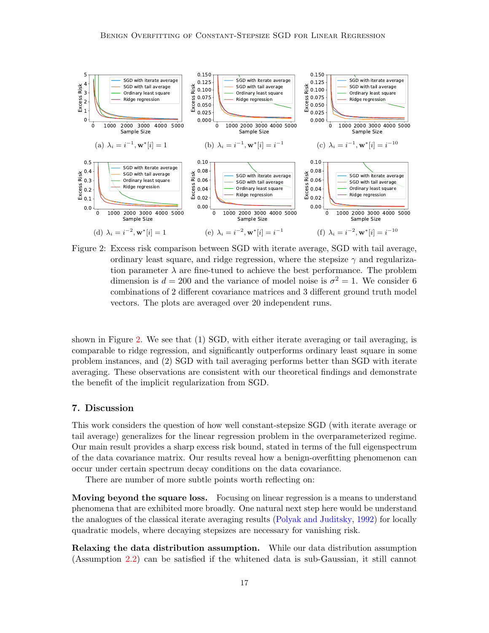

<span id="page-16-1"></span>Figure 2: Excess risk comparison between SGD with iterate average, SGD with tail average, ordinary least square, and ridge regression, where the stepsize  $\gamma$  and regularization parameter  $\lambda$  are fine-tuned to achieve the best performance. The problem dimension is  $d = 200$  and the variance of model noise is  $\sigma^2 = 1$ . We consider 6 combinations of 2 different covariance matrices and 3 different ground truth model vectors. The plots are averaged over 20 independent runs.

shown in Figure [2.](#page-16-1) We see that (1) SGD, with either iterate averaging or tail averaging, is comparable to ridge regression, and significantly outperforms ordinary least square in some problem instances, and (2) SGD with tail averaging performs better than SGD with iterate averaging. These observations are consistent with our theoretical findings and demonstrate the benefit of the implicit regularization from SGD.

## <span id="page-16-0"></span>7. Discussion

This work considers the question of how well constant-stepsize SGD (with iterate average or tail average) generalizes for the linear regression problem in the overparameterized regime. Our main result provides a sharp excess risk bound, stated in terms of the full eigenspectrum of the data covariance matrix. Our results reveal how a benign-overfitting phenomenon can occur under certain spectrum decay conditions on the data covariance.

There are number of more subtle points worth reflecting on:

Moving beyond the square loss. Focusing on linear regression is a means to understand phenomena that are exhibited more broadly. One natural next step here would be understand the analogues of the classical iterate averaging results [\(Polyak and Juditsky,](#page-18-5) [1992\)](#page-18-5) for locally quadratic models, where decaying stepsizes are necessary for vanishing risk.

Relaxing the data distribution assumption. While our data distribution assumption (Assumption [2.2\)](#page-4-3) can be satisfied if the whitened data is sub-Gaussian, it still cannot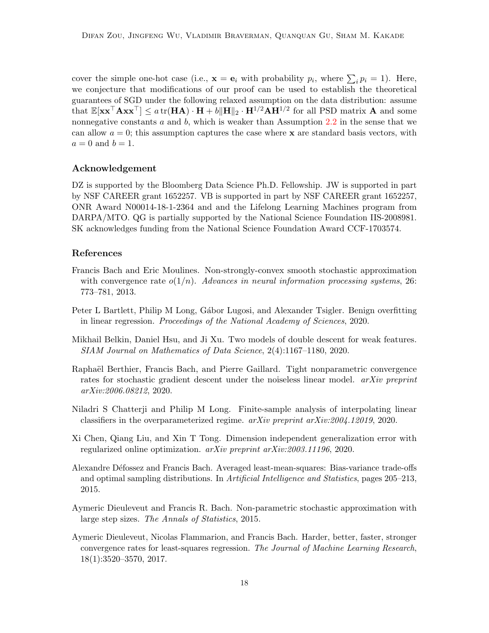cover the simple one-hot case (i.e.,  $\mathbf{x} = \mathbf{e}_i$  with probability  $p_i$ , where  $\sum_i p_i = 1$ ). Here, we conjecture that modifications of our proof can be used to establish the theoretical guarantees of SGD under the following relaxed assumption on the data distribution: assume that  $\mathbb{E}[\mathbf{x} \mathbf{x}^{\top} \mathbf{A} \mathbf{x} \mathbf{x}^{\top}] \le a \operatorname{tr}(\mathbf{H} \mathbf{A}) \cdot \mathbf{H} + b \|\mathbf{H}\|_2 \cdot \mathbf{H}^{1/2} \mathbf{A} \mathbf{H}^{1/2}$  for all PSD matrix  $\mathbf{A}$  and some nonnegative constants a and b, which is weaker than Assumption [2.2](#page-4-3) in the sense that we can allow  $a = 0$ ; this assumption captures the case where **x** are standard basis vectors, with  $a = 0$  and  $b = 1$ .

## Acknowledgement

DZ is supported by the Bloomberg Data Science Ph.D. Fellowship. JW is supported in part by NSF CAREER grant 1652257. VB is supported in part by NSF CAREER grant 1652257, ONR Award N00014-18-1-2364 and and the Lifelong Learning Machines program from DARPA/MTO. QG is partially supported by the National Science Foundation IIS-2008981. SK acknowledges funding from the National Science Foundation Award CCF-1703574.

## References

- <span id="page-17-4"></span>Francis Bach and Eric Moulines. Non-strongly-convex smooth stochastic approximation with convergence rate  $o(1/n)$ . Advances in neural information processing systems, 26: 773–781, 2013.
- <span id="page-17-1"></span>Peter L Bartlett, Philip M Long, Gábor Lugosi, and Alexander Tsigler. Benign overfitting in linear regression. Proceedings of the National Academy of Sciences, 2020.
- <span id="page-17-0"></span>Mikhail Belkin, Daniel Hsu, and Ji Xu. Two models of double descent for weak features. SIAM Journal on Mathematics of Data Science, 2(4):1167–1180, 2020.
- <span id="page-17-7"></span>Raphaël Berthier, Francis Bach, and Pierre Gaillard. Tight nonparametric convergence rates for stochastic gradient descent under the noiseless linear model. *arXiv preprint* arXiv:2006.08212, 2020.
- <span id="page-17-2"></span>Niladri S Chatterji and Philip M Long. Finite-sample analysis of interpolating linear classifiers in the overparameterized regime.  $arXiv$  preprint  $arXiv:2004.12019$ , 2020.
- <span id="page-17-8"></span>Xi Chen, Qiang Liu, and Xin T Tong. Dimension independent generalization error with regularized online optimization.  $arXiv$  preprint  $arXiv:2003.11196$ , 2020.
- <span id="page-17-3"></span>Alexandre D´efossez and Francis Bach. Averaged least-mean-squares: Bias-variance trade-offs and optimal sampling distributions. In Artificial Intelligence and Statistics, pages 205–213, 2015.
- <span id="page-17-6"></span>Aymeric Dieuleveut and Francis R. Bach. Non-parametric stochastic approximation with large step sizes. The Annals of Statistics, 2015.
- <span id="page-17-5"></span>Aymeric Dieuleveut, Nicolas Flammarion, and Francis Bach. Harder, better, faster, stronger convergence rates for least-squares regression. The Journal of Machine Learning Research, 18(1):3520–3570, 2017.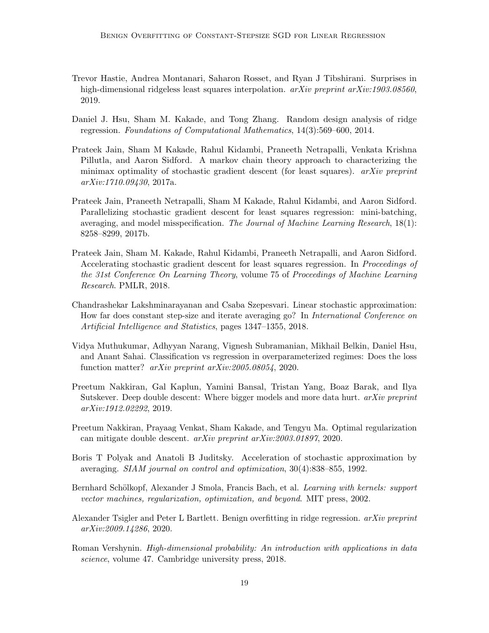- <span id="page-18-1"></span>Trevor Hastie, Andrea Montanari, Saharon Rosset, and Ryan J Tibshirani. Surprises in high-dimensional ridgeless least squares interpolation.  $arXiv$  preprint  $arXiv:1903.08560$ , 2019.
- <span id="page-18-8"></span>Daniel J. Hsu, Sham M. Kakade, and Tong Zhang. Random design analysis of ridge regression. Foundations of Computational Mathematics, 14(3):569–600, 2014.
- <span id="page-18-7"></span>Prateek Jain, Sham M Kakade, Rahul Kidambi, Praneeth Netrapalli, Venkata Krishna Pillutla, and Aaron Sidford. A markov chain theory approach to characterizing the minimax optimality of stochastic gradient descent (for least squares).  $arXiv$  preprint arXiv:1710.09430, 2017a.
- <span id="page-18-6"></span>Prateek Jain, Praneeth Netrapalli, Sham M Kakade, Rahul Kidambi, and Aaron Sidford. Parallelizing stochastic gradient descent for least squares regression: mini-batching, averaging, and model misspecification. The Journal of Machine Learning Research, 18(1): 8258–8299, 2017b.
- <span id="page-18-11"></span>Prateek Jain, Sham M. Kakade, Rahul Kidambi, Praneeth Netrapalli, and Aaron Sidford. Accelerating stochastic gradient descent for least squares regression. In Proceedings of the 31st Conference On Learning Theory, volume 75 of Proceedings of Machine Learning Research. PMLR, 2018.
- <span id="page-18-10"></span>Chandrashekar Lakshminarayanan and Csaba Szepesvari. Linear stochastic approximation: How far does constant step-size and iterate averaging go? In International Conference on Artificial Intelligence and Statistics, pages 1347–1355, 2018.
- <span id="page-18-3"></span>Vidya Muthukumar, Adhyyan Narang, Vignesh Subramanian, Mikhail Belkin, Daniel Hsu, and Anant Sahai. Classification vs regression in overparameterized regimes: Does the loss function matter? arXiv preprint arXiv:2005.08054, 2020.
- <span id="page-18-0"></span>Preetum Nakkiran, Gal Kaplun, Yamini Bansal, Tristan Yang, Boaz Barak, and Ilya Sutskever. Deep double descent: Where bigger models and more data hurt.  $arXiv$  preprint arXiv:1912.02292, 2019.
- <span id="page-18-4"></span>Preetum Nakkiran, Prayaag Venkat, Sham Kakade, and Tengyu Ma. Optimal regularization can mitigate double descent. arXiv preprint arXiv:2003.01897, 2020.
- <span id="page-18-5"></span>Boris T Polyak and Anatoli B Juditsky. Acceleration of stochastic approximation by averaging. SIAM journal on control and optimization, 30(4):838–855, 1992.
- <span id="page-18-9"></span>Bernhard Schölkopf, Alexander J Smola, Francis Bach, et al. Learning with kernels: support vector machines, regularization, optimization, and beyond. MIT press, 2002.
- <span id="page-18-2"></span>Alexander Tsigler and Peter L Bartlett. Benign overfitting in ridge regression. arXiv preprint arXiv:2009.14286, 2020.
- <span id="page-18-12"></span>Roman Vershynin. High-dimensional probability: An introduction with applications in data science, volume 47. Cambridge university press, 2018.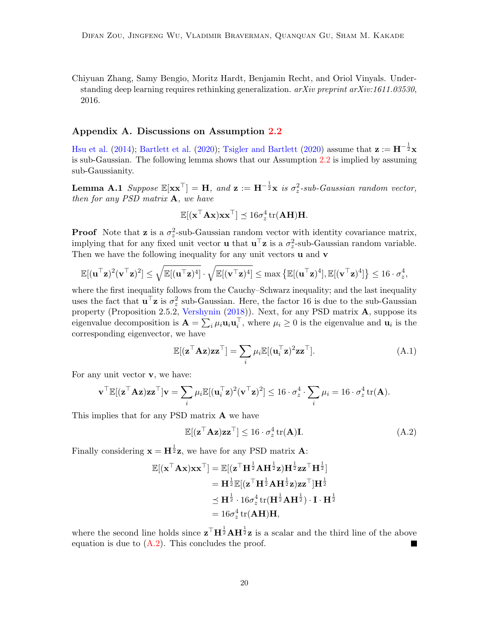<span id="page-19-0"></span>Chiyuan Zhang, Samy Bengio, Moritz Hardt, Benjamin Recht, and Oriol Vinyals. Understanding deep learning requires rethinking generalization. arXiv preprint arXiv:1611.03530, 2016.

# Appendix A. Discussions on Assumption [2.2](#page-4-3)

[Hsu et al.](#page-18-8) [\(2014\)](#page-18-8); [Bartlett et al.](#page-17-1) [\(2020\)](#page-18-2); [Tsigler and Bartlett](#page-18-2) (2020) assume that  $z := H^{-\frac{1}{2}}x$ is sub-Gaussian. The following lemma shows that our Assumption [2.2](#page-4-3) is implied by assuming sub-Gaussianity.

<span id="page-19-1"></span>**Lemma A.1** Suppose  $\mathbb{E}[\mathbf{x} \mathbf{x}^{\top}] = \mathbf{H}$ , and  $\mathbf{z} := \mathbf{H}^{-\frac{1}{2}} \mathbf{x}$  is  $\sigma_z^2$ -sub-Gaussian random vector, then for any PSD matrix  $\mathbf{A}$ , we have

$$
\mathbb{E}[(\mathbf{x}^{\top} \mathbf{A} \mathbf{x}) \mathbf{x} \mathbf{x}^{\top}] \preceq 16 \sigma_z^4 \operatorname{tr}(\mathbf{A} \mathbf{H}) \mathbf{H}.
$$

**Proof** Note that **z** is a  $\sigma_z^2$ -sub-Gaussian random vector with identity covariance matrix, implying that for any fixed unit vector **u** that  $\mathbf{u}^\top \mathbf{z}$  is a  $\sigma_z^2$ -sub-Gaussian random variable. Then we have the following inequality for any unit vectors  $\bf{u}$  and  $\bf{v}$ 

$$
\mathbb{E}[(\mathbf{u}^\top \mathbf{z})^2(\mathbf{v}^\top \mathbf{z})^2] \leq \sqrt{\mathbb{E}[(\mathbf{u}^\top \mathbf{z})^4]} \cdot \sqrt{\mathbb{E}[(\mathbf{v}^\top \mathbf{z})^4]} \leq \max \left\{ \mathbb{E}[(\mathbf{u}^\top \mathbf{z})^4], \mathbb{E}[(\mathbf{v}^\top \mathbf{z})^4] \right\} \leq 16 \cdot \sigma_z^4,
$$

where the first inequality follows from the Cauchy–Schwarz inequality; and the last inequality uses the fact that  $\mathbf{u}^\top \mathbf{z}$  is  $\sigma_z^2$  sub-Gaussian. Here, the factor 16 is due to the sub-Gaussian property (Proposition 2.5.2, [Vershynin](#page-18-12) [\(2018\)](#page-18-12)). Next, for any PSD matrix A, suppose its eigenvalue decomposition is  $\mathbf{A} = \sum_i \mu_i \mathbf{u}_i \mathbf{u}_i^{\top}$ , where  $\mu_i \geq 0$  is the eigenvalue and  $\mathbf{u}_i$  is the corresponding eigenvector, we have

$$
\mathbb{E}[(\mathbf{z}^\top \mathbf{A} \mathbf{z}) \mathbf{z} \mathbf{z}^\top] = \sum_i \mu_i \mathbb{E}[(\mathbf{u}_i^\top \mathbf{z})^2 \mathbf{z} \mathbf{z}^\top].
$$
 (A.1)

For any unit vector  $\bf{v}$ , we have:

$$
\mathbf{v}^\top \mathbb{E}[(\mathbf{z}^\top \mathbf{A} \mathbf{z}) \mathbf{z} \mathbf{z}^\top] \mathbf{v} = \sum_i \mu_i \mathbb{E}[(\mathbf{u}_i^\top \mathbf{z})^2 (\mathbf{v}^\top \mathbf{z})^2] \leq 16 \cdot \sigma_z^4 \cdot \sum_i \mu_i = 16 \cdot \sigma_z^4 \operatorname{tr}(\mathbf{A}).
$$

This implies that for any PSD matrix A we have

$$
\mathbb{E}[(\mathbf{z}^\top \mathbf{A} \mathbf{z}) \mathbf{z} \mathbf{z}^\top] \le 16 \cdot \sigma_z^4 \operatorname{tr}(\mathbf{A}) \mathbf{I}.\tag{A.2}
$$

Finally considering  $\mathbf{x} = \mathbf{H}^{\frac{1}{2}} \mathbf{z}$ , we have for any PSD matrix **A**:

$$
\mathbb{E}[(\mathbf{x}^{\top} \mathbf{A} \mathbf{x}) \mathbf{x} \mathbf{x}^{\top}] = \mathbb{E}[(\mathbf{z}^{\top} \mathbf{H}^{\frac{1}{2}} \mathbf{A} \mathbf{H}^{\frac{1}{2}} \mathbf{z}) \mathbf{H}^{\frac{1}{2}} \mathbf{z} \mathbf{z}^{\top} \mathbf{H}^{\frac{1}{2}}] \n= \mathbf{H}^{\frac{1}{2}} \mathbb{E}[(\mathbf{z}^{\top} \mathbf{H}^{\frac{1}{2}} \mathbf{A} \mathbf{H}^{\frac{1}{2}} \mathbf{z}) \mathbf{z} \mathbf{z}^{\top}] \mathbf{H}^{\frac{1}{2}} \n\preceq \mathbf{H}^{\frac{1}{2}} \cdot 16 \sigma_{z}^{4} \text{tr}(\mathbf{H}^{\frac{1}{2}} \mathbf{A} \mathbf{H}^{\frac{1}{2}}) \cdot \mathbf{I} \cdot \mathbf{H}^{\frac{1}{2}} \n= 16 \sigma_{z}^{4} \text{tr}(\mathbf{A} \mathbf{H}) \mathbf{H},
$$

where the second line holds since  $\mathbf{z}^\top \mathbf{H} \frac{1}{2} \mathbf{A} \mathbf{H} \frac{1}{2} \mathbf{z}$  is a scalar and the third line of the above equation is due to  $(A.2)$ . This concludes the proof.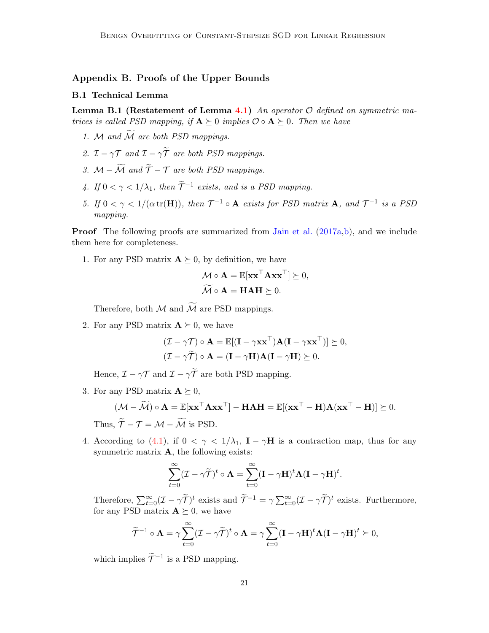## Appendix B. Proofs of the Upper Bounds

#### B.1 Technical Lemma

**Lemma B.1 (Restatement of Lemma [4.1\)](#page-10-4)** An operator  $\mathcal{O}$  defined on symmetric matrices is called PSD mapping, if  $A \succeq 0$  implies  $\mathcal{O} \circ A \succeq 0$ . Then we have

- 1. M and  $\overline{M}$  are both PSD mappings.
- 2.  $\mathcal{I} \gamma \mathcal{T}$  and  $\mathcal{I} \gamma \widetilde{\mathcal{T}}$  are both PSD mappings.
- 3.  $M \widetilde{M}$  and  $\widetilde{T} T$  are both PSD mappings.
- 4. If  $0 < \gamma < 1/\lambda_1$ , then  $\widetilde{\mathcal{T}}^{-1}$  exists, and is a PSD mapping.
- 5. If  $0 < \gamma < 1/(\alpha \operatorname{tr}(\mathbf{H}))$ , then  $\mathcal{T}^{-1} \circ \mathbf{A}$  exists for PSD matrix  $\mathbf{A}$ , and  $\mathcal{T}^{-1}$  is a PSD mapping.

Proof The following proofs are summarized from [Jain et al.](#page-18-7) [\(2017a,](#page-18-7)[b\)](#page-18-6), and we include them here for completeness.

1. For any PSD matrix  $\mathbf{A} \succeq 0$ , by definition, we have

$$
\mathcal{M} \circ \mathbf{A} = \mathbb{E}[\mathbf{x}\mathbf{x}^{\top} \mathbf{A} \mathbf{x} \mathbf{x}^{\top}] \succeq 0,
$$

$$
\widetilde{\mathcal{M}} \circ \mathbf{A} = \mathbf{H} \mathbf{A} \mathbf{H} \succeq 0.
$$

Therefore, both  $M$  and  $\widetilde{M}$  are PSD mappings.

2. For any PSD matrix  $\mathbf{A} \succeq 0$ , we have

$$
(\mathcal{I} - \gamma \mathcal{T}) \circ \mathbf{A} = \mathbb{E}[(\mathbf{I} - \gamma \mathbf{x} \mathbf{x}^{\top}) \mathbf{A} (\mathbf{I} - \gamma \mathbf{x} \mathbf{x}^{\top})] \succeq 0,
$$
  

$$
(\mathcal{I} - \gamma \widetilde{\mathcal{T}}) \circ \mathbf{A} = (\mathbf{I} - \gamma \mathbf{H}) \mathbf{A} (\mathbf{I} - \gamma \mathbf{H}) \succeq 0.
$$

Hence,  $\mathcal{I} - \gamma \mathcal{T}$  and  $\mathcal{I} - \gamma \widetilde{\mathcal{T}}$  are both PSD mapping.

3. For any PSD matrix  $\mathbf{A} \succeq 0$ ,

$$
(\mathcal{M} - \widetilde{\mathcal{M}}) \circ \mathbf{A} = \mathbb{E}[\mathbf{x}\mathbf{x}^{\top} \mathbf{A} \mathbf{x}\mathbf{x}^{\top}] - \mathbf{H} \mathbf{A} \mathbf{H} = \mathbb{E}[(\mathbf{x}\mathbf{x}^{\top} - \mathbf{H})\mathbf{A}(\mathbf{x}\mathbf{x}^{\top} - \mathbf{H})] \succeq 0.
$$
  
Thus,  $\widetilde{\mathcal{T}} - \mathcal{T} = \mathcal{M} - \widetilde{\mathcal{M}}$  is PSD.

4. According to [\(4.1\)](#page-10-3), if  $0 < \gamma < 1/\lambda_1$ ,  $I - \gamma H$  is a contraction map, thus for any symmetric matrix A, the following exists:

$$
\sum_{t=0}^{\infty} (\mathcal{I} - \gamma \widetilde{\mathcal{T}})^t \circ \mathbf{A} = \sum_{t=0}^{\infty} (\mathbf{I} - \gamma \mathbf{H})^t \mathbf{A} (\mathbf{I} - \gamma \mathbf{H})^t.
$$

Therefore,  $\sum_{t=0}^{\infty}(\mathcal{I}-\gamma\widetilde{\mathcal{T}})^t$  exists and  $\widetilde{\mathcal{T}}^{-1}=\gamma\sum_{t=0}^{\infty}(\mathcal{I}-\gamma\widetilde{\mathcal{T}})^t$  exists. Furthermore, for any PSD matrix  $\mathbf{A} \succeq 0$ , we have

$$
\widetilde{\mathcal{T}}^{-1} \circ \mathbf{A} = \gamma \sum_{t=0}^{\infty} (\mathcal{I} - \gamma \widetilde{\mathcal{T}})^t \circ \mathbf{A} = \gamma \sum_{t=0}^{\infty} (\mathbf{I} - \gamma \mathbf{H})^t \mathbf{A} (\mathbf{I} - \gamma \mathbf{H})^t \succeq 0,
$$

which implies  $\widetilde{\mathcal{T}}^{-1}$  is a PSD mapping.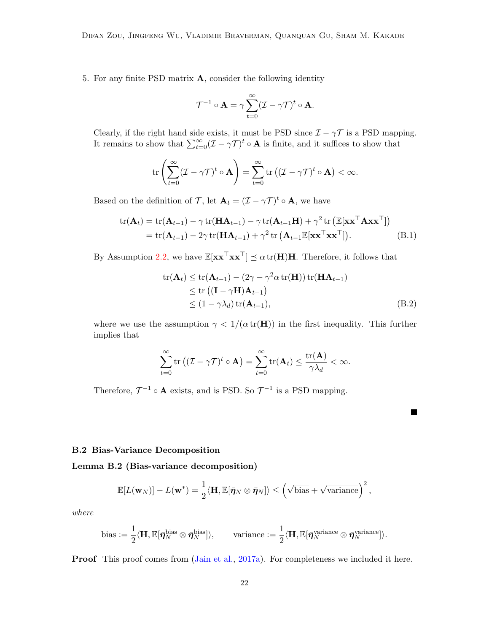5. For any finite PSD matrix A, consider the following identity

$$
\mathcal{T}^{-1}\circ \mathbf{A}=\gamma\sum_{t=0}^{\infty}(\mathcal{I}-\gamma\mathcal{T})^{t}\circ \mathbf{A}.
$$

Clearly, if the right hand side exists, it must be PSD since  $\mathcal{I} - \gamma \mathcal{T}$  is a PSD mapping. It remains to show that  $\sum_{t=0}^{\infty}(\mathcal{I} - \gamma \mathcal{T})^t \circ \mathbf{A}$  is finite, and it suffices to show that

$$
\operatorname{tr}\left(\sum_{t=0}^{\infty}(\mathcal{I}-\gamma\mathcal{T})^t\circ \mathbf{A}\right)=\sum_{t=0}^{\infty}\operatorname{tr}\left((\mathcal{I}-\gamma\mathcal{T})^t\circ \mathbf{A}\right)<\infty.
$$

Based on the definition of T, let  $\mathbf{A}_t = (\mathcal{I} - \gamma \mathcal{T})^t \circ \mathbf{A}$ , we have

$$
\text{tr}(\mathbf{A}_t) = \text{tr}(\mathbf{A}_{t-1}) - \gamma \text{tr}(\mathbf{H}\mathbf{A}_{t-1}) - \gamma \text{tr}(\mathbf{A}_{t-1}\mathbf{H}) + \gamma^2 \text{tr}(\mathbb{E}[\mathbf{x}\mathbf{x}^\top \mathbf{A}\mathbf{x}\mathbf{x}^\top])
$$
  
= 
$$
\text{tr}(\mathbf{A}_{t-1}) - 2\gamma \text{tr}(\mathbf{H}\mathbf{A}_{t-1}) + \gamma^2 \text{tr}(\mathbf{A}_{t-1}\mathbb{E}[\mathbf{x}\mathbf{x}^\top \mathbf{x}\mathbf{x}^\top]).
$$
 (B.1)

By Assumption [2.2,](#page-4-3) we have  $\mathbb{E}[\mathbf{x}\mathbf{x}^{\top}\mathbf{x}\mathbf{x}^{\top}] \preceq \alpha \operatorname{tr}(\mathbf{H})\mathbf{H}$ . Therefore, it follows that

$$
tr(\mathbf{A}_t) \le tr(\mathbf{A}_{t-1}) - (2\gamma - \gamma^2 \alpha tr(\mathbf{H})) tr(\mathbf{H} \mathbf{A}_{t-1})
$$
  
\n
$$
\le tr((\mathbf{I} - \gamma \mathbf{H}) \mathbf{A}_{t-1})
$$
  
\n
$$
\le (1 - \gamma \lambda_d) tr(\mathbf{A}_{t-1}),
$$
 (B.2)

 $\blacksquare$ 

where we use the assumption  $\gamma < 1/(\alpha \operatorname{tr}(\mathbf{H}))$  in the first inequality. This further implies that

$$
\sum_{t=0}^{\infty} \operatorname{tr} \left( (\mathcal{I} - \gamma \mathcal{T})^t \circ \mathbf{A} \right) = \sum_{t=0}^{\infty} \operatorname{tr}(\mathbf{A}_t) \le \frac{\operatorname{tr}(\mathbf{A})}{\gamma \lambda_d} < \infty.
$$

Therefore,  $\mathcal{T}^{-1} \circ \mathbf{A}$  exists, and is PSD. So  $\mathcal{T}^{-1}$  is a PSD mapping.

## B.2 Bias-Variance Decomposition

Lemma B.2 (Bias-variance decomposition)

$$
\mathbb{E}[L(\overline{\mathbf{w}}_N)] - L(\mathbf{w}^*) = \frac{1}{2} \langle \mathbf{H}, \mathbb{E}[\overline{\boldsymbol{\eta}}_N \otimes \overline{\boldsymbol{\eta}}_N] \rangle \leq \left(\sqrt{\text{bias}} + \sqrt{\text{variance}}\right)^2,
$$

where

$$
\text{bias} := \frac{1}{2} \langle \mathbf{H}, \mathbb{E}[\bar{\boldsymbol{\eta}}_N^\text{bias} \otimes \bar{\boldsymbol{\eta}}_N^\text{bias}]\rangle, \qquad \text{variance} := \frac{1}{2} \langle \mathbf{H}, \mathbb{E}[\bar{\boldsymbol{\eta}}_N^\text{variance} \otimes \bar{\boldsymbol{\eta}}_N^\text{variance}]\rangle.
$$

Proof This proof comes from [\(Jain et al.,](#page-18-7) [2017a\)](#page-18-7). For completeness we included it here.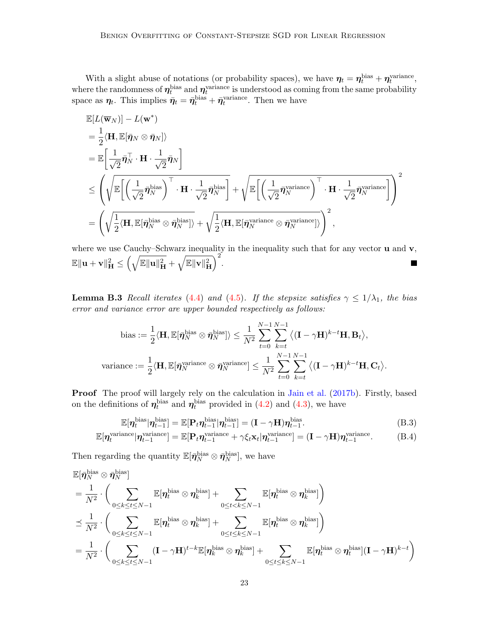With a slight abuse of notations (or probability spaces), we have  $\eta_t = \eta_t^{\text{bias}} + \eta_t^{\text{variance}}$ , where the randomness of  $\eta_t^{\text{bias}}$  and  $\eta_t^{\text{variance}}$  is understood as coming from the same probability space as  $\eta_t$ . This implies  $\bar{\eta}_t = \bar{\eta}_t^{\text{bias}} + \bar{\eta}_t^{\text{variance}}$ . Then we have

$$
\mathbb{E}[L(\overline{\mathbf{w}}_N)] - L(\mathbf{w}^*)
$$
\n
$$
= \frac{1}{2} \langle \mathbf{H}, \mathbb{E}[\bar{\boldsymbol{\eta}}_N \otimes \bar{\boldsymbol{\eta}}_N] \rangle
$$
\n
$$
= \mathbb{E}\left[\frac{1}{\sqrt{2}} \bar{\boldsymbol{\eta}}_N^\top \cdot \mathbf{H} \cdot \frac{1}{\sqrt{2}} \bar{\boldsymbol{\eta}}_N \right]
$$
\n
$$
\leq \left(\sqrt{\mathbb{E}\left[\left(\frac{1}{\sqrt{2}} \bar{\boldsymbol{\eta}}_N^{\text{bias}}\right)^\top \cdot \mathbf{H} \cdot \frac{1}{\sqrt{2}} \bar{\boldsymbol{\eta}}_N^{\text{bias}}\right] + \sqrt{\mathbb{E}\left[\left(\frac{1}{\sqrt{2}} \bar{\boldsymbol{\eta}}_N^{\text{variance}}\right)^\top \cdot \mathbf{H} \cdot \frac{1}{\sqrt{2}} \bar{\boldsymbol{\eta}}_N^{\text{variance}}\right]}\right)^2
$$
\n
$$
= \left(\sqrt{\frac{1}{2} \langle \mathbf{H}, \mathbb{E}[\bar{\boldsymbol{\eta}}_N^{\text{bias}} \otimes \bar{\boldsymbol{\eta}}_N^{\text{bias}}] \rangle} + \sqrt{\frac{1}{2} \langle \mathbf{H}, \mathbb{E}[\bar{\boldsymbol{\eta}}_N^{\text{variance}} \otimes \bar{\boldsymbol{\eta}}_N^{\text{variance}}] \rangle} \right)^2,
$$

where we use Cauchy–Schwarz inequality in the inequality such that for any vector  ${\bf u}$  and  ${\bf v},$  $\mathbb{E}\|\mathbf{u}+\mathbf{v}\|_{\mathbf{H}}^{2} \leq \Big(\sqrt{\mathbb{E}\|\mathbf{u}\|_{\mathbf{H}}^{2}}+\sqrt{\mathbb{E}\|\mathbf{v}\|_{\mathbf{H}}^{2}}\Big)^{2}.$  $\blacksquare$ 

<span id="page-22-0"></span>**Lemma B.3** Recall iterates [\(4.4\)](#page-11-5) and [\(4.5\)](#page-11-4). If the stepsize satisfies  $\gamma \leq 1/\lambda_1$ , the bias error and variance error are upper bounded respectively as follows:

bias := 
$$
\frac{1}{2} \langle \mathbf{H}, \mathbb{E}[\bar{\pmb{\eta}}_N^{\text{bias}} \otimes \bar{\pmb{\eta}}_N^{\text{bias}}] \rangle \le \frac{1}{N^2} \sum_{t=0}^{N-1} \sum_{k=t}^{N-1} \langle (\mathbf{I} - \gamma \mathbf{H})^{k-t} \mathbf{H}, \mathbf{B}_t \rangle
$$
,  
variance :=  $\frac{1}{2} \langle \mathbf{H}, \mathbb{E}[\bar{\pmb{\eta}}_N^{\text{variance}} \otimes \bar{\pmb{\eta}}_N^{\text{variance}}] \le \frac{1}{N^2} \sum_{t=0}^{N-1} \sum_{k=t}^{N-1} \langle (\mathbf{I} - \gamma \mathbf{H})^{k-t} \mathbf{H}, \mathbf{C}_t \rangle$ .

Proof The proof will largely rely on the calculation in [Jain et al.](#page-18-6) [\(2017b\)](#page-18-6). Firstly, based on the definitions of  $\eta_t^{\text{bias}}$  and  $\eta_t^{\text{bias}}$  provided in [\(4.2\)](#page-10-2) and [\(4.3\)](#page-11-1), we have

<span id="page-22-2"></span><span id="page-22-1"></span>
$$
\mathbb{E}[\eta_t^{\text{bias}}|\eta_{t-1}^{\text{bias}}] = \mathbb{E}[\mathbf{P}_t \eta_{t-1}^{\text{bias}}|\eta_{t-1}^{\text{bias}}] = (\mathbf{I} - \gamma \mathbf{H}) \eta_{t-1}^{\text{bias}}.
$$
\n(B.3)

$$
\mathbb{E}[\eta_t^{\text{variance}}|\eta_{t-1}^{\text{variance}}] = \mathbb{E}[\mathbf{P}_t \eta_{t-1}^{\text{variance}} + \gamma \xi_t \mathbf{x}_t |\eta_{t-1}^{\text{variance}}] = (\mathbf{I} - \gamma \mathbf{H}) \eta_{t-1}^{\text{variance}}.
$$
(B.4)

Then regarding the quantity  $\mathbb{E}[\bar{\pmb{\eta}}_N^{\text{bias}} \otimes \bar{\pmb{\eta}}_N^{\text{bias}}]$ , we have

$$
\mathbb{E}[\bar{\pmb{\eta}}_N^{\text{bias}}\otimes \bar{\pmb{\eta}}_N^{\text{bias}}] \n= \frac{1}{N^2} \cdot \left(\sum_{0 \le k \le t \le N-1} \mathbb{E}[\pmb{\eta}_t^{\text{bias}}\otimes \pmb{\eta}_k^{\text{bias}}] + \sum_{0 \le t < k \le N-1} \mathbb{E}[\pmb{\eta}_t^{\text{bias}}\otimes \pmb{\eta}_k^{\text{bias}}]\right) \n\le \frac{1}{N^2} \cdot \left(\sum_{0 \le k \le t \le N-1} \mathbb{E}[\pmb{\eta}_t^{\text{bias}}\otimes \pmb{\eta}_k^{\text{bias}}] + \sum_{0 \le t \le k \le N-1} \mathbb{E}[\pmb{\eta}_t^{\text{bias}}\otimes \pmb{\eta}_k^{\text{bias}}]\right) \n= \frac{1}{N^2} \cdot \left(\sum_{0 \le k \le t \le N-1} (\mathbf{I} - \gamma \mathbf{H})^{t-k} \mathbb{E}[\pmb{\eta}_k^{\text{bias}}\otimes \pmb{\eta}_k^{\text{bias}}] + \sum_{0 \le t \le k \le N-1} \mathbb{E}[\pmb{\eta}_t^{\text{bias}}\otimes \pmb{\eta}_t^{\text{bias}}] (\mathbf{I} - \gamma \mathbf{H})^{k-t}\right)
$$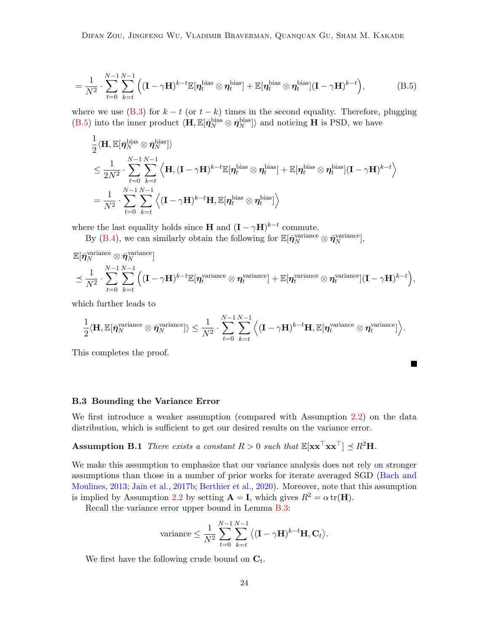$$
= \frac{1}{N^2} \cdot \sum_{t=0}^{N-1} \sum_{k=t}^{N-1} \left( (\mathbf{I} - \gamma \mathbf{H})^{k-t} \mathbb{E}[\boldsymbol{\eta}_t^{\text{bias}} \otimes \boldsymbol{\eta}_t^{\text{bias}}] + \mathbb{E}[\boldsymbol{\eta}_t^{\text{bias}} \otimes \boldsymbol{\eta}_t^{\text{bias}}] (\mathbf{I} - \gamma \mathbf{H})^{k-t} \right), \tag{B.5}
$$

where we use [\(B.3\)](#page-22-1) for  $k - t$  (or  $t - k$ ) times in the second equality. Therefore, plugging [\(B.5\)](#page-23-2) into the inner product  $\langle \mathbf{H}, \mathbb{E}[\bar{\pmb{\eta}}_N^{\text{bias}} \otimes \bar{\pmb{\eta}}_N^{\text{bias}}] \rangle$  and noticing **H** is PSD, we have

$$
\begin{split} &\frac{1}{2}\langle \mathbf{H}, \mathbb{E}[\bar{\pmb{\eta}}_N^{\text{bias}} \otimes \bar{\pmb{\eta}}_N^{\text{bias}}]\rangle \\ &\leq \frac{1}{2N^2} \cdot \sum_{t=0}^{N-1}\sum_{k=t}^{N-1} \left\langle \mathbf{H}, (\mathbf{I} - \gamma \mathbf{H})^{k-t} \mathbb{E}[\pmb{\eta}_t^{\text{bias}} \otimes \pmb{\eta}_t^{\text{bias}}] + \mathbb{E}[\pmb{\eta}_t^{\text{bias}} \otimes \pmb{\eta}_t^{\text{bias}}] (\mathbf{I} - \gamma \mathbf{H})^{k-t}\right\rangle \\ &= \frac{1}{N^2} \cdot \sum_{t=0}^{N-1}\sum_{k=t}^{N-1} \left\langle (\mathbf{I} - \gamma \mathbf{H})^{k-t} \mathbf{H}, \mathbb{E}[\pmb{\eta}_t^{\text{bias}} \otimes \pmb{\eta}_t^{\text{bias}}]\right\rangle \end{split}
$$

where the last equality holds since **H** and  $(I - \gamma H)^{k-t}$  commute.

By [\(B.4\)](#page-22-2), we can similarly obtain the following for  $\mathbb{E}[\bar{\pmb{\eta}}_N^{\text{variance}} \otimes \bar{\pmb{\eta}}_N^{\text{variance}}]$ ,

$$
\begin{aligned} &\mathbb{E}[\bar{\pmb{\eta}}_N^{\text{variance}}\otimes\bar{\pmb{\eta}}_N^{\text{variance}}] \\ &\preceq\frac{1}{N^2}\cdot\sum_{t=0}^{N-1}\sum_{k=t}^{N-1}\Big((\mathbf{I}-\gamma\mathbf{H})^{k-t}\mathbb{E}[\pmb{\eta}_t^{\text{variance}}\otimes\pmb{\eta}_t^{\text{variance}}]+\mathbb{E}[\pmb{\eta}_t^{\text{variance}}\otimes\pmb{\eta}_t^{\text{variance}}](\mathbf{I}-\gamma\mathbf{H})^{k-t}\Big), \end{aligned}
$$

which further leads to

$$
\frac{1}{2}\langle \mathbf{H}, \mathbb{E}[\bar{\pmb{\eta}}_N^{\text{variance}} \otimes \bar{\pmb{\eta}}_N^{\text{variance}}] \rangle \leq \frac{1}{N^2} \cdot \sum_{t=0}^{N-1} \sum_{k=t}^{N-1} \left\langle (\mathbf{I} - \gamma \mathbf{H})^{k-t} \mathbf{H}, \mathbb{E}[\pmb{\eta}_t^{\text{variance}} \otimes \pmb{\eta}_t^{\text{variance}}] \right\rangle.
$$

<span id="page-23-2"></span>

This completes the proof.

## <span id="page-23-0"></span>B.3 Bounding the Variance Error

We first introduce a weaker assumption (compared with Assumption [2.2\)](#page-4-3) on the data distribution, which is sufficient to get our desired results on the variance error.

# **Assumption B.1** There exists a constant  $R > 0$  such that  $\mathbb{E}[\mathbf{x} \mathbf{x}^{\top} \mathbf{x} \mathbf{x}^{\top}] \preceq R^2 \mathbf{H}$ .

We make this assumption to emphasize that our variance analysis does not rely on stronger assumptions than those in a number of prior works for iterate averaged SGD [\(Bach and](#page-17-4) [Moulines,](#page-17-4) [2013;](#page-17-4) [Jain et al.,](#page-18-6) [2017b;](#page-18-6) [Berthier et al.,](#page-17-7) [2020\)](#page-17-7). Moreover, note that this assumption is implied by Assumption [2.2](#page-4-3) by setting  $\mathbf{A} = \mathbf{I}$ , which gives  $R^2 = \alpha \, tr(\mathbf{H})$ .

Recall the variance error upper bound in Lemma [B.3:](#page-22-0)

<span id="page-23-1"></span>variance 
$$
\leq \frac{1}{N^2} \sum_{t=0}^{N-1} \sum_{k=t}^{N-1} \langle (\mathbf{I} - \gamma \mathbf{H})^{k-t} \mathbf{H}, \mathbf{C}_t \rangle
$$
.

We first have the following crude bound on  $\mathbf{C}_t$ .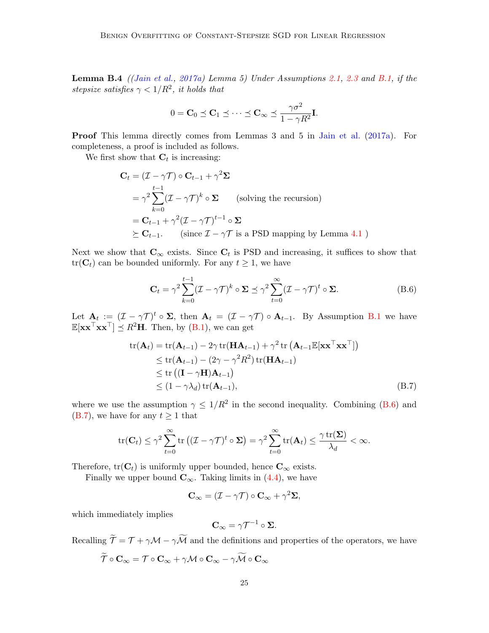**Lemma B.4** ([\(Jain et al.,](#page-18-7) [2017a\)](#page-18-7) Lemma 5) Under Assumptions [2.1,](#page-3-0) [2.3](#page-4-4) and [B.1,](#page-3-0) if the stepsize satisfies  $\gamma < 1/R^2$ , it holds that

$$
0 = \mathbf{C}_0 \preceq \mathbf{C}_1 \preceq \cdots \preceq \mathbf{C}_{\infty} \preceq \frac{\gamma \sigma^2}{1 - \gamma R^2} \mathbf{I}.
$$

Proof This lemma directly comes from Lemmas 3 and 5 in [Jain et al.](#page-18-7) [\(2017a\)](#page-18-7). For completeness, a proof is included as follows.

We first show that  $\mathbf{C}_t$  is increasing:

$$
\mathbf{C}_{t} = (\mathcal{I} - \gamma \mathcal{T}) \circ \mathbf{C}_{t-1} + \gamma^{2} \mathbf{\Sigma}
$$
\n
$$
= \gamma^{2} \sum_{k=0}^{t-1} (\mathcal{I} - \gamma \mathcal{T})^{k} \circ \mathbf{\Sigma}
$$
 (solving the recursion)\n
$$
= \mathbf{C}_{t-1} + \gamma^{2} (\mathcal{I} - \gamma \mathcal{T})^{t-1} \circ \mathbf{\Sigma}
$$
\n
$$
\succeq \mathbf{C}_{t-1}. \qquad \text{(since } \mathcal{I} - \gamma \mathcal{T} \text{ is a PSD mapping by Lemma 4.1)}
$$

Next we show that  $\mathbf{C}_{\infty}$  exists. Since  $\mathbf{C}_{t}$  is PSD and increasing, it suffices to show that  $tr(\mathbf{C}_t)$  can be bounded uniformly. For any  $t \geq 1$ , we have

<span id="page-24-0"></span>
$$
\mathbf{C}_{t} = \gamma^{2} \sum_{k=0}^{t-1} (\mathcal{I} - \gamma \mathcal{T})^{k} \circ \Sigma \preceq \gamma^{2} \sum_{t=0}^{\infty} (\mathcal{I} - \gamma \mathcal{T})^{t} \circ \Sigma.
$$
 (B.6)

Let  $\mathbf{A}_t := (\mathcal{I} - \gamma \mathcal{T})^t \circ \mathbf{\Sigma}$ , then  $\mathbf{A}_t = (\mathcal{I} - \gamma \mathcal{T}) \circ \mathbf{A}_{t-1}$ . By Assumption [B.1](#page-3-0) we have  $\mathbb{E}[\mathbf{x}\mathbf{x}^{\top}\mathbf{x}\mathbf{x}^{\top}] \preceq R^2\mathbf{H}$ . Then, by [\(B.1\)](#page-5-0), we can get

$$
tr(\mathbf{A}_t) = tr(\mathbf{A}_{t-1}) - 2\gamma tr(\mathbf{H}\mathbf{A}_{t-1}) + \gamma^2 tr(\mathbf{A}_{t-1} \mathbb{E}[\mathbf{x}\mathbf{x}^\top \mathbf{x}\mathbf{x}^\top])
$$
  
\n
$$
\leq tr(\mathbf{A}_{t-1}) - (2\gamma - \gamma^2 R^2) tr(\mathbf{H}\mathbf{A}_{t-1})
$$
  
\n
$$
\leq tr((\mathbf{I} - \gamma \mathbf{H})\mathbf{A}_{t-1})
$$
  
\n
$$
\leq (1 - \gamma \lambda_d) tr(\mathbf{A}_{t-1}),
$$
 (B.7)

where we use the assumption  $\gamma \leq 1/R^2$  in the second inequality. Combining [\(B.6\)](#page-24-0) and [\(B.7\)](#page-24-1), we have for any  $t \geq 1$  that

$$
\mathrm{tr}(\mathbf{C}_t) \leq \gamma^2 \sum_{t=0}^{\infty} \mathrm{tr} \left( (\mathcal{I} - \gamma \mathcal{T})^t \circ \Sigma \right) = \gamma^2 \sum_{t=0}^{\infty} \mathrm{tr}(\mathbf{A}_t) \leq \frac{\gamma \mathrm{tr}(\Sigma)}{\lambda_d} < \infty.
$$

Therefore,  $tr(C_t)$  is uniformly upper bounded, hence  $C_{\infty}$  exists.

Finally we upper bound  $\mathbf{C}_{\infty}$ . Taking limits in [\(4.4\)](#page-11-5), we have

$$
\mathbf{C}_{\infty} = (\mathcal{I} - \gamma \mathcal{T}) \circ \mathbf{C}_{\infty} + \gamma^2 \mathbf{\Sigma},
$$

which immediately implies

<span id="page-24-1"></span>
$$
\mathbf{C}_{\infty} = \gamma \mathcal{T}^{-1} \circ \Sigma.
$$

Recalling  $\widetilde{\mathcal{T}} = \mathcal{T} + \gamma \mathcal{M} - \gamma \widetilde{\mathcal{M}}$  and the definitions and properties of the operators, we have

$$
\widetilde{\mathcal{T}} \circ \mathbf{C}_{\infty} = \mathcal{T} \circ \mathbf{C}_{\infty} + \gamma \mathcal{M} \circ \mathbf{C}_{\infty} - \gamma \widetilde{\mathcal{M}} \circ \mathbf{C}_{\infty}
$$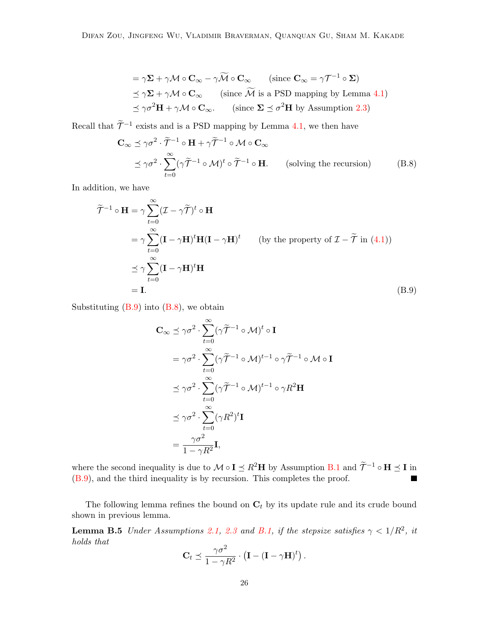<span id="page-25-2"></span>
$$
= \gamma \Sigma + \gamma \mathcal{M} \circ \mathbf{C}_{\infty} - \gamma \widetilde{\mathcal{M}} \circ \mathbf{C}_{\infty} \qquad \text{(since } \mathbf{C}_{\infty} = \gamma \mathcal{T}^{-1} \circ \Sigma)
$$
  
\n
$$
\preceq \gamma \Sigma + \gamma \mathcal{M} \circ \mathbf{C}_{\infty} \qquad \text{(since } \widetilde{\mathcal{M}} \text{ is a PSD mapping by Lemma 4.1)}
$$
  
\n
$$
\preceq \gamma \sigma^2 \mathbf{H} + \gamma \mathcal{M} \circ \mathbf{C}_{\infty}. \qquad \text{(since } \Sigma \preceq \sigma^2 \mathbf{H} \text{ by Assumption 2.3)}
$$

Recall that  $\widetilde{\mathcal{T}}^{-1}$  exists and is a PSD mapping by Lemma [4.1,](#page-10-4) we then have

$$
\mathbf{C}_{\infty} \preceq \gamma \sigma^2 \cdot \widetilde{\mathcal{T}}^{-1} \circ \mathbf{H} + \gamma \widetilde{\mathcal{T}}^{-1} \circ \mathcal{M} \circ \mathbf{C}_{\infty}
$$
  
 
$$
\preceq \gamma \sigma^2 \cdot \sum_{t=0}^{\infty} (\gamma \widetilde{\mathcal{T}}^{-1} \circ \mathcal{M})^t \circ \widetilde{\mathcal{T}}^{-1} \circ \mathbf{H}. \qquad \text{(solving the recursion)} \tag{B.8}
$$

In addition, we have

$$
\widetilde{\mathcal{T}}^{-1} \circ \mathbf{H} = \gamma \sum_{t=0}^{\infty} (\mathcal{I} - \gamma \widetilde{\mathcal{T}})^t \circ \mathbf{H}
$$
\n
$$
= \gamma \sum_{t=0}^{\infty} (\mathbf{I} - \gamma \mathbf{H})^t \mathbf{H} (\mathbf{I} - \gamma \mathbf{H})^t \qquad \text{(by the property of } \mathcal{I} - \widetilde{\mathcal{T}} \text{ in (4.1)})
$$
\n
$$
\preceq \gamma \sum_{t=0}^{\infty} (\mathbf{I} - \gamma \mathbf{H})^t \mathbf{H}
$$
\n
$$
= \mathbf{I}. \tag{B.9}
$$

Substituting  $(B.9)$  into  $(B.8)$ , we obtain

<span id="page-25-1"></span>
$$
\mathbf{C}_{\infty} \preceq \gamma \sigma^2 \cdot \sum_{t=0}^{\infty} (\gamma \widetilde{\mathcal{T}}^{-1} \circ \mathcal{M})^t \circ \mathbf{I}
$$
  
\n
$$
= \gamma \sigma^2 \cdot \sum_{t=0}^{\infty} (\gamma \widetilde{\mathcal{T}}^{-1} \circ \mathcal{M})^{t-1} \circ \gamma \widetilde{\mathcal{T}}^{-1} \circ \mathcal{M} \circ \mathbf{I}
$$
  
\n
$$
\preceq \gamma \sigma^2 \cdot \sum_{t=0}^{\infty} (\gamma \widetilde{\mathcal{T}}^{-1} \circ \mathcal{M})^{t-1} \circ \gamma R^2 \mathbf{H}
$$
  
\n
$$
\preceq \gamma \sigma^2 \cdot \sum_{t=0}^{\infty} (\gamma R^2)^t \mathbf{I}
$$
  
\n
$$
= \frac{\gamma \sigma^2}{1 - \gamma R^2} \mathbf{I},
$$

where the second inequality is due to  $\mathcal{M} \circ I \preceq R^2H$  by Assumption [B.1](#page-3-0) and  $\widetilde{\mathcal{T}}^{-1} \circ H \preceq I$  in [\(B.9\)](#page-25-1), and the third inequality is by recursion. This completes the proof.

The following lemma refines the bound on  $C_t$  by its update rule and its crude bound shown in previous lemma.

**Lemma B.5** Under Assumptions [2.1,](#page-3-0) [2.3](#page-4-4) and [B.1,](#page-3-0) if the stepsize satisfies  $\gamma < 1/R^2$ , it holds that

<span id="page-25-0"></span>
$$
\mathbf{C}_t \preceq \frac{\gamma \sigma^2}{1 - \gamma R^2} \cdot \left( \mathbf{I} - (\mathbf{I} - \gamma \mathbf{H})^t \right).
$$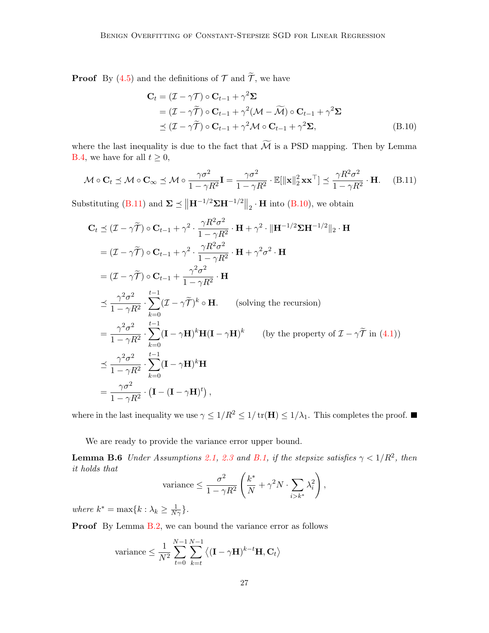**Proof** By [\(4.5\)](#page-11-4) and the definitions of  $\mathcal{T}$  and  $\widetilde{\mathcal{T}}$ , we have

<span id="page-26-2"></span><span id="page-26-1"></span>
$$
\mathbf{C}_{t} = (\mathcal{I} - \gamma \mathcal{T}) \circ \mathbf{C}_{t-1} + \gamma^{2} \mathbf{\Sigma}
$$
  
=  $(\mathcal{I} - \gamma \tilde{\mathcal{T}}) \circ \mathbf{C}_{t-1} + \gamma^{2} (\mathcal{M} - \widetilde{\mathcal{M}}) \circ \mathbf{C}_{t-1} + \gamma^{2} \mathbf{\Sigma}$   
 $\preceq (\mathcal{I} - \gamma \tilde{\mathcal{T}}) \circ \mathbf{C}_{t-1} + \gamma^{2} \mathcal{M} \circ \mathbf{C}_{t-1} + \gamma^{2} \mathbf{\Sigma},$  (B.10)

where the last inequality is due to the fact that  $\widetilde{\mathcal{M}}$  is a PSD mapping. Then by Lemma [B.4,](#page-23-1) we have for all  $t \geq 0$ ,

$$
\mathcal{M} \circ \mathbf{C}_t \preceq \mathcal{M} \circ \mathbf{C}_{\infty} \preceq \mathcal{M} \circ \frac{\gamma \sigma^2}{1 - \gamma R^2} \mathbf{I} = \frac{\gamma \sigma^2}{1 - \gamma R^2} \cdot \mathbb{E}[\|\mathbf{x}\|_2^2 \mathbf{x} \mathbf{x}^\top] \preceq \frac{\gamma R^2 \sigma^2}{1 - \gamma R^2} \cdot \mathbf{H}.
$$
 (B.11)

Substituting [\(B.11\)](#page-26-1) and  $\Sigma \preceq ||\mathbf{H}^{-1/2}\Sigma\mathbf{H}^{-1/2}||_2 \cdot \mathbf{H}$  into [\(B.10\)](#page-26-2), we obtain

$$
\mathbf{C}_{t} \preceq (\mathcal{I} - \gamma \widetilde{\mathcal{T}}) \circ \mathbf{C}_{t-1} + \gamma^{2} \cdot \frac{\gamma R^{2} \sigma^{2}}{1 - \gamma R^{2}} \cdot \mathbf{H} + \gamma^{2} \cdot ||\mathbf{H}^{-1/2} \Sigma \mathbf{H}^{-1/2}||_{2} \cdot \mathbf{H}
$$
\n
$$
= (\mathcal{I} - \gamma \widetilde{\mathcal{T}}) \circ \mathbf{C}_{t-1} + \gamma^{2} \cdot \frac{\gamma R^{2} \sigma^{2}}{1 - \gamma R^{2}} \cdot \mathbf{H} + \gamma^{2} \sigma^{2} \cdot \mathbf{H}
$$
\n
$$
= (\mathcal{I} - \gamma \widetilde{\mathcal{T}}) \circ \mathbf{C}_{t-1} + \frac{\gamma^{2} \sigma^{2}}{1 - \gamma R^{2}} \cdot \mathbf{H}
$$
\n
$$
\preceq \frac{\gamma^{2} \sigma^{2}}{1 - \gamma R^{2}} \cdot \sum_{k=0}^{t-1} (\mathcal{I} - \gamma \widetilde{\mathcal{T}})^{k} \circ \mathbf{H}. \qquad \text{(solving the recursion)}
$$
\n
$$
= \frac{\gamma^{2} \sigma^{2}}{1 - \gamma R^{2}} \cdot \sum_{k=0}^{t-1} (\mathbf{I} - \gamma \mathbf{H})^{k} \mathbf{H} (\mathbf{I} - \gamma \mathbf{H})^{k} \qquad \text{(by the property of } \mathcal{I} - \gamma \widetilde{\mathcal{T}} \text{ in (4.1)})
$$
\n
$$
\preceq \frac{\gamma^{2} \sigma^{2}}{1 - \gamma R^{2}} \cdot \sum_{k=0}^{t-1} (\mathbf{I} - \gamma \mathbf{H})^{k} \mathbf{H}
$$
\n
$$
= \frac{\gamma \sigma^{2}}{1 - \gamma R^{2}} \cdot (\mathbf{I} - (\mathbf{I} - \gamma \mathbf{H})^{t}),
$$

where in the last inequality we use  $\gamma \leq 1/R^2 \leq 1/\text{tr}(\mathbf{H}) \leq 1/\lambda_1$ . This completes the proof.

We are ready to provide the variance error upper bound.

**Lemma B.6** Under Assumptions [2.1,](#page-3-0) [2.3](#page-4-4) and [B.1,](#page-3-0) if the stepsize satisfies  $\gamma < 1/R^2$ , then it holds that

<span id="page-26-0"></span>variance 
$$
\leq \frac{\sigma^2}{1 - \gamma R^2} \left( \frac{k^*}{N} + \gamma^2 N \cdot \sum_{i > k^*} \lambda_i^2 \right),
$$

where  $k^* = \max\{k : \lambda_k \geq \frac{1}{N\gamma}\}.$ 

**Proof** By Lemma [B.2,](#page-6-1) we can bound the variance error as follows

variance 
$$
\leq \frac{1}{N^2} \sum_{t=0}^{N-1} \sum_{k=t}^{N-1} \langle (\mathbf{I} - \gamma \mathbf{H})^{k-t} \mathbf{H}, \mathbf{C}_t \rangle
$$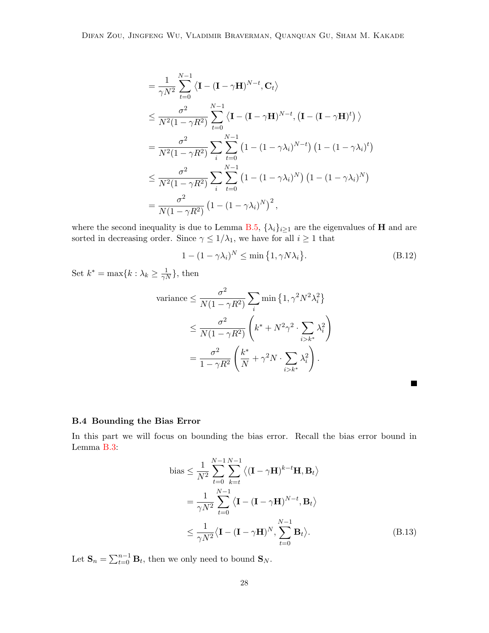$$
= \frac{1}{\gamma N^2} \sum_{t=0}^{N-1} \langle \mathbf{I} - (\mathbf{I} - \gamma \mathbf{H})^{N-t}, \mathbf{C}_t \rangle
$$
  
\n
$$
\leq \frac{\sigma^2}{N^2 (1 - \gamma R^2)} \sum_{t=0}^{N-1} \langle \mathbf{I} - (\mathbf{I} - \gamma \mathbf{H})^{N-t}, (\mathbf{I} - (\mathbf{I} - \gamma \mathbf{H})^t) \rangle
$$
  
\n
$$
= \frac{\sigma^2}{N^2 (1 - \gamma R^2)} \sum_{i} \sum_{t=0}^{N-1} (1 - (1 - \gamma \lambda_i)^{N-t}) (1 - (1 - \gamma \lambda_i)^t)
$$
  
\n
$$
\leq \frac{\sigma^2}{N^2 (1 - \gamma R^2)} \sum_{i} \sum_{t=0}^{N-1} (1 - (1 - \gamma \lambda_i)^N) (1 - (1 - \gamma \lambda_i)^N)
$$
  
\n
$$
= \frac{\sigma^2}{N (1 - \gamma R^2)} (1 - (1 - \gamma \lambda_i)^N)^2,
$$

where the second inequality is due to Lemma [B.5,](#page-25-0)  $\{\lambda_i\}_{i\geq 1}$  are the eigenvalues of **H** and are sorted in decreasing order. Since  $\gamma \leq 1/\lambda_1$ , we have for all  $i \geq 1$  that

$$
1 - (1 - \gamma \lambda_i)^N \le \min\left\{1, \gamma N \lambda_i\right\}.
$$
 (B.12)

<span id="page-27-2"></span><span id="page-27-0"></span> $\blacksquare$ 

Set  $k^* = \max\{k : \lambda_k \geq \frac{1}{\gamma N}\},\$  then

variance 
$$
\leq \frac{\sigma^2}{N(1 - \gamma R^2)} \sum_i \min\left\{1, \gamma^2 N^2 \lambda_i^2\right\}
$$
  
 $\leq \frac{\sigma^2}{N(1 - \gamma R^2)} \left(k^* + N^2 \gamma^2 \cdot \sum_{i > k^*} \lambda_i^2\right)$   
 $= \frac{\sigma^2}{1 - \gamma R^2} \left(\frac{k^*}{N} + \gamma^2 N \cdot \sum_{i > k^*} \lambda_i^2\right).$ 

## B.4 Bounding the Bias Error

In this part we will focus on bounding the bias error. Recall the bias error bound in Lemma [B.3:](#page-22-0)

bias 
$$
\leq \frac{1}{N^2} \sum_{t=0}^{N-1} \sum_{k=t}^{N-1} \langle (\mathbf{I} - \gamma \mathbf{H})^{k-t} \mathbf{H}, \mathbf{B}_t \rangle
$$
  
\n
$$
= \frac{1}{\gamma N^2} \sum_{t=0}^{N-1} \langle \mathbf{I} - (\mathbf{I} - \gamma \mathbf{H})^{N-t}, \mathbf{B}_t \rangle
$$
\n
$$
\leq \frac{1}{\gamma N^2} \langle \mathbf{I} - (\mathbf{I} - \gamma \mathbf{H})^N, \sum_{t=0}^{N-1} \mathbf{B}_t \rangle.
$$
\n(B.13)

<span id="page-27-1"></span>Let  $\mathbf{S}_n = \sum_{t=0}^{n-1} \mathbf{B}_t$ , then we only need to bound  $\mathbf{S}_N$ .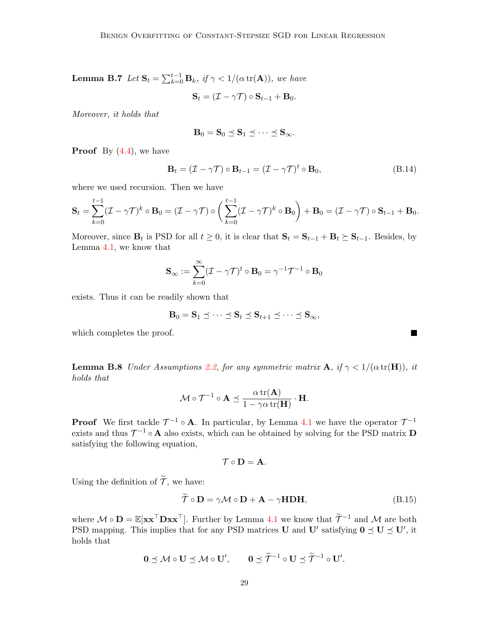**Lemma B.7** Let  $\mathbf{S}_t = \sum_{k=0}^{t-1} \mathbf{B}_k$ , if  $\gamma < 1/(\alpha \operatorname{tr}(\mathbf{A}))$ , we have

$$
\mathbf{S}_t = (\mathcal{I} - \gamma \mathcal{T}) \circ \mathbf{S}_{t-1} + \mathbf{B}_0.
$$

Moreover, it holds that

$$
\mathbf{B}_0 = \mathbf{S}_0 \preceq \mathbf{S}_1 \preceq \cdots \preceq \mathbf{S}_{\infty}.
$$

**Proof** By  $(4.4)$ , we have

$$
\mathbf{B}_{t} = (\mathcal{I} - \gamma \mathcal{T}) \circ \mathbf{B}_{t-1} = (\mathcal{I} - \gamma \mathcal{T})^{t} \circ \mathbf{B}_{0}, \tag{B.14}
$$

where we used recursion. Then we have

$$
\mathbf{S}_t = \sum_{k=0}^{t-1} (\mathcal{I} - \gamma \mathcal{T})^k \circ \mathbf{B}_0 = (\mathcal{I} - \gamma \mathcal{T}) \circ \left( \sum_{k=0}^{t-1} (\mathcal{I} - \gamma \mathcal{T})^k \circ \mathbf{B}_0 \right) + \mathbf{B}_0 = (\mathcal{I} - \gamma \mathcal{T}) \circ \mathbf{S}_{t-1} + \mathbf{B}_0.
$$

Moreover, since  $\mathbf{B}_t$  is PSD for all  $t \geq 0$ , it is clear that  $\mathbf{S}_t = \mathbf{S}_{t-1} + \mathbf{B}_t \succeq \mathbf{S}_{t-1}$ . Besides, by Lemma [4.1,](#page-10-4) we know that

$$
\mathbf{S}_{\infty} := \sum_{k=0}^{\infty} (\mathcal{I} - \gamma \mathcal{T})^t \circ \mathbf{B}_0 = \gamma^{-1} \mathcal{T}^{-1} \circ \mathbf{B}_0
$$

exists. Thus it can be readily shown that

$$
\mathbf{B}_0=\mathbf{S}_1\preceq\cdots\preceq \mathbf{S}_t\preceq \mathbf{S}_{t+1}\preceq\cdots\preceq \mathbf{S}_{\infty},
$$

which completes the proof.

<span id="page-28-1"></span>**Lemma B.8** Under Assumptions [2.2,](#page-4-3) for any symmetric matrix  $\mathbf{A}$ , if  $\gamma < 1/(\alpha \operatorname{tr}(\mathbf{H}))$ , it holds that

$$
\mathcal{M} \circ \mathcal{T}^{-1} \circ \mathbf{A} \preceq \frac{\alpha \operatorname{tr}(\mathbf{A})}{1 - \gamma \alpha \operatorname{tr}(\mathbf{H})} \cdot \mathbf{H}.
$$

**Proof** We first tackle  $\mathcal{T}^{-1} \circ \mathbf{A}$ . In particular, by Lemma [4.1](#page-10-4) we have the operator  $\mathcal{T}^{-1}$ exists and thus  $\mathcal{T}^{-1} \circ \mathbf{A}$  also exists, which can be obtained by solving for the PSD matrix  $\mathbf{D}$ satisfying the following equation,

$$
\mathcal{T}\circ\mathbf{D}=\mathbf{A}.
$$

Using the definition of  $\widetilde{\mathcal{T}}$ , we have:

$$
\mathcal{T} \circ \mathbf{D} = \gamma \mathcal{M} \circ \mathbf{D} + \mathbf{A} - \gamma \mathbf{H} \mathbf{D} \mathbf{H},\tag{B.15}
$$

where  $M \circ \mathbf{D} = \mathbb{E}[\mathbf{x}\mathbf{x}^{\top} \mathbf{D}\mathbf{x}\mathbf{x}^{\top}]$ . Further by Lemma [4.1](#page-10-4) we know that  $\widetilde{\mathcal{T}}^{-1}$  and  $M$  are both PSD mapping. This implies that for any PSD matrices U and U' satisfying  $0 \le U \le U'$ , it holds that

$$
0 \preceq M \circ U \preceq M \circ U', \qquad 0 \preceq \widetilde{\mathcal{T}}^{-1} \circ U \preceq \widetilde{\mathcal{T}}^{-1} \circ U'.
$$

<span id="page-28-0"></span>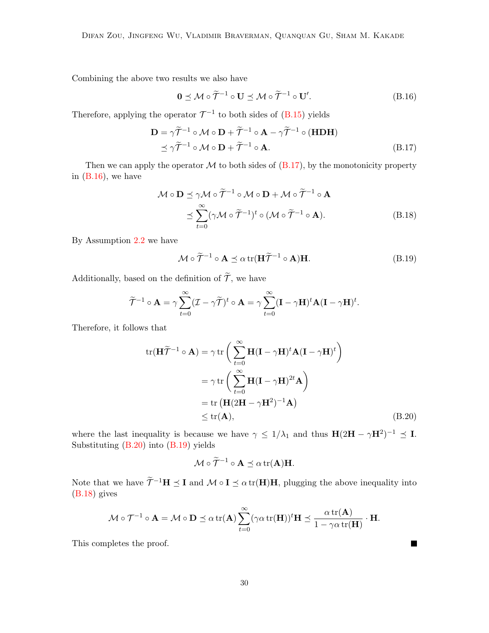Combining the above two results we also have

<span id="page-29-2"></span><span id="page-29-1"></span>
$$
\mathbf{0} \preceq \mathcal{M} \circ \widetilde{\mathcal{T}}^{-1} \circ \mathbf{U} \preceq \mathcal{M} \circ \widetilde{\mathcal{T}}^{-1} \circ \mathbf{U}'. \tag{B.16}
$$

Therefore, applying the operator  $\mathcal{T}^{-1}$  to both sides of [\(B.15\)](#page-28-0) yields

$$
\mathbf{D} = \gamma \widetilde{\mathcal{T}}^{-1} \circ \mathcal{M} \circ \mathbf{D} + \widetilde{\mathcal{T}}^{-1} \circ \mathbf{A} - \gamma \widetilde{\mathcal{T}}^{-1} \circ (\mathbf{H} \mathbf{D} \mathbf{H})
$$
  
 
$$
\preceq \gamma \widetilde{\mathcal{T}}^{-1} \circ \mathcal{M} \circ \mathbf{D} + \widetilde{\mathcal{T}}^{-1} \circ \mathbf{A}.
$$
 (B.17)

Then we can apply the operator  $M$  to both sides of  $(B.17)$ , by the monotonicity property in  $(B.16)$ , we have

$$
\mathcal{M} \circ \mathbf{D} \preceq \gamma \mathcal{M} \circ \widetilde{\mathcal{T}}^{-1} \circ \mathcal{M} \circ \mathbf{D} + \mathcal{M} \circ \widetilde{\mathcal{T}}^{-1} \circ \mathbf{A}
$$
  
 
$$
\preceq \sum_{t=0}^{\infty} (\gamma \mathcal{M} \circ \widetilde{\mathcal{T}}^{-1})^t \circ (\mathcal{M} \circ \widetilde{\mathcal{T}}^{-1} \circ \mathbf{A}). \tag{B.18}
$$

By Assumption [2.2](#page-4-3) we have

<span id="page-29-5"></span><span id="page-29-4"></span>
$$
\mathcal{M} \circ \widetilde{\mathcal{T}}^{-1} \circ \mathbf{A} \preceq \alpha \operatorname{tr}(\mathbf{H} \widetilde{\mathcal{T}}^{-1} \circ \mathbf{A}) \mathbf{H}.
$$
 (B.19)

Additionally, based on the definition of  $\widetilde{\mathcal{T}},$  we have

$$
\widetilde{\mathcal{T}}^{-1} \circ \mathbf{A} = \gamma \sum_{t=0}^{\infty} (\mathcal{I} - \gamma \widetilde{\mathcal{T}})^t \circ \mathbf{A} = \gamma \sum_{t=0}^{\infty} (\mathbf{I} - \gamma \mathbf{H})^t \mathbf{A} (\mathbf{I} - \gamma \mathbf{H})^t.
$$

Therefore, it follows that

$$
tr(\mathbf{H}\widetilde{\mathcal{T}}^{-1} \circ \mathbf{A}) = \gamma \operatorname{tr} \left( \sum_{t=0}^{\infty} \mathbf{H} (\mathbf{I} - \gamma \mathbf{H})^t \mathbf{A} (\mathbf{I} - \gamma \mathbf{H})^t \right)
$$
  
=  $\gamma \operatorname{tr} \left( \sum_{t=0}^{\infty} \mathbf{H} (\mathbf{I} - \gamma \mathbf{H})^{2t} \mathbf{A} \right)$   
=  $\operatorname{tr} (\mathbf{H} (2\mathbf{H} - \gamma \mathbf{H}^2)^{-1} \mathbf{A})$   
 $\leq \operatorname{tr} (\mathbf{A}),$  (B.20)

<span id="page-29-3"></span> $\blacksquare$ 

where the last inequality is because we have  $\gamma \leq 1/\lambda_1$  and thus  $H(2H - \gamma H^2)^{-1} \preceq I$ . Substituting [\(B.20\)](#page-29-3) into [\(B.19\)](#page-29-4) yields

$$
\mathcal{M} \circ \widetilde{\mathcal{T}}^{-1} \circ \mathbf{A} \preceq \alpha \operatorname{tr}(\mathbf{A}) \mathbf{H}.
$$

Note that we have  $\widetilde{\mathcal{T}}^{-1}\mathbf{H} \preceq \mathbf{I}$  and  $\mathcal{M} \circ \mathbf{I} \preceq \alpha \operatorname{tr}(\mathbf{H})\mathbf{H}$ , plugging the above inequality into [\(B.18\)](#page-29-5) gives

$$
\mathcal{M}\circ \mathcal{T}^{-1}\circ \mathbf{A}=\mathcal{M}\circ \mathbf{D}\preceq \alpha \operatorname{tr}(\mathbf{A})\sum_{t=0}^{\infty}(\gamma\alpha \operatorname{tr}(\mathbf{H}))^{t}\mathbf{H}\preceq \frac{\alpha \operatorname{tr}(\mathbf{A})}{1-\gamma\alpha\operatorname{tr}(\mathbf{H})}\cdot \mathbf{H}.
$$

<span id="page-29-0"></span>This completes the proof.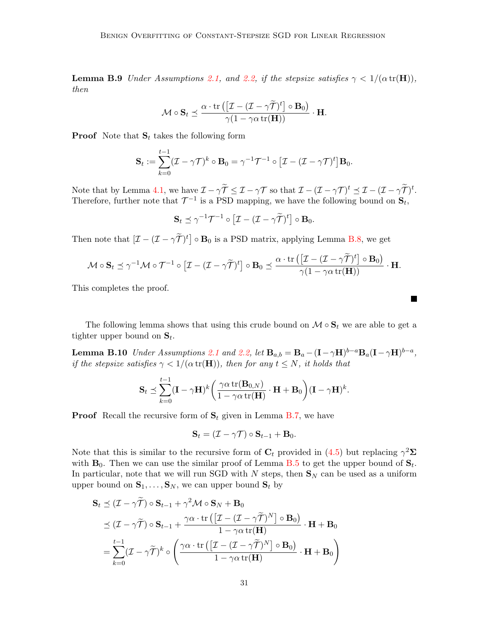**Lemma B.9** Under Assumptions [2.1,](#page-3-0) and [2.2,](#page-4-3) if the stepsize satisfies  $\gamma < 1/(\alpha \text{ tr}(H))$ , then

$$
\mathcal{M} \circ \mathbf{S}_t \preceq \frac{\alpha \cdot \text{tr}\left( \left[ \mathcal{I} - (\mathcal{I} - \gamma \widetilde{\mathcal{T}})^t \right] \circ \mathbf{B}_0 \right)}{\gamma (1 - \gamma \alpha \text{ tr}(\mathbf{H}))} \cdot \mathbf{H}.
$$

**Proof** Note that  $S_t$  takes the following form

$$
\mathbf{S}_t := \sum_{k=0}^{t-1} (\mathcal{I} - \gamma \mathcal{T})^k \circ \mathbf{B}_0 = \gamma^{-1} \mathcal{T}^{-1} \circ [\mathcal{I} - (\mathcal{I} - \gamma \mathcal{T})^t] \mathbf{B}_0.
$$

Note that by Lemma [4.1,](#page-10-4) we have  $\mathcal{I} - \gamma \widetilde{\mathcal{T}} \leq \mathcal{I} - \gamma \mathcal{T}$  so that  $\mathcal{I} - (\mathcal{I} - \gamma \mathcal{T})^t \preceq \mathcal{I} - (\mathcal{I} - \gamma \widetilde{\mathcal{T}})^t$ . Therefore, further note that  $\mathcal{T}^{-1}$  is a PSD mapping, we have the following bound on  $\mathbf{S}_t$ ,

$$
\mathbf{S}_t \preceq \gamma^{-1} \mathcal{T}^{-1} \circ \left[ \mathcal{I} - (\mathcal{I} - \gamma \widetilde{\mathcal{T}})^t \right] \circ \mathbf{B}_0.
$$

Then note that  $[\mathcal{I} - (\mathcal{I} - \gamma \tilde{\mathcal{T}})^t] \circ \mathbf{B}_0$  is a PSD matrix, applying Lemma [B.8,](#page-28-1) we get

$$
\mathcal{M}\circ\mathbf{S}_t\preceq\gamma^{-1}\mathcal{M}\circ\mathcal{T}^{-1}\circ\left[\mathcal{I}-(\mathcal{I}-\gamma\widetilde{\mathcal{T}})^t\right]\circ\mathbf{B}_0\preceq\frac{\alpha\cdot\mathrm{tr}\left(\left[\mathcal{I}-(\mathcal{I}-\gamma\widetilde{\mathcal{T}})^t\right]\circ\mathbf{B}_0\right)}{\gamma(1-\gamma\alpha\,\mathrm{tr}(\mathbf{H}))}\cdot\mathbf{H}.
$$

This completes the proof.

The following lemma shows that using this crude bound on  $\mathcal{M} \circ \mathbf{S}_t$  we are able to get a tighter upper bound on  $S_t$ .

**Lemma B.10** Under Assumptions [2.1](#page-3-0) and [2.2,](#page-4-3) let  $\mathbf{B}_{a,b} = \mathbf{B}_a - (\mathbf{I} - \gamma \mathbf{H})^{b-a} \mathbf{B}_a (\mathbf{I} - \gamma \mathbf{H})^{b-a}$ , if the stepsize satisfies  $\gamma < 1/(\alpha \operatorname{tr}(\mathbf{H}))$ , then for any  $t \leq N$ , it holds that

<span id="page-30-0"></span>
$$
\mathbf{S}_t \preceq \sum_{k=0}^{t-1} (\mathbf{I} - \gamma \mathbf{H})^k \bigg( \frac{\gamma \alpha \operatorname{tr}(\mathbf{B}_{0,N})}{1 - \gamma \alpha \operatorname{tr}(\mathbf{H})} \cdot \mathbf{H} + \mathbf{B}_0 \bigg) (\mathbf{I} - \gamma \mathbf{H})^k.
$$

**Proof** Recall the recursive form of  $S_t$  given in Lemma [B.7,](#page-27-1) we have

$$
\mathbf{S}_t = (\mathcal{I} - \gamma \mathcal{T}) \circ \mathbf{S}_{t-1} + \mathbf{B}_0.
$$

Note that this is similar to the recursive form of  $\mathbf{C}_t$  provided in [\(4.5\)](#page-11-4) but replacing  $\gamma^2 \mathbf{\Sigma}$ with  $B_0$ . Then we can use the similar proof of Lemma [B.5](#page-25-0) to get the upper bound of  $S_t$ . In particular, note that we will run SGD with  $N$  steps, then  $\mathbf{S}_N$  can be used as a uniform upper bound on  $S_1, \ldots, S_N$ , we can upper bound  $S_t$  by

$$
\mathbf{S}_{t} \preceq (\mathcal{I} - \gamma \widetilde{\mathcal{T}}) \circ \mathbf{S}_{t-1} + \gamma^{2} \mathcal{M} \circ \mathbf{S}_{N} + \mathbf{B}_{0}
$$
\n
$$
\preceq (\mathcal{I} - \gamma \widetilde{\mathcal{T}}) \circ \mathbf{S}_{t-1} + \frac{\gamma \alpha \cdot \text{tr}\left( \left[ \mathcal{I} - (\mathcal{I} - \gamma \widetilde{\mathcal{T}})^{N} \right] \circ \mathbf{B}_{0} \right)}{1 - \gamma \alpha \, \text{tr}(\mathbf{H})} \cdot \mathbf{H} + \mathbf{B}_{0}
$$
\n
$$
= \sum_{k=0}^{t-1} (\mathcal{I} - \gamma \widetilde{\mathcal{T}})^{k} \circ \left( \frac{\gamma \alpha \cdot \text{tr}\left( \left[ \mathcal{I} - (\mathcal{I} - \gamma \widetilde{\mathcal{T}})^{N} \right] \circ \mathbf{B}_{0} \right)}{1 - \gamma \alpha \, \text{tr}(\mathbf{H})} \cdot \mathbf{H} + \mathbf{B}_{0} \right)
$$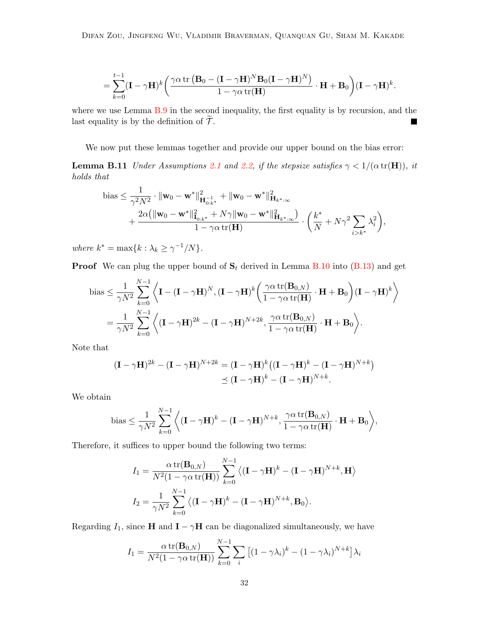$$
= \sum_{k=0}^{t-1} (\mathbf{I} - \gamma \mathbf{H})^k \left( \frac{\gamma \alpha \operatorname{tr} (\mathbf{B}_0 - (\mathbf{I} - \gamma \mathbf{H})^N \mathbf{B}_0 (\mathbf{I} - \gamma \mathbf{H})^N)}{1 - \gamma \alpha \operatorname{tr}(\mathbf{H})} \cdot \mathbf{H} + \mathbf{B}_0 \right) (\mathbf{I} - \gamma \mathbf{H})^k.
$$

where we use Lemma [B.9](#page-29-0) in the second inequality, the first equality is by recursion, and the last equality is by the definition of  $\tilde{\mathcal{T}}$ . ٦

We now put these lemmas together and provide our upper bound on the bias error:

<span id="page-31-0"></span>**Lemma B.11** Under Assumptions [2.1](#page-3-0) and [2.2,](#page-4-3) if the stepsize satisfies  $\gamma < 1/(\alpha \text{ tr}(\mathbf{H}))$ , it holds that

bias 
$$
\leq \frac{1}{\gamma^2 N^2} \cdot ||\mathbf{w}_0 - \mathbf{w}^*||_{\mathbf{H}_{0:k^*}}^2 + ||\mathbf{w}_0 - \mathbf{w}^*||_{\mathbf{H}_{k^*:\infty}}^2 + \frac{2\alpha(||\mathbf{w}_0 - \mathbf{w}^*||_{\mathbf{I}_{0:k^*}}^2 + N\gamma||\mathbf{w}_0 - \mathbf{w}^*||_{\mathbf{H}_{k^*:\infty}}^2)}{1 - \gamma \alpha \operatorname{tr}(\mathbf{H})} \cdot \left(\frac{k^*}{N} + N\gamma^2 \sum_{i > k^*} \lambda_i^2\right),
$$

where  $k^* = \max\{k : \lambda_k \geq \gamma^{-1}/N\}.$ 

**Proof** We can plug the upper bound of  $S_t$  derived in Lemma [B.10](#page-30-0) into [\(B.13\)](#page-27-0) and get

bias 
$$
\leq \frac{1}{\gamma N^2} \sum_{k=0}^{N-1} \left\langle \mathbf{I} - (\mathbf{I} - \gamma \mathbf{H})^N, (\mathbf{I} - \gamma \mathbf{H})^k \left( \frac{\gamma \alpha \operatorname{tr}(\mathbf{B}_{0,N})}{1 - \gamma \alpha \operatorname{tr}(\mathbf{H})} \cdot \mathbf{H} + \mathbf{B}_0 \right) (\mathbf{I} - \gamma \mathbf{H})^k \right\rangle
$$
  
=  $\frac{1}{\gamma N^2} \sum_{k=0}^{N-1} \left\langle (\mathbf{I} - \gamma \mathbf{H})^{2k} - (\mathbf{I} - \gamma \mathbf{H})^{N+2k}, \frac{\gamma \alpha \operatorname{tr}(\mathbf{B}_{0,N})}{1 - \gamma \alpha \operatorname{tr}(\mathbf{H})} \cdot \mathbf{H} + \mathbf{B}_0 \right\rangle$ .

Note that

$$
(\mathbf{I} - \gamma \mathbf{H})^{2k} - (\mathbf{I} - \gamma \mathbf{H})^{N+2k} = (\mathbf{I} - \gamma \mathbf{H})^k ((\mathbf{I} - \gamma \mathbf{H})^k - (\mathbf{I} - \gamma \mathbf{H})^{N+k})
$$
  

$$
\preceq (\mathbf{I} - \gamma \mathbf{H})^k - (\mathbf{I} - \gamma \mathbf{H})^{N+k}.
$$

We obtain

bias 
$$
\leq \frac{1}{\gamma N^2} \sum_{k=0}^{N-1} \left\langle (\mathbf{I} - \gamma \mathbf{H})^k - (\mathbf{I} - \gamma \mathbf{H})^{N+k}, \frac{\gamma \alpha \operatorname{tr}(\mathbf{B}_{0,N})}{1 - \gamma \alpha \operatorname{tr}(\mathbf{H})} \cdot \mathbf{H} + \mathbf{B}_0 \right\rangle
$$

Therefore, it suffices to upper bound the following two terms:

$$
I_1 = \frac{\alpha \operatorname{tr}(\mathbf{B}_{0,N})}{N^2 (1 - \gamma \alpha \operatorname{tr}(\mathbf{H}))} \sum_{k=0}^{N-1} \langle (\mathbf{I} - \gamma \mathbf{H})^k - (\mathbf{I} - \gamma \mathbf{H})^{N+k}, \mathbf{H} \rangle
$$

$$
I_2 = \frac{1}{\gamma N^2} \sum_{k=0}^{N-1} \langle (\mathbf{I} - \gamma \mathbf{H})^k - (\mathbf{I} - \gamma \mathbf{H})^{N+k}, \mathbf{B}_0 \rangle.
$$

Regarding  $I_1$ , since **H** and **I** −  $\gamma$ **H** can be diagonalized simultaneously, we have

$$
I_1 = \frac{\alpha \operatorname{tr}(\mathbf{B}_{0,N})}{N^2 (1 - \gamma \alpha \operatorname{tr}(\mathbf{H}))} \sum_{k=0}^{N-1} \sum_i \left[ (1 - \gamma \lambda_i)^k - (1 - \gamma \lambda_i)^{N+k} \right] \lambda_i
$$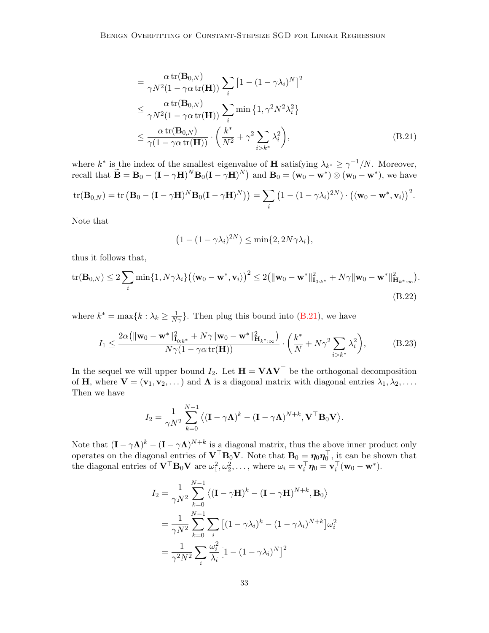$$
= \frac{\alpha \operatorname{tr}(\mathbf{B}_{0,N})}{\gamma N^2 (1 - \gamma \alpha \operatorname{tr}(\mathbf{H}))} \sum_{i} \left[ 1 - (1 - \gamma \lambda_i)^N \right]^2
$$
  
\n
$$
\leq \frac{\alpha \operatorname{tr}(\mathbf{B}_{0,N})}{\gamma N^2 (1 - \gamma \alpha \operatorname{tr}(\mathbf{H}))} \sum_{i} \min \left\{ 1, \gamma^2 N^2 \lambda_i^2 \right\}
$$
  
\n
$$
\leq \frac{\alpha \operatorname{tr}(\mathbf{B}_{0,N})}{\gamma (1 - \gamma \alpha \operatorname{tr}(\mathbf{H}))} \cdot \left( \frac{k^*}{N^2} + \gamma^2 \sum_{i > k^*} \lambda_i^2 \right), \tag{B.21}
$$

where  $k^*$  is the index of the smallest eigenvalue of **H** satisfying  $\lambda_{k^*} \geq \gamma^{-1}/N$ . Moreover, recall that  $\widetilde{\mathbf{B}} = \mathbf{B}_0 - (\mathbf{I} - \gamma \mathbf{H})^N \mathbf{B}_0 (\mathbf{I} - \gamma \mathbf{H})^N$  and  $\mathbf{B}_0 = (\mathbf{w}_0 - \mathbf{w}^*) \otimes (\mathbf{w}_0 - \mathbf{w}^*)$ , we have

tr(
$$
\mathbf{B}_{0,N}
$$
) = tr ( $\mathbf{B}_0 - (\mathbf{I} - \gamma \mathbf{H})^N \mathbf{B}_0 (\mathbf{I} - \gamma \mathbf{H})^N$ )) =  $\sum_i (1 - (1 - \gamma \lambda_i)^{2N}) \cdot (\langle \mathbf{w}_0 - \mathbf{w}^*, \mathbf{v}_i \rangle)^2$ .

Note that

<span id="page-32-1"></span><span id="page-32-0"></span>
$$
(1 - (1 - \gamma \lambda_i)^{2N}) \le \min\{2, 2N\gamma \lambda_i\},\
$$

thus it follows that,

$$
\text{tr}(\mathbf{B}_{0,N}) \le 2\sum_{i} \min\{1, N\gamma \lambda_i\} \big(\langle \mathbf{w}_0 - \mathbf{w}^*, \mathbf{v}_i \rangle \big)^2 \le 2 \big(\|\mathbf{w}_0 - \mathbf{w}^*\|_{\mathbf{I}_{0:k^*}}^2 + N\gamma \|\mathbf{w}_0 - \mathbf{w}^*\|_{\mathbf{H}_{k^*:\infty}}^2 \big).
$$
\n(B.22)

where  $k^* = \max\{k : \lambda_k \geq \frac{1}{N\gamma}\}\.$  Then plug this bound into [\(B.21\)](#page-32-0), we have

$$
I_1 \leq \frac{2\alpha \left(\|\mathbf{w}_0 - \mathbf{w}^*\|_{\mathbf{I}_{0:k^*}}^2 + N\gamma \|\mathbf{w}_0 - \mathbf{w}^*\|_{\mathbf{H}_{k^*:\infty}}^2\right)}{N\gamma(1 - \gamma\alpha \operatorname{tr}(\mathbf{H}))} \cdot \left(\frac{k^*}{N} + N\gamma^2 \sum_{i > k^*} \lambda_i^2\right),\tag{B.23}
$$

In the sequel we will upper bound  $I_2$ . Let  $\mathbf{H} = \mathbf{V}\Lambda\mathbf{V}^\top$  be the orthogonal decomposition of **H**, where  $\mathbf{V} = (\mathbf{v}_1, \mathbf{v}_2, \dots)$  and  $\mathbf{\Lambda}$  is a diagonal matrix with diagonal entries  $\lambda_1, \lambda_2, \dots$ Then we have

$$
I_2 = \frac{1}{\gamma N^2} \sum_{k=0}^{N-1} \langle (\mathbf{I} - \gamma \mathbf{\Lambda})^k - (\mathbf{I} - \gamma \mathbf{\Lambda})^{N+k}, \mathbf{V}^\top \mathbf{B}_0 \mathbf{V} \rangle.
$$

Note that  $(I - \gamma \Lambda)^k - (I - \gamma \Lambda)^{N+k}$  is a diagonal matrix, thus the above inner product only operates on the diagonal entries of  $V^{\top}B_0V$ . Note that  $B_0 = \eta_0\eta_0^{\top}$ , it can be shown that the diagonal entries of  $\mathbf{V}^\top \mathbf{B}_0 \mathbf{V}$  are  $\omega_1^2, \omega_2^2, \dots$ , where  $\omega_i = \mathbf{v}_i^\top \boldsymbol{\eta}_0 = \mathbf{v}_i^\top (\mathbf{w}_0 - \mathbf{w}^*)$ .

$$
I_2 = \frac{1}{\gamma N^2} \sum_{k=0}^{N-1} \left\langle (\mathbf{I} - \gamma \mathbf{H})^k - (\mathbf{I} - \gamma \mathbf{H})^{N+k}, \mathbf{B}_0 \right\rangle
$$
  
= 
$$
\frac{1}{\gamma N^2} \sum_{k=0}^{N-1} \sum_i \left[ (1 - \gamma \lambda_i)^k - (1 - \gamma \lambda_i)^{N+k} \right] \omega_i^2
$$
  
= 
$$
\frac{1}{\gamma^2 N^2} \sum_i \frac{\omega_i^2}{\lambda_i} \left[ 1 - (1 - \gamma \lambda_i)^N \right]^2
$$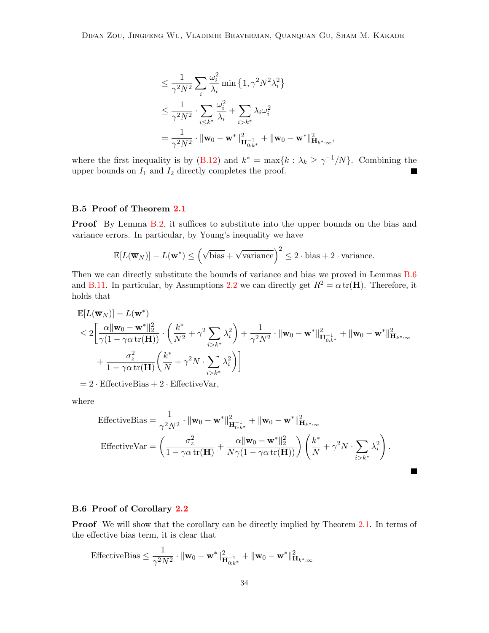$$
\leq \frac{1}{\gamma^2 N^2} \sum_{i} \frac{\omega_i^2}{\lambda_i} \min \{ 1, \gamma^2 N^2 \lambda_i^2 \}
$$
  

$$
\leq \frac{1}{\gamma^2 N^2} \cdot \sum_{i \leq k^*} \frac{\omega_i^2}{\lambda_i} + \sum_{i > k^*} \lambda_i \omega_i^2
$$
  

$$
= \frac{1}{\gamma^2 N^2} \cdot ||\mathbf{w}_0 - \mathbf{w}^*||_{\mathbf{H}_{0:k^*}}^2 + ||\mathbf{w}_0 - \mathbf{w}^*||_{\mathbf{H}_{k^*:\infty}}^2,
$$

where the first inequality is by [\(B.12\)](#page-27-2) and  $k^* = \max\{k : \lambda_k \geq \gamma^{-1}/N\}$ . Combining the upper bounds on  $I_1$  and  $I_2$  directly completes the proof.

#### B.5 Proof of Theorem [2.1](#page-5-1)

Proof By Lemma [B.2,](#page-6-1) it suffices to substitute into the upper bounds on the bias and variance errors. In particular, by Young's inequality we have

$$
\mathbb{E}[L(\overline{\mathbf{w}}_N)] - L(\mathbf{w}^*) \le (\sqrt{\text{bias}} + \sqrt{\text{variance}})^2 \le 2 \cdot \text{bias} + 2 \cdot \text{variance}.
$$

Then we can directly substitute the bounds of variance and bias we proved in Lemmas [B.6](#page-26-0) and [B.11.](#page-31-0) In particular, by Assumptions [2.2](#page-4-3) we can directly get  $R^2 = \alpha \text{ tr}(\mathbf{H})$ . Therefore, it holds that

$$
\mathbb{E}[L(\overline{\mathbf{w}}_N)] - L(\mathbf{w}^*)
$$
\n
$$
\leq 2\left[\frac{\alpha \|\mathbf{w}_0 - \mathbf{w}^*\|_2^2}{\gamma(1 - \gamma \alpha \operatorname{tr}(\mathbf{H}))} \cdot \left(\frac{k^*}{N^2} + \gamma^2 \sum_{i > k^*} \lambda_i^2\right) + \frac{1}{\gamma^2 N^2} \cdot \|\mathbf{w}_0 - \mathbf{w}^*\|_{\mathbf{H}_{0:k^*}}^2 + \|\mathbf{w}_0 - \mathbf{w}^*\|_{\mathbf{H}_{k^*,\infty}}^2 + \frac{\sigma_z^2}{1 - \gamma \alpha \operatorname{tr}(\mathbf{H})} \left(\frac{k^*}{N} + \gamma^2 N \cdot \sum_{i > k^*} \lambda_i^2\right)\right]
$$

 $= 2 \cdot$  EffectiveBias  $+ 2 \cdot$  EffectiveVar,

where

$$
\begin{split} \text{EffectiveBias} &= \frac{1}{\gamma^2 N^2} \cdot \|\mathbf{w}_0 - \mathbf{w}^*\|_{\mathbf{H}_{0:k^*}^{-1}}^2 + \|\mathbf{w}_0 - \mathbf{w}^*\|_{\mathbf{H}_{k^*:\infty}}^2 \\ \text{EffectiveVar} &= \left(\frac{\sigma_z^2}{1 - \gamma \alpha \operatorname{tr}(\mathbf{H})} + \frac{\alpha \|\mathbf{w}_0 - \mathbf{w}^*\|_2^2}{N\gamma (1 - \gamma \alpha \operatorname{tr}(\mathbf{H}))}\right) \left(\frac{k^*}{N} + \gamma^2 N \cdot \sum_{i > k^*} \lambda_i^2\right). \end{split}
$$

## B.6 Proof of Corollary [2.2](#page-7-1)

Proof We will show that the corollary can be directly implied by Theorem [2.1.](#page-5-1) In terms of the effective bias term, it is clear that

$$
\text{EffectiveBias}\leq \frac{1}{\gamma^2N^2}\cdot\|\mathbf{w}_0-\mathbf{w}^*\|^2_{\mathbf{H}_{0:k^*}^{-1}}+\|\mathbf{w}_0-\mathbf{w}^*\|^2_{\mathbf{H}_{k^*:\infty}}
$$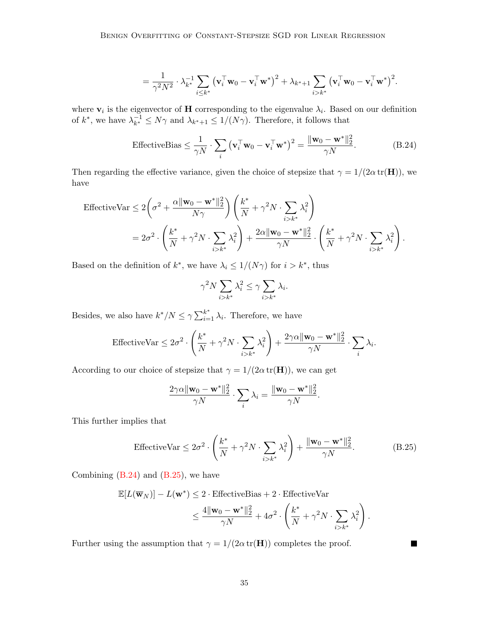$$
=\frac{1}{\gamma^2N^2}\cdot \lambda_{k^*}^{-1}\sum_{i\leq k^*}\left(\mathbf{v}_i^\top\mathbf{w}_0-\mathbf{v}_i^\top\mathbf{w}^*\right)^2+\lambda_{k^*+1}\sum_{i>k^*}\left(\mathbf{v}_i^\top\mathbf{w}_0-\mathbf{v}_i^\top\mathbf{w}^*\right)^2.
$$

where  $v_i$  is the eigenvector of **H** corresponding to the eigenvalue  $\lambda_i$ . Based on our definition of  $k^*$ , we have  $\lambda_{k^*}^{-1}$  $\lambda_{k^*}^{-1} \leq N\gamma$  and  $\lambda_{k^*+1} \leq 1/(N\gamma)$ . Therefore, it follows that

$$
\text{EffectiveBias} \leq \frac{1}{\gamma N} \cdot \sum_{i} \left( \mathbf{v}_i^{\top} \mathbf{w}_0 - \mathbf{v}_i^{\top} \mathbf{w}^* \right)^2 = \frac{\|\mathbf{w}_0 - \mathbf{w}^*\|_2^2}{\gamma N}.
$$
 (B.24)

Then regarding the effective variance, given the choice of stepsize that  $\gamma = 1/(2\alpha \text{ tr}(\mathbf{H}))$ , we have

$$
\begin{split} \text{EffectiveVar} &\leq 2\bigg(\sigma^2 + \frac{\alpha \|\mathbf{w}_0 - \mathbf{w}^*\|_2^2}{N\gamma}\bigg) \left(\frac{k^*}{N} + \gamma^2 N \cdot \sum_{i > k^*} \lambda_i^2\right) \\ &= 2\sigma^2 \cdot \left(\frac{k^*}{N} + \gamma^2 N \cdot \sum_{i > k^*} \lambda_i^2\right) + \frac{2\alpha \|\mathbf{w}_0 - \mathbf{w}^*\|_2^2}{\gamma N} \cdot \left(\frac{k^*}{N} + \gamma^2 N \cdot \sum_{i > k^*} \lambda_i^2\right). \end{split}
$$

Based on the definition of  $k^*$ , we have  $\lambda_i \leq 1/(N\gamma)$  for  $i > k^*$ , thus

<span id="page-34-0"></span>
$$
\gamma^2 N \sum_{i>k^*} \lambda_i^2 \le \gamma \sum_{i>k^*} \lambda_i.
$$

Besides, we also have  $k^*/N \leq \gamma \sum_{i=1}^{k^*} \lambda_i$ . Therefore, we have

$$
\text{EffectiveVar} \leq 2\sigma^2 \cdot \left(\frac{k^*}{N} + \gamma^2 N \cdot \sum_{i > k^*} \lambda_i^2\right) + \frac{2\gamma\alpha \|\mathbf{w}_0 - \mathbf{w}^*\|_2^2}{\gamma N} \cdot \sum_i \lambda_i.
$$

According to our choice of stepsize that  $\gamma = 1/(2\alpha \operatorname{tr}(\mathbf{H}))$ , we can get

$$
\frac{2\gamma\alpha\|\mathbf{w}_0-\mathbf{w}^*\|_2^2}{\gamma N}\cdot\sum_i\lambda_i=\frac{\|\mathbf{w}_0-\mathbf{w}^*\|_2^2}{\gamma N}.
$$

This further implies that

$$
\text{EffectiveVar} \le 2\sigma^2 \cdot \left(\frac{k^*}{N} + \gamma^2 N \cdot \sum_{i > k^*} \lambda_i^2\right) + \frac{\|\mathbf{w}_0 - \mathbf{w}^*\|_2^2}{\gamma N}.\tag{B.25}
$$

<span id="page-34-1"></span> $\setminus$ .

 $\blacksquare$ 

Combining  $(B.24)$  and  $(B.25)$ , we have

$$
\mathbb{E}[L(\overline{\mathbf{w}}_N)] - L(\mathbf{w}^*) \le 2 \cdot \text{EffectiveBias} + 2 \cdot \text{EffectiveVar}
$$
\n
$$
\le \frac{4\|\mathbf{w}_0 - \mathbf{w}^*\|_2^2}{\gamma N} + 4\sigma^2 \cdot \left(\frac{k^*}{N} + \gamma^2 N \cdot \sum_{i > k^*} \lambda_i^2\right)
$$

Further using the assumption that  $\gamma=1/(2\alpha\,{\rm tr}({\bf H}))$  completes the proof.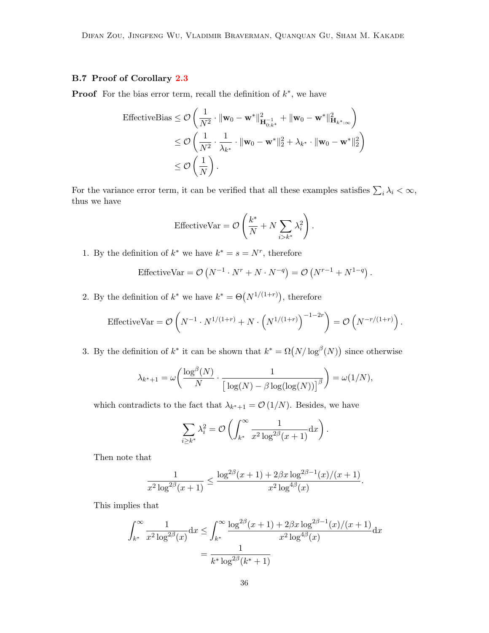# B.7 Proof of Corollary [2.3](#page-7-0)

**Proof** For the bias error term, recall the definition of  $k^*$ , we have

$$
\begin{aligned} \text{EffectiveBias} &\leq \mathcal{O}\left(\frac{1}{N^2} \cdot \|\mathbf{w}_0 - \mathbf{w}^*\|_{\mathbf{H}_{0:k^*}}^2 + \|\mathbf{w}_0 - \mathbf{w}^*\|_{\mathbf{H}_{k^*:\infty}}^2\right) \\ &\leq \mathcal{O}\left(\frac{1}{N^2} \cdot \frac{1}{\lambda_{k^*}} \cdot \|\mathbf{w}_0 - \mathbf{w}^*\|_2^2 + \lambda_{k^*} \cdot \|\mathbf{w}_0 - \mathbf{w}^*\|_2^2\right) \\ &\leq \mathcal{O}\left(\frac{1}{N}\right). \end{aligned}
$$

For the variance error term, it can be verified that all these examples satisfies  $\sum_i \lambda_i < \infty$ , thus we have

$$
\text{EffectiveVar} = \mathcal{O}\left(\frac{k^*}{N} + N \sum_{i > k^*} \lambda_i^2\right).
$$

1. By the definition of  $k^*$  we have  $k^* = s = N^r$ , therefore

$$
\text{EffectiveVar} = \mathcal{O}\left(N^{-1} \cdot N^r + N \cdot N^{-q}\right) = \mathcal{O}\left(N^{r-1} + N^{1-q}\right).
$$

2. By the definition of  $k^*$  we have  $k^* = \Theta(N^{1/(1+r)})$ , therefore

$$
\text{EffectiveVar} = \mathcal{O}\left(N^{-1} \cdot N^{1/(1+r)} + N \cdot \left(N^{1/(1+r)}\right)^{-1-2r}\right) = \mathcal{O}\left(N^{-r/(1+r)}\right).
$$

3. By the definition of  $k^*$  it can be shown that  $k^* = \Omega(N/\log^\beta(N))$  since otherwise

$$
\lambda_{k^*+1} = \omega \left( \frac{\log^{\beta}(N)}{N} \cdot \frac{1}{\left[ \log(N) - \beta \log(\log(N)) \right]^{\beta}} \right) = \omega(1/N),
$$

which contradicts to the fact that  $\lambda_{k^*+1} = \mathcal{O}(1/N)$ . Besides, we have

$$
\sum_{i\geq k^*} \lambda_i^2 = \mathcal{O}\left(\int_{k^*}^{\infty} \frac{1}{x^2 \log^{2\beta}(x+1)} dx\right).
$$

Then note that

$$
\frac{1}{x^2 \log^{2\beta}(x+1)} \le \frac{\log^{2\beta}(x+1) + 2\beta x \log^{2\beta-1}(x)/(x+1)}{x^2 \log^{4\beta}(x)}.
$$

This implies that

$$
\int_{k^*}^{\infty} \frac{1}{x^2 \log^{2\beta}(x)} dx \le \int_{k^*}^{\infty} \frac{\log^{2\beta}(x+1) + 2\beta x \log^{2\beta-1}(x)/(x+1)}{x^2 \log^{4\beta}(x)} dx
$$

$$
= \frac{1}{k^* \log^{2\beta}(k^*+1)}
$$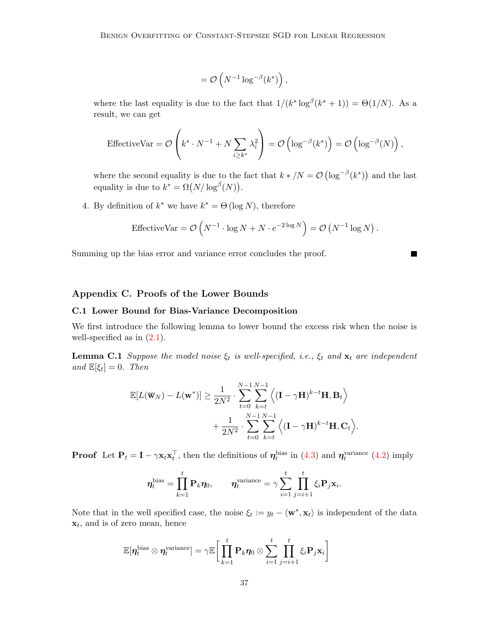$$
=\mathcal{O}\left(N^{-1}\log^{-\beta}(k^*)\right),\,
$$

where the last equality is due to the fact that  $1/(k^* \log^{\beta}(k^*+1)) = \Theta(1/N)$ . As a result, we can get

$$
\text{EffectiveVar} = \mathcal{O}\left(k^* \cdot N^{-1} + N \sum_{i \geq k^*} \lambda_i^2\right) = \mathcal{O}\left(\log^{-\beta}(k^*)\right) = \mathcal{O}\left(\log^{-\beta}(N)\right),
$$

where the second equality is due to the fact that  $k*/N = \mathcal{O}(\log^{-\beta}(k^*))$  and the last equality is due to  $k^* = \Omega(N/\log^{\beta}(N)).$ 

4. By definition of  $k^*$  we have  $k^* = \Theta(\log N)$ , therefore

$$
\text{EffectiveVar} = \mathcal{O}\left(N^{-1} \cdot \log N + N \cdot e^{-2\log N}\right) = \mathcal{O}\left(N^{-1} \log N\right).
$$

 $\blacksquare$ 

Summing up the bias error and variance error concludes the proof.

## Appendix C. Proofs of the Lower Bounds

#### C.1 Lower Bound for Bias-Variance Decomposition

We first introduce the following lemma to lower bound the excess risk when the noise is well-specified as in  $(2.1)$ .

**Lemma C.1** Suppose the model noise  $\xi_t$  is well-specified, i.e.,  $\xi_t$  and  $x_t$  are independent and  $\mathbb{E}[\xi_t] = 0$ . Then

<span id="page-36-0"></span>
$$
\mathbb{E}[L(\overline{\mathbf{w}}_N) - L(\mathbf{w}^*)] \ge \frac{1}{2N^2} \cdot \sum_{t=0}^{N-1} \sum_{k=t}^{N-1} \left\langle (\mathbf{I} - \gamma \mathbf{H})^{k-t} \mathbf{H}, \mathbf{B}_t \right\rangle + \frac{1}{2N^2} \cdot \sum_{t=0}^{N-1} \sum_{k=t}^{N-1} \left\langle (\mathbf{I} - \gamma \mathbf{H})^{k-t} \mathbf{H}, \mathbf{C}_t \right\rangle.
$$

**Proof** Let  $P_t = I - \gamma \mathbf{x}_t \mathbf{x}_t^\top$ , then the definitions of  $\eta_t^{\text{bias}}$  in [\(4.3\)](#page-11-1) and  $\eta_t^{\text{variance}}$  [\(4.2\)](#page-10-2) imply

$$
\boldsymbol{\eta}_t^{\text{bias}} = \prod_{k=1}^t \mathbf{P}_k \boldsymbol{\eta}_0, \qquad \boldsymbol{\eta}_t^{\text{variance}} = \gamma \sum_{i=1}^t \prod_{j=i+1}^t \xi_i \mathbf{P}_j \mathbf{x}_i.
$$

Note that in the well specified case, the noise  $\xi_t := y_t - \langle \mathbf{w}^*, \mathbf{x}_t \rangle$  is independent of the data  $\mathbf{x}_t$ , and is of zero mean, hence

$$
\mathbb{E}[\boldsymbol{\eta}^{\text{bias}}_t \otimes \boldsymbol{\eta}^{\text{variance}}_t] = \gamma \mathbb{E}\bigg[\prod_{k=1}^t \mathbf{P}_k \boldsymbol{\eta}_0 \otimes \sum_{i=1}^t \prod_{j=i+1}^t \xi_i \mathbf{P}_j \mathbf{x}_i\bigg]
$$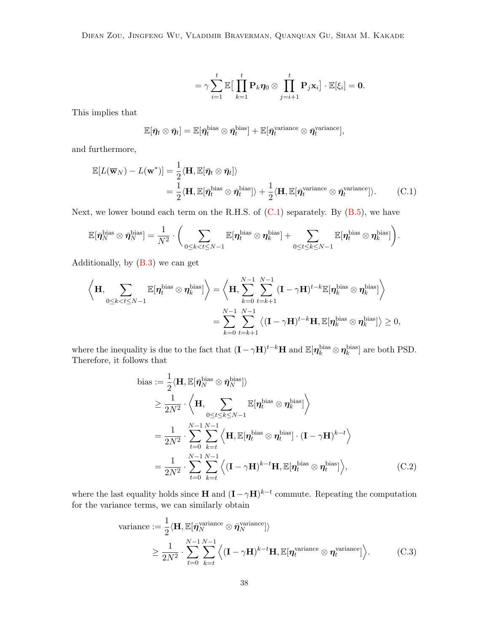<span id="page-37-0"></span>
$$
= \gamma \sum_{i=1}^t \mathbb{E}\big[\prod_{k=1}^t \mathbf{P}_k \boldsymbol{\eta}_0 \otimes \prod_{j=i+1}^t \mathbf{P}_j \mathbf{x}_i \big] \cdot \mathbb{E}[\xi_i] = \mathbf{0}.
$$

This implies that

$$
\mathbb{E}[\bar{\eta}_t \otimes \bar{\eta}_t] = \mathbb{E}[\bar{\eta}^{\text{bias}}_t \otimes \bar{\eta}^{\text{bias}}_t] + \mathbb{E}[\bar{\eta}^{\text{variance}}_t \otimes \bar{\eta}^{\text{variance}}_t],
$$

and furthermore,

$$
\mathbb{E}[L(\overline{\mathbf{w}}_N) - L(\mathbf{w}^*)] = \frac{1}{2} \langle \mathbf{H}, \mathbb{E}[\bar{\eta}_t \otimes \bar{\eta}_t] \rangle \n= \frac{1}{2} \langle \mathbf{H}, \mathbb{E}[\bar{\eta}_t^{\text{bias}} \otimes \bar{\eta}_t^{\text{bias}}] \rangle + \frac{1}{2} \langle \mathbf{H}, \mathbb{E}[\bar{\eta}_t^{\text{variance}} \otimes \bar{\eta}_t^{\text{variance}}] \rangle.
$$
\n(C.1)

Next, we lower bound each term on the R.H.S. of  $(C.1)$  separately. By  $(B.5)$ , we have

$$
\mathbb{E}[\bar{\boldsymbol{\eta}}_N^{\text{bias}} \otimes \bar{\boldsymbol{\eta}}_N^{\text{bias}}] = \frac{1}{N^2} \cdot \bigg( \sum_{0 \leq k < t \leq N-1} \mathbb{E}[\boldsymbol{\eta}_t^{\text{bias}} \otimes \boldsymbol{\eta}_k^{\text{bias}}] + \sum_{0 \leq t \leq k \leq N-1} \mathbb{E}[\boldsymbol{\eta}_t^{\text{bias}} \otimes \boldsymbol{\eta}_k^{\text{bias}}] \bigg).
$$

Additionally, by [\(B.3\)](#page-22-1) we can get

$$
\left\langle \mathbf{H}, \sum_{0 \leq k < t \leq N-1} \mathbb{E}[\boldsymbol{\eta}_t^{\text{bias}} \otimes \boldsymbol{\eta}_k^{\text{bias}}] \right\rangle = \left\langle \mathbf{H}, \sum_{k=0}^{N-1} \sum_{t=k+1}^{N-1} (\mathbf{I} - \gamma \mathbf{H})^{t-k} \mathbb{E}[\boldsymbol{\eta}_k^{\text{bias}} \otimes \boldsymbol{\eta}_k^{\text{bias}}] \right\rangle = \sum_{k=0}^{N-1} \sum_{t=k+1}^{N-1} \left\langle (\mathbf{I} - \gamma \mathbf{H})^{t-k} \mathbf{H}, \mathbb{E}[\boldsymbol{\eta}_k^{\text{bias}} \otimes \boldsymbol{\eta}_k^{\text{bias}}] \right\rangle \geq 0,
$$

where the inequality is due to the fact that  $(I - \gamma H)^{t-k}H$  and  $\mathbb{E}[\eta_k^{\text{bias}} \otimes \eta_k^{\text{bias}}]$  are both PSD. Therefore, it follows that

<span id="page-37-1"></span>bias := 
$$
\frac{1}{2} \langle \mathbf{H}, \mathbb{E}[\bar{\boldsymbol{\eta}}_N^{\text{bias}} \otimes \bar{\boldsymbol{\eta}}_N^{\text{bias}}] \rangle
$$
  
\n $\geq \frac{1}{2N^2} \cdot \langle \mathbf{H}, \sum_{0 \leq t \leq k \leq N-1} \mathbb{E}[\boldsymbol{\eta}_t^{\text{bias}} \otimes \boldsymbol{\eta}_k^{\text{bias}}] \rangle$   
\n $= \frac{1}{2N^2} \cdot \sum_{t=0}^{N-1} \sum_{k=t}^{N-1} \langle \mathbf{H}, \mathbb{E}[\boldsymbol{\eta}_t^{\text{bias}} \otimes \boldsymbol{\eta}_t^{\text{bias}}] \cdot (\mathbf{I} - \gamma \mathbf{H})^{k-t} \rangle$   
\n $= \frac{1}{2N^2} \cdot \sum_{t=0}^{N-1} \sum_{k=t}^{N-1} \langle (\mathbf{I} - \gamma \mathbf{H})^{k-t} \mathbf{H}, \mathbb{E}[\boldsymbol{\eta}_t^{\text{bias}} \otimes \boldsymbol{\eta}_t^{\text{bias}}] \rangle,$  (C.2)

where the last equality holds since **H** and  $(I - \gamma H)^{k-t}$  commute. Repeating the computation for the variance terms, we can similarly obtain

<span id="page-37-2"></span>variance := 
$$
\frac{1}{2} \langle \mathbf{H}, \mathbb{E}[\bar{\boldsymbol{\eta}}_N^{\text{variance}} \otimes \bar{\boldsymbol{\eta}}_N^{\text{variance}}] \rangle
$$
  
  $\geq \frac{1}{2N^2} \cdot \sum_{t=0}^{N-1} \sum_{k=t}^{N-1} \left\langle (\mathbf{I} - \gamma \mathbf{H})^{k-t} \mathbf{H}, \mathbb{E}[\boldsymbol{\eta}_t^{\text{variance}} \otimes \boldsymbol{\eta}_t^{\text{variance}}] \right\rangle.$  (C.3)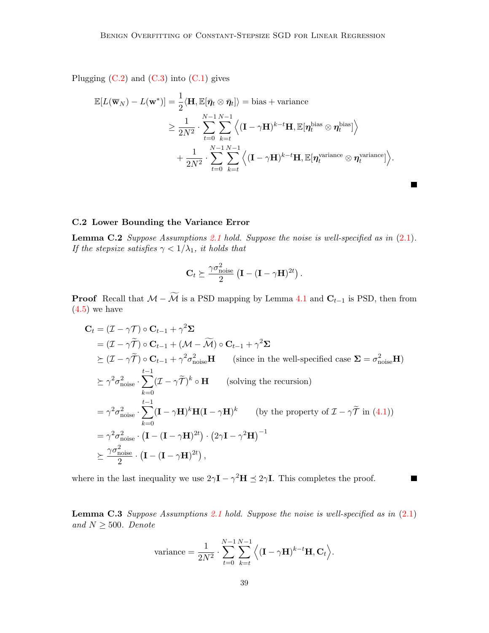Plugging  $(C.2)$  and  $(C.3)$  into  $(C.1)$  gives

$$
\mathbb{E}[L(\overline{\mathbf{w}}_N) - L(\mathbf{w}^*)] = \frac{1}{2} \langle \mathbf{H}, \mathbb{E}[\bar{\boldsymbol{\eta}}_t \otimes \bar{\boldsymbol{\eta}}_t] \rangle = \text{bias} + \text{variance}
$$
\n
$$
\geq \frac{1}{2N^2} \cdot \sum_{t=0}^{N-1} \sum_{k=t}^{N-1} \left\langle (\mathbf{I} - \gamma \mathbf{H})^{k-t} \mathbf{H}, \mathbb{E}[\boldsymbol{\eta}_t^{\text{bias}} \otimes \boldsymbol{\eta}_t^{\text{bias}}] \right\rangle
$$
\n
$$
+ \frac{1}{2N^2} \cdot \sum_{t=0}^{N-1} \sum_{k=t}^{N-1} \left\langle (\mathbf{I} - \gamma \mathbf{H})^{k-t} \mathbf{H}, \mathbb{E}[\boldsymbol{\eta}_t^{\text{variance}} \otimes \boldsymbol{\eta}_t^{\text{variance}}] \right\rangle.
$$

 $\blacksquare$ 

 $\blacksquare$ 

## C.2 Lower Bounding the Variance Error

<span id="page-38-0"></span>**Lemma C.2** Suppose Assumptions [2.1](#page-3-0) hold. Suppose the noise is well-specified as in  $(2.1)$ . If the stepsize satisfies  $\gamma < 1/\lambda_1$ , it holds that

$$
\mathbf{C}_t \succeq \frac{\gamma \sigma_{\text{noise}}^2}{2} \left( \mathbf{I} - (\mathbf{I} - \gamma \mathbf{H})^{2t} \right).
$$

**Proof** Recall that  $M - \widetilde{M}$  is a PSD mapping by Lemma [4.1](#page-10-4) and  $C_{t-1}$  is PSD, then from  $(4.5)$  we have

$$
\mathbf{C}_{t} = (\mathcal{I} - \gamma \mathcal{T}) \circ \mathbf{C}_{t-1} + \gamma^{2} \mathbf{\Sigma}
$$
\n
$$
= (\mathcal{I} - \gamma \mathcal{T}) \circ \mathbf{C}_{t-1} + (\mathcal{M} - \mathcal{M}) \circ \mathbf{C}_{t-1} + \gamma^{2} \mathbf{\Sigma}
$$
\n
$$
\succeq (\mathcal{I} - \gamma \mathcal{T}) \circ \mathbf{C}_{t-1} + \gamma^{2} \sigma_{\text{noise}}^{2} \mathbf{H} \qquad \text{(since in the well-specified case } \mathbf{\Sigma} = \sigma_{\text{noise}}^{2} \mathbf{H})
$$
\n
$$
\succeq \gamma^{2} \sigma_{\text{noise}}^{2} \cdot \sum_{k=0}^{t-1} (\mathcal{I} - \gamma \mathcal{T})^{k} \circ \mathbf{H} \qquad \text{(solving the recursion)}
$$
\n
$$
= \gamma^{2} \sigma_{\text{noise}}^{2} \cdot \sum_{k=0}^{t-1} (\mathbf{I} - \gamma \mathbf{H})^{k} \mathbf{H} (\mathbf{I} - \gamma \mathbf{H})^{k} \qquad \text{(by the property of } \mathcal{I} - \gamma \mathcal{T} \text{ in (4.1)})
$$
\n
$$
= \gamma^{2} \sigma_{\text{noise}}^{2} \cdot (\mathbf{I} - (\mathbf{I} - \gamma \mathbf{H})^{2t}) \cdot (2\gamma \mathbf{I} - \gamma^{2} \mathbf{H})^{-1}
$$
\n
$$
\succeq \frac{\gamma \sigma_{\text{noise}}^{2}}{2} \cdot (\mathbf{I} - (\mathbf{I} - \gamma \mathbf{H})^{2t}),
$$

where in the last inequality we use  $2\gamma I - \gamma^2 H \leq 2\gamma I$ . This completes the proof.

<span id="page-38-1"></span>**Lemma C.3** Suppose Assumptions [2.1](#page-3-0) hold. Suppose the noise is well-specified as in  $(2.1)$ and  $N \geq 500$ . Denote

variance = 
$$
\frac{1}{2N^2} \cdot \sum_{t=0}^{N-1} \sum_{k=t}^{N-1} \left\langle (\mathbf{I} - \gamma \mathbf{H})^{k-t} \mathbf{H}, \mathbf{C}_t \right\rangle.
$$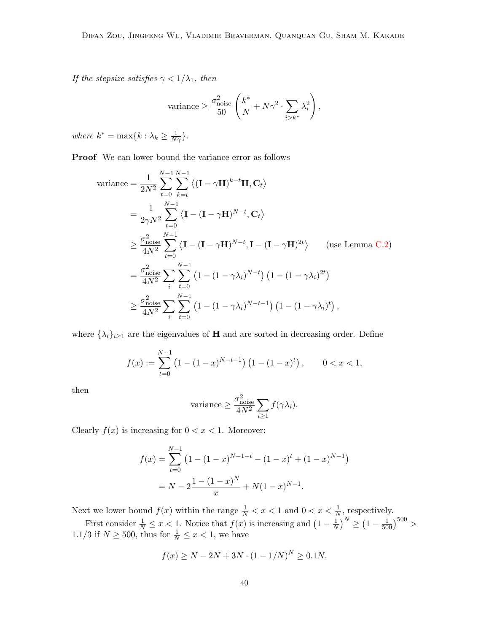If the stepsize satisfies  $\gamma < 1/\lambda_1$ , then

variance 
$$
\geq \frac{\sigma_{\text{noise}}^2}{50} \left( \frac{k^*}{N} + N\gamma^2 \cdot \sum_{i > k^*} \lambda_i^2 \right),
$$

where  $k^* = \max\{k : \lambda_k \geq \frac{1}{N\gamma}\}.$ 

Proof We can lower bound the variance error as follows

variance = 
$$
\frac{1}{2N^2} \sum_{t=0}^{N-1} \sum_{k=t}^{N-1} \langle (\mathbf{I} - \gamma \mathbf{H})^{k-t} \mathbf{H}, \mathbf{C}_t \rangle
$$
  
\n= 
$$
\frac{1}{2\gamma N^2} \sum_{t=0}^{N-1} \langle \mathbf{I} - (\mathbf{I} - \gamma \mathbf{H})^{N-t}, \mathbf{C}_t \rangle
$$
  
\n
$$
\geq \frac{\sigma_{\text{noise}}^2}{4N^2} \sum_{t=0}^{N-1} \langle \mathbf{I} - (\mathbf{I} - \gamma \mathbf{H})^{N-t}, \mathbf{I} - (\mathbf{I} - \gamma \mathbf{H})^{2t} \rangle \qquad \text{(use Lemma C.2)}
$$
  
\n= 
$$
\frac{\sigma_{\text{noise}}^2}{4N^2} \sum_{i} \sum_{t=0}^{N-1} (1 - (1 - \gamma \lambda_i)^{N-t}) (1 - (1 - \gamma \lambda_i)^{2t})
$$
  
\n
$$
\geq \frac{\sigma_{\text{noise}}^2}{4N^2} \sum_{i} \sum_{t=0}^{N-1} (1 - (1 - \gamma \lambda_i)^{N-t-1}) (1 - (1 - \gamma \lambda_i)^t),
$$

where  $\{\lambda_i\}_{i\geq 1}$  are the eigenvalues of **H** and are sorted in decreasing order. Define

$$
f(x) := \sum_{t=0}^{N-1} \left(1 - (1-x)^{N-t-1}\right) \left(1 - (1-x)^t\right), \qquad 0 < x < 1,
$$

then

variance 
$$
\geq \frac{\sigma_{\text{noise}}^2}{4N^2} \sum_{i \geq 1} f(\gamma \lambda_i).
$$

Clearly  $f(x)$  is increasing for  $0 < x < 1$ . Moreover:

$$
f(x) = \sum_{t=0}^{N-1} (1 - (1 - x)^{N-1-t} - (1 - x)^t + (1 - x)^{N-1})
$$
  
=  $N - 2\frac{1 - (1 - x)^N}{x} + N(1 - x)^{N-1}.$ 

Next we lower bound  $f(x)$  within the range  $\frac{1}{N} < x < 1$  and  $0 < x < \frac{1}{N}$ , respectively.

First consider  $\frac{1}{N} \leq x < 1$ . Notice that  $f(x)$  is increasing and  $\left(1 - \frac{1}{N}\right)$  $\left(\frac{1}{N}\right)^N \ge \left(1-\frac{1}{500}\right)^{500} >$ 1.1/3 if  $N \ge 500$ , thus for  $\frac{1}{N} \le x < 1$ , we have

$$
f(x) \ge N - 2N + 3N \cdot (1 - 1/N)^N \ge 0.1N.
$$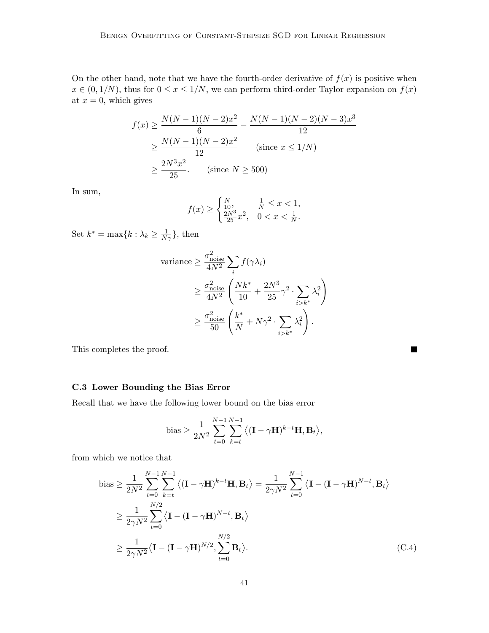On the other hand, note that we have the fourth-order derivative of  $f(x)$  is positive when  $x \in (0, 1/N)$ , thus for  $0 \le x \le 1/N$ , we can perform third-order Taylor expansion on  $f(x)$ at  $x = 0$ , which gives

$$
f(x) \ge \frac{N(N-1)(N-2)x^2}{6} - \frac{N(N-1)(N-2)(N-3)x^3}{12}
$$
  
 
$$
\ge \frac{N(N-1)(N-2)x^2}{12} \qquad \text{(since } x \le 1/N\text{)}
$$
  
 
$$
\ge \frac{2N^3x^2}{25}. \qquad \text{(since } N \ge 500\text{)}
$$

In sum,

$$
f(x) \ge \begin{cases} \frac{N}{10}, & \frac{1}{N} \le x < 1, \\ \frac{2N^3}{25} x^2, & 0 < x < \frac{1}{N}. \end{cases}
$$

Set  $k^* = \max\{k : \lambda_k \geq \frac{1}{N\gamma}\}\$ , then

variance 
$$
\geq \frac{\sigma_{\text{noise}}^2}{4N^2} \sum_i f(\gamma \lambda_i)
$$
  
 $\geq \frac{\sigma_{\text{noise}}^2}{4N^2} \left( \frac{Nk^*}{10} + \frac{2N^3}{25} \gamma^2 \cdot \sum_{i > k^*} \lambda_i^2 \right)$   
 $\geq \frac{\sigma_{\text{noise}}^2}{50} \left( \frac{k^*}{N} + N\gamma^2 \cdot \sum_{i > k^*} \lambda_i^2 \right).$ 

<span id="page-40-0"></span>■

This completes the proof.

# C.3 Lower Bounding the Bias Error

Recall that we have the following lower bound on the bias error

bias 
$$
\geq \frac{1}{2N^2} \sum_{t=0}^{N-1} \sum_{k=t}^{N-1} \langle (\mathbf{I} - \gamma \mathbf{H})^{k-t} \mathbf{H}, \mathbf{B}_t \rangle
$$
,

from which we notice that

bias 
$$
\geq \frac{1}{2N^2} \sum_{t=0}^{N-1} \sum_{k=t}^{N-1} \langle (\mathbf{I} - \gamma \mathbf{H})^{k-t} \mathbf{H}, \mathbf{B}_t \rangle = \frac{1}{2\gamma N^2} \sum_{t=0}^{N-1} \langle \mathbf{I} - (\mathbf{I} - \gamma \mathbf{H})^{N-t}, \mathbf{B}_t \rangle
$$
  
 $\geq \frac{1}{2\gamma N^2} \sum_{t=0}^{N/2} \langle \mathbf{I} - (\mathbf{I} - \gamma \mathbf{H})^{N-t}, \mathbf{B}_t \rangle$   
 $\geq \frac{1}{2\gamma N^2} \langle \mathbf{I} - (\mathbf{I} - \gamma \mathbf{H})^{N/2}, \sum_{t=0}^{N/2} \mathbf{B}_t \rangle.$  (C.4)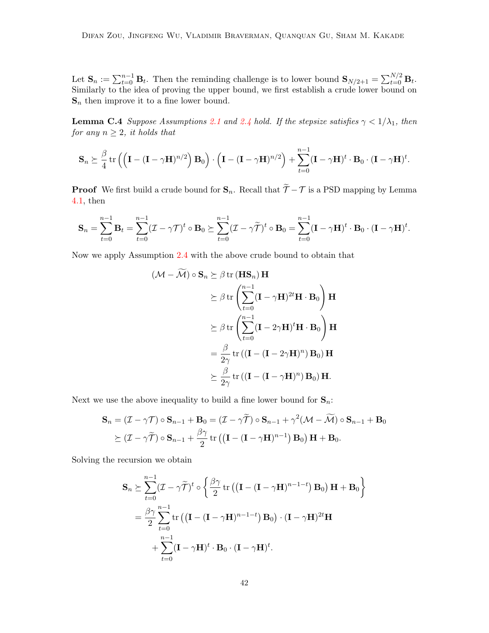Let  $\mathbf{S}_n := \sum_{t=0}^{n-1} \mathbf{B}_t$ . Then the reminding challenge is to lower bound  $\mathbf{S}_{N/2+1} = \sum_{t=0}^{N/2} \mathbf{B}_t$ . Similarly to the idea of proving the upper bound, we first establish a crude lower bound on  $\mathbf{S}_n$  then improve it to a fine lower bound.

<span id="page-41-0"></span>**Lemma C.4** Suppose Assumptions [2.1](#page-3-0) and [2.4](#page-6-0) hold. If the stepsize satisfies  $\gamma < 1/\lambda_1$ , then for any  $n \geq 2$ , it holds that

$$
\mathbf{S}_n \succeq \frac{\beta}{4} \operatorname{tr} \left( \left( \mathbf{I} - (\mathbf{I} - \gamma \mathbf{H})^{n/2} \right) \mathbf{B}_0 \right) \cdot \left( \mathbf{I} - (\mathbf{I} - \gamma \mathbf{H})^{n/2} \right) + \sum_{t=0}^{n-1} (\mathbf{I} - \gamma \mathbf{H})^t \cdot \mathbf{B}_0 \cdot (\mathbf{I} - \gamma \mathbf{H})^t.
$$

**Proof** We first build a crude bound for  $\mathbf{S}_n$ . Recall that  $\widetilde{\mathcal{T}} - \mathcal{T}$  is a PSD mapping by Lemma [4.1,](#page-10-4) then

$$
\mathbf{S}_n = \sum_{t=0}^{n-1} \mathbf{B}_t = \sum_{t=0}^{n-1} (\mathcal{I} - \gamma \mathcal{T})^t \circ \mathbf{B}_0 \succeq \sum_{t=0}^{n-1} (\mathcal{I} - \gamma \widetilde{\mathcal{T}})^t \circ \mathbf{B}_0 = \sum_{t=0}^{n-1} (\mathbf{I} - \gamma \mathbf{H})^t \cdot \mathbf{B}_0 \cdot (\mathbf{I} - \gamma \mathbf{H})^t.
$$

Now we apply Assumption [2.4](#page-6-0) with the above crude bound to obtain that

$$
(\mathcal{M} - \mathcal{M}) \circ \mathbf{S}_n \succeq \beta \operatorname{tr} (\mathbf{H} \mathbf{S}_n) \mathbf{H}
$$
  
\n
$$
\succeq \beta \operatorname{tr} \left( \sum_{t=0}^{n-1} (\mathbf{I} - \gamma \mathbf{H})^{2t} \mathbf{H} \cdot \mathbf{B}_0 \right) \mathbf{H}
$$
  
\n
$$
\succeq \beta \operatorname{tr} \left( \sum_{t=0}^{n-1} (\mathbf{I} - 2\gamma \mathbf{H})^t \mathbf{H} \cdot \mathbf{B}_0 \right) \mathbf{H}
$$
  
\n
$$
= \frac{\beta}{2\gamma} \operatorname{tr} ((\mathbf{I} - (\mathbf{I} - 2\gamma \mathbf{H})^n) \mathbf{B}_0) \mathbf{H}
$$
  
\n
$$
\succeq \frac{\beta}{2\gamma} \operatorname{tr} ((\mathbf{I} - (\mathbf{I} - \gamma \mathbf{H})^n) \mathbf{B}_0) \mathbf{H}.
$$

Next we use the above inequality to build a fine lower bound for  $S_n$ :

$$
\mathbf{S}_n = (\mathcal{I} - \gamma \mathcal{T}) \circ \mathbf{S}_{n-1} + \mathbf{B}_0 = (\mathcal{I} - \gamma \tilde{\mathcal{T}}) \circ \mathbf{S}_{n-1} + \gamma^2 (\mathcal{M} - \widetilde{\mathcal{M}}) \circ \mathbf{S}_{n-1} + \mathbf{B}_0
$$
  
 
$$
\succeq (\mathcal{I} - \gamma \tilde{\mathcal{T}}) \circ \mathbf{S}_{n-1} + \frac{\beta \gamma}{2} \operatorname{tr} ((\mathbf{I} - (\mathbf{I} - \gamma \mathbf{H})^{n-1}) \mathbf{B}_0) \mathbf{H} + \mathbf{B}_0.
$$

Solving the recursion we obtain

$$
\mathbf{S}_n \succeq \sum_{t=0}^{n-1} (\mathcal{I} - \gamma \widetilde{\mathcal{T}})^t \circ \left\{ \frac{\beta \gamma}{2} \operatorname{tr} \left( (\mathbf{I} - (\mathbf{I} - \gamma \mathbf{H})^{n-1-t} \right) \mathbf{B}_0 \right) \mathbf{H} + \mathbf{B}_0 \right\}
$$
  
=  $\frac{\beta \gamma}{2} \sum_{t=0}^{n-1} \operatorname{tr} \left( (\mathbf{I} - (\mathbf{I} - \gamma \mathbf{H})^{n-1-t} \right) \mathbf{B}_0) \cdot (\mathbf{I} - \gamma \mathbf{H})^{2t} \mathbf{H} + \sum_{t=0}^{n-1} (\mathbf{I} - \gamma \mathbf{H})^t \cdot \mathbf{B}_0 \cdot (\mathbf{I} - \gamma \mathbf{H})^t.$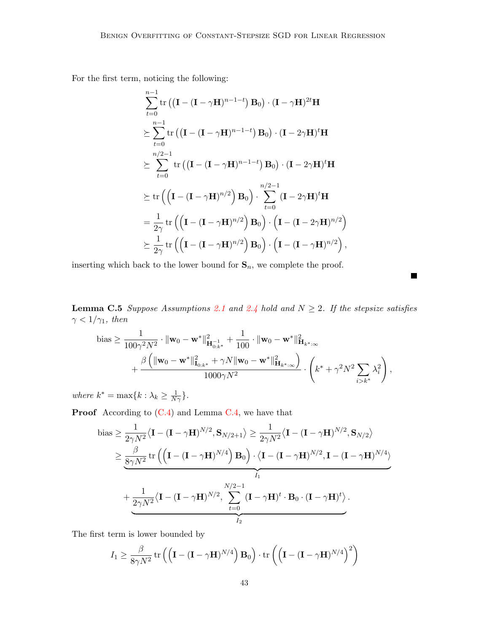For the first term, noticing the following:

$$
\sum_{t=0}^{n-1} \operatorname{tr} \left( (\mathbf{I} - (\mathbf{I} - \gamma \mathbf{H})^{n-1-t} \right) \mathbf{B}_0) \cdot (\mathbf{I} - \gamma \mathbf{H})^{2t} \mathbf{H}
$$
\n
$$
\geq \sum_{t=0}^{n-1} \operatorname{tr} \left( (\mathbf{I} - (\mathbf{I} - \gamma \mathbf{H})^{n-1-t} \right) \mathbf{B}_0) \cdot (\mathbf{I} - 2\gamma \mathbf{H})^t \mathbf{H}
$$
\n
$$
\geq \sum_{t=0}^{n/2-1} \operatorname{tr} \left( (\mathbf{I} - (\mathbf{I} - \gamma \mathbf{H})^{n-1-t} \right) \mathbf{B}_0) \cdot (\mathbf{I} - 2\gamma \mathbf{H})^t \mathbf{H}
$$
\n
$$
\geq \operatorname{tr} \left( \left( \mathbf{I} - (\mathbf{I} - \gamma \mathbf{H})^{n/2} \right) \mathbf{B}_0 \right) \cdot \sum_{t=0}^{n/2-1} (\mathbf{I} - 2\gamma \mathbf{H})^t \mathbf{H}
$$
\n
$$
= \frac{1}{2\gamma} \operatorname{tr} \left( \left( \mathbf{I} - (\mathbf{I} - \gamma \mathbf{H})^{n/2} \right) \mathbf{B}_0 \right) \cdot \left( \mathbf{I} - (\mathbf{I} - 2\gamma \mathbf{H})^{n/2} \right)
$$
\n
$$
\geq \frac{1}{2\gamma} \operatorname{tr} \left( \left( \mathbf{I} - (\mathbf{I} - \gamma \mathbf{H})^{n/2} \right) \mathbf{B}_0 \right) \cdot \left( \mathbf{I} - (\mathbf{I} - \gamma \mathbf{H})^{n/2} \right),
$$

inserting which back to the lower bound for  $\mathbf{S}_n,$  we complete the proof.

<span id="page-42-0"></span>**Lemma C.5** Suppose Assumptions [2.1](#page-3-0) and [2.4](#page-6-0) hold and  $N \ge 2$ . If the stepsize satisfies  $\gamma < 1/\gamma_1, \ then$ 

 $\blacksquare$ 

bias 
$$
\ge \frac{1}{100\gamma^2 N^2} \cdot ||\mathbf{w}_0 - \mathbf{w}^*||_{\mathbf{H}_{0:k^*}}^2 + \frac{1}{100} \cdot ||\mathbf{w}_0 - \mathbf{w}^*||_{\mathbf{H}_{k^*:\infty}}^2 + \frac{\beta \left( ||\mathbf{w}_0 - \mathbf{w}^*||_{\mathbf{H}_{0:k^*}}^2 + \gamma N ||\mathbf{w}_0 - \mathbf{w}^*||_{\mathbf{H}_{k^*:\infty}}^2 \right)}{1000\gamma N^2} \cdot \left( k^* + \gamma^2 N^2 \sum_{i > k^*} \lambda_i^2 \right),
$$

where  $k^* = \max\{k : \lambda_k \geq \frac{1}{N\gamma}\}.$ 

**Proof** According to  $(C.4)$  and Lemma  $C.4$ , we have that

bias 
$$
\geq \frac{1}{2\gamma N^2} \langle \mathbf{I} - (\mathbf{I} - \gamma \mathbf{H})^{N/2}, \mathbf{S}_{N/2+1} \rangle \geq \frac{1}{2\gamma N^2} \langle \mathbf{I} - (\mathbf{I} - \gamma \mathbf{H})^{N/2}, \mathbf{S}_{N/2} \rangle
$$
  
\n $\geq \frac{\beta}{8\gamma N^2} tr \left( \left( \mathbf{I} - (\mathbf{I} - \gamma \mathbf{H})^{N/4} \right) \mathbf{B}_0 \right) \cdot \langle \mathbf{I} - (\mathbf{I} - \gamma \mathbf{H})^{N/2}, \mathbf{I} - (\mathbf{I} - \gamma \mathbf{H})^{N/4} \rangle$   
\n $+ \frac{1}{2\gamma N^2} \langle \mathbf{I} - (\mathbf{I} - \gamma \mathbf{H})^{N/2}, \sum_{t=0}^{N/2-1} (\mathbf{I} - \gamma \mathbf{H})^t \cdot \mathbf{B}_0 \cdot (\mathbf{I} - \gamma \mathbf{H})^t \rangle$ .

The first term is lower bounded by

$$
I_1 \ge \frac{\beta}{8\gamma N^2} \operatorname{tr} \left( \left( \mathbf{I} - (\mathbf{I} - \gamma \mathbf{H})^{N/4} \right) \mathbf{B}_0 \right) \cdot \operatorname{tr} \left( \left( \mathbf{I} - (\mathbf{I} - \gamma \mathbf{H})^{N/4} \right)^2 \right)
$$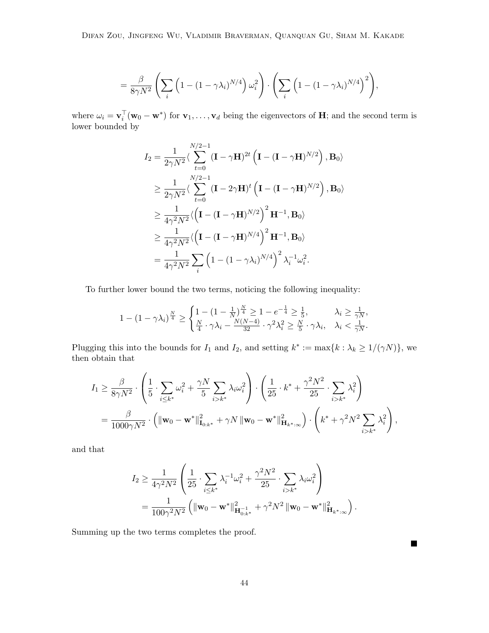$$
= \frac{\beta}{8\gamma N^2} \left( \sum_i \left( 1 - (1 - \gamma \lambda_i)^{N/4} \right) \omega_i^2 \right) \cdot \left( \sum_i \left( 1 - (1 - \gamma \lambda_i)^{N/4} \right)^2 \right),
$$

where  $\omega_i = \mathbf{v}_i^{\top}(\mathbf{w}_0 - \mathbf{w}^*)$  for  $\mathbf{v}_1, \dots, \mathbf{v}_d$  being the eigenvectors of **H**; and the second term is lower bounded by

$$
I_2 = \frac{1}{2\gamma N^2} \langle \sum_{t=0}^{N/2-1} (\mathbf{I} - \gamma \mathbf{H})^{2t} \left( \mathbf{I} - (\mathbf{I} - \gamma \mathbf{H})^{N/2} \right), \mathbf{B}_0 \rangle
$$
  
\n
$$
\geq \frac{1}{2\gamma N^2} \langle \sum_{t=0}^{N/2-1} (\mathbf{I} - 2\gamma \mathbf{H})^t \left( \mathbf{I} - (\mathbf{I} - \gamma \mathbf{H})^{N/2} \right), \mathbf{B}_0 \rangle
$$
  
\n
$$
\geq \frac{1}{4\gamma^2 N^2} \langle \left( \mathbf{I} - (\mathbf{I} - \gamma \mathbf{H})^{N/2} \right)^2 \mathbf{H}^{-1}, \mathbf{B}_0 \rangle
$$
  
\n
$$
\geq \frac{1}{4\gamma^2 N^2} \langle \left( \mathbf{I} - (\mathbf{I} - \gamma \mathbf{H})^{N/4} \right)^2 \mathbf{H}^{-1}, \mathbf{B}_0 \rangle
$$
  
\n
$$
= \frac{1}{4\gamma^2 N^2} \sum_{i} \left( 1 - (1 - \gamma \lambda_i)^{N/4} \right)^2 \lambda_i^{-1} \omega_i^2.
$$

To further lower bound the two terms, noticing the following inequality:

$$
1 - (1 - \gamma \lambda_i)^{\frac{N}{4}} \ge \begin{cases} 1 - (1 - \frac{1}{N})^{\frac{N}{4}} \ge 1 - e^{-\frac{1}{4}} \ge \frac{1}{5}, & \lambda_i \ge \frac{1}{\gamma N}, \\ \frac{N}{4} \cdot \gamma \lambda_i - \frac{N(N-4)}{32} \cdot \gamma^2 \lambda_i^2 \ge \frac{N}{5} \cdot \gamma \lambda_i, & \lambda_i < \frac{1}{\gamma N}. \end{cases}
$$

Plugging this into the bounds for  $I_1$  and  $I_2$ , and setting  $k^* := \max\{k : \lambda_k \ge 1/(\gamma N)\}\)$ , we then obtain that

$$
I_{1} \geq \frac{\beta}{8\gamma N^{2}} \cdot \left(\frac{1}{5} \cdot \sum_{i \leq k^{*}} \omega_{i}^{2} + \frac{\gamma N}{5} \sum_{i > k^{*}} \lambda_{i} \omega_{i}^{2}\right) \cdot \left(\frac{1}{25} \cdot k^{*} + \frac{\gamma^{2} N^{2}}{25} \cdot \sum_{i > k^{*}} \lambda_{i}^{2}\right)
$$
  
= 
$$
\frac{\beta}{1000\gamma N^{2}} \cdot \left(\|\mathbf{w}_{0} - \mathbf{w}^{*}\|_{\mathbf{I}_{0:k^{*}}}^{2} + \gamma N \|\mathbf{w}_{0} - \mathbf{w}^{*}\|_{\mathbf{H}_{k^{*}:\infty}}^{2}\right) \cdot \left(k^{*} + \gamma^{2} N^{2} \sum_{i > k^{*}} \lambda_{i}^{2}\right),
$$

and that

$$
I_2 \geq \frac{1}{4\gamma^2 N^2} \left( \frac{1}{25} \cdot \sum_{i \leq k^*} \lambda_i^{-1} \omega_i^2 + \frac{\gamma^2 N^2}{25} \cdot \sum_{i > k^*} \lambda_i \omega_i^2 \right)
$$
  
= 
$$
\frac{1}{100\gamma^2 N^2} \left( \|\mathbf{w}_0 - \mathbf{w}^*\|_{\mathbf{H}_{0:k^*}}^2 + \gamma^2 N^2 \|\mathbf{w}_0 - \mathbf{w}^*\|_{\mathbf{H}_{k^*:\infty}}^2 \right).
$$

Summing up the two terms completes the proof.

 $\blacksquare$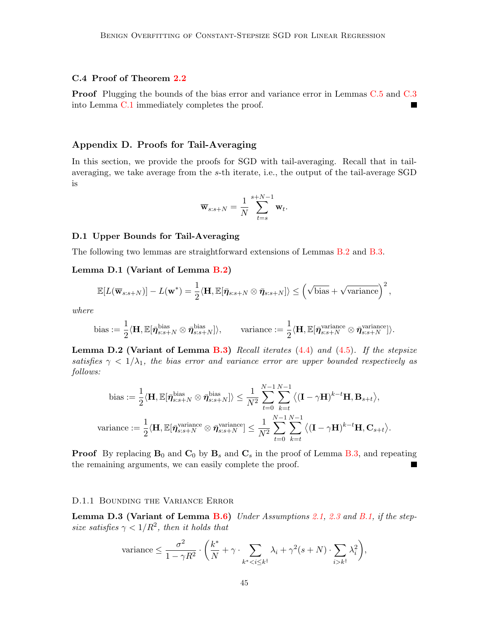## C.4 Proof of Theorem [2.2](#page-6-1)

**Proof** Plugging the bounds of the bias error and variance error in Lemmas [C.5](#page-42-0) and [C.3](#page-38-1) into Lemma [C.1](#page-36-0) immediately completes the proof.

# Appendix D. Proofs for Tail-Averaging

In this section, we provide the proofs for SGD with tail-averaging. Recall that in tailaveraging, we take average from the s-th iterate, i.e., the output of the tail-average SGD is

$$
\overline{\mathbf{w}}_{s:s+N} = \frac{1}{N} \sum_{t=s}^{s+N-1} \mathbf{w}_t.
$$

#### D.1 Upper Bounds for Tail-Averaging

The following two lemmas are straightforward extensions of Lemmas [B.2](#page-6-1) and [B.3.](#page-22-0)

Lemma D.1 (Variant of Lemma [B.2\)](#page-6-1)

$$
\mathbb{E}[L(\overline{\mathbf{w}}_{s:s+N})] - L(\mathbf{w}^*) = \frac{1}{2} \langle \mathbf{H}, \mathbb{E}[\bar{\boldsymbol{\eta}}_{s:s+N} \otimes \bar{\boldsymbol{\eta}}_{s:s+N}] \rangle \leq \left(\sqrt{\text{bias}} + \sqrt{\text{variance}}\right)^2,
$$

where

bias := 
$$
\frac{1}{2} \langle \mathbf{H}, \mathbb{E}[\bar{\pmb{\eta}}_{s:s+N}^{\text{bias}} \otimes \bar{\pmb{\eta}}_{s:s+N}^{\text{bias}}] \rangle
$$
, variance :=  $\frac{1}{2} \langle \mathbf{H}, \mathbb{E}[\bar{\pmb{\eta}}_{s:s+N}^{\text{variance}} \otimes \bar{\pmb{\eta}}_{s:s+N}^{\text{variance}}] \rangle$ .

<span id="page-44-0"></span>**Lemma D.2 (Variant of Lemma [B.3\)](#page-22-0)** Recall iterates  $(4.4)$  and  $(4.5)$ . If the stepsize satisfies  $\gamma < 1/\lambda_1$ , the bias error and variance error are upper bounded respectively as follows:

bias := 
$$
\frac{1}{2} \langle \mathbf{H}, \mathbb{E}[\bar{\pmb{\eta}}_{s:s+N}^{\text{bias}} \otimes \bar{\pmb{\eta}}_{s:s+N}^{\text{bias}}] \rangle \leq \frac{1}{N^2} \sum_{t=0}^{N-1} \sum_{k=t}^{N-1} \langle (\mathbf{I} - \gamma \mathbf{H})^{k-t} \mathbf{H}, \mathbf{B}_{s+t} \rangle
$$
,  
variance :=  $\frac{1}{2} \langle \mathbf{H}, \mathbb{E}[\bar{\pmb{\eta}}_{s:s+N}^{\text{variance}} \otimes \bar{\pmb{\eta}}_{s:s+N}^{\text{variance}}] \leq \frac{1}{N^2} \sum_{t=0}^{N-1} \sum_{k=t}^{N-1} \langle (\mathbf{I} - \gamma \mathbf{H})^{k-t} \mathbf{H}, \mathbf{C}_{s+t} \rangle$ .

**Proof** By replacing  $B_0$  and  $C_0$  by  $B_s$  and  $C_s$  in the proof of Lemma [B.3,](#page-22-0) and repeating the remaining arguments, we can easily complete the proof. П

#### D.1.1 Bounding the Variance Error

<span id="page-44-1"></span>**Lemma D.3 (Variant of Lemma [B.6\)](#page-26-0)** Under Assumptions [2.1,](#page-3-0) [2.3](#page-4-4) and [B.1,](#page-3-0) if the stepsize satisfies  $\gamma < 1/R^2$ , then it holds that

variance 
$$
\leq \frac{\sigma^2}{1 - \gamma R^2} \cdot \left(\frac{k^*}{N} + \gamma \cdot \sum_{k^* < i \leq k^{\dagger}} \lambda_i + \gamma^2 (s + N) \cdot \sum_{i > k^{\dagger}} \lambda_i^2\right),
$$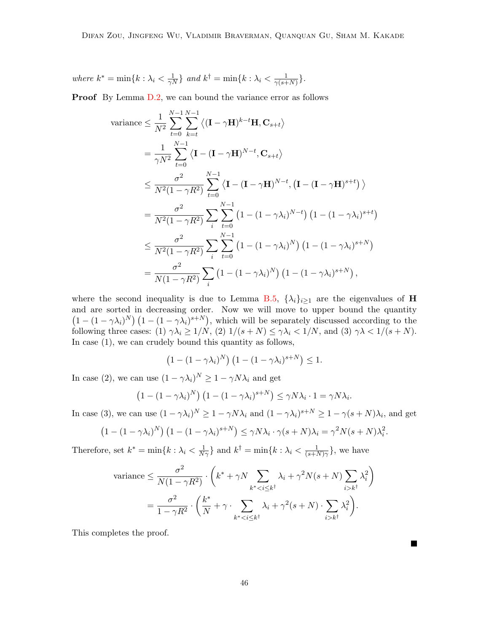where  $k^* = \min\{k : \lambda_i < \frac{1}{\gamma N}\}\$  and  $k^{\dagger} = \min\{k : \lambda_i < \frac{1}{\gamma (s + 1)}\}\$  $\frac{1}{\gamma(s+N)}\}$ .

**Proof** By Lemma [D.2,](#page-44-0) we can bound the variance error as follows

variance 
$$
\leq \frac{1}{N^2} \sum_{t=0}^{N-1} \sum_{k=t}^{N-1} \langle (\mathbf{I} - \gamma \mathbf{H})^{k-t} \mathbf{H}, \mathbf{C}_{s+t} \rangle
$$
  
\n $= \frac{1}{\gamma N^2} \sum_{t=0}^{N-1} \langle \mathbf{I} - (\mathbf{I} - \gamma \mathbf{H})^{N-t}, \mathbf{C}_{s+t} \rangle$   
\n $\leq \frac{\sigma^2}{N^2 (1 - \gamma R^2)} \sum_{t=0}^{N-1} \langle \mathbf{I} - (\mathbf{I} - \gamma \mathbf{H})^{N-t}, (\mathbf{I} - (\mathbf{I} - \gamma \mathbf{H})^{s+t}) \rangle$   
\n $= \frac{\sigma^2}{N^2 (1 - \gamma R^2)} \sum_{i} \sum_{t=0}^{N-1} (1 - (1 - \gamma \lambda_i)^{N-t}) (1 - (1 - \gamma \lambda_i)^{s+t})$   
\n $\leq \frac{\sigma^2}{N^2 (1 - \gamma R^2)} \sum_{i} \sum_{t=0}^{N-1} (1 - (1 - \gamma \lambda_i)^N) (1 - (1 - \gamma \lambda_i)^{s+N})$   
\n $= \frac{\sigma^2}{N (1 - \gamma R^2)} \sum_{i} (1 - (1 - \gamma \lambda_i)^N) (1 - (1 - \gamma \lambda_i)^{s+N}),$ 

where the second inequality is due to Lemma [B.5,](#page-25-0)  $\{\lambda_i\}_{i\geq 1}$  are the eigenvalues of H and are sorted in decreasing order. Now we will move to upper bound the quantity  $(1 - (1 - \gamma \lambda_i)^N) (1 - (1 - \gamma \lambda_i)^{s+N}),$  which will be separately discussed according to the following three cases: (1)  $\gamma \lambda_i \geq 1/N$ , (2)  $1/(s+N) \leq \gamma \lambda_i < 1/N$ , and (3)  $\gamma \lambda < 1/(s+N)$ . In case (1), we can crudely bound this quantity as follows,

$$
(1 - (1 - \gamma \lambda_i)^N) (1 - (1 - \gamma \lambda_i)^{s+N}) \le 1.
$$

In case (2), we can use  $(1 - \gamma \lambda_i)^N \geq 1 - \gamma N \lambda_i$  and get

$$
(1 - (1 - \gamma \lambda_i)^N) (1 - (1 - \gamma \lambda_i)^{s+N}) \le \gamma N \lambda_i \cdot 1 = \gamma N \lambda_i.
$$

In case (3), we can use  $(1 - \gamma \lambda_i)^N \geq 1 - \gamma N \lambda_i$  and  $(1 - \gamma \lambda_i)^{s+N} \geq 1 - \gamma (s+N) \lambda_i$ , and get

$$
(1 - (1 - \gamma \lambda_i)^N) (1 - (1 - \gamma \lambda_i)^{s+N}) \le \gamma N \lambda_i \cdot \gamma(s+N) \lambda_i = \gamma^2 N(s+N) \lambda_i^2.
$$

Therefore, set  $k^* = \min\{k : \lambda_i < \frac{1}{N\gamma}\}\$  and  $k^{\dagger} = \min\{k : \lambda_i < \frac{1}{(s+l)^2}\}\$  $\frac{1}{(s+N)\gamma}$ , we have

variance 
$$
\leq \frac{\sigma^2}{N(1 - \gamma R^2)} \cdot \left( k^* + \gamma N \sum_{k^* < i \leq k^{\dagger}} \lambda_i + \gamma^2 N(s + N) \sum_{i > k^{\dagger}} \lambda_i^2 \right)
$$
  
= 
$$
\frac{\sigma^2}{1 - \gamma R^2} \cdot \left( \frac{k^*}{N} + \gamma \cdot \sum_{k^* < i \leq k^{\dagger}} \lambda_i + \gamma^2 (s + N) \cdot \sum_{i > k^{\dagger}} \lambda_i^2 \right).
$$

This completes the proof.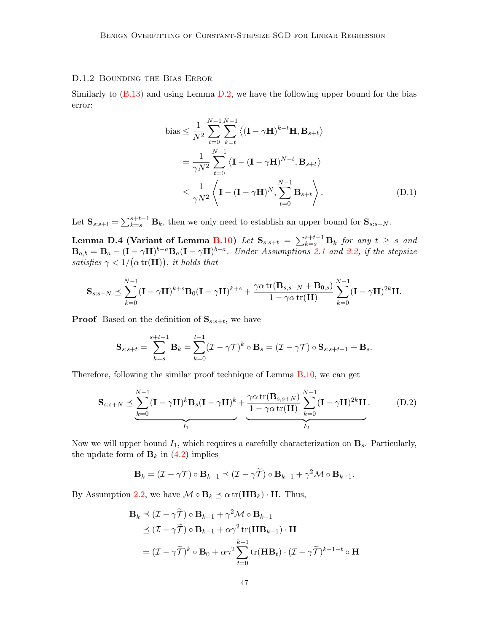#### D.1.2 Bounding the Bias Error

Similarly to  $(B.13)$  and using Lemma [D.2,](#page-44-0) we have the following upper bound for the bias error:

bias 
$$
\leq \frac{1}{N^2} \sum_{t=0}^{N-1} \sum_{k=t}^{N-1} \langle (\mathbf{I} - \gamma \mathbf{H})^{k-t} \mathbf{H}, \mathbf{B}_{s+t} \rangle
$$
  
\n
$$
= \frac{1}{\gamma N^2} \sum_{t=0}^{N-1} \langle \mathbf{I} - (\mathbf{I} - \gamma \mathbf{H})^{N-t}, \mathbf{B}_{s+t} \rangle
$$
\n
$$
\leq \frac{1}{\gamma N^2} \langle \mathbf{I} - (\mathbf{I} - \gamma \mathbf{H})^N, \sum_{t=0}^{N-1} \mathbf{B}_{s+t} \rangle.
$$
\n(D.1)

Let  $\mathbf{S}_{s:s+t} = \sum_{k=s}^{s+t-1} \mathbf{B}_k$ , then we only need to establish an upper bound for  $\mathbf{S}_{s:s+N}$ .

Lemma D.4 (Variant of Lemma [B.10\)](#page-30-0) Let  $S_{s:s+t} = \sum_{k=s}^{s+t-1} B_k$  for any  $t \geq s$  and  $\mathbf{B}_{a,b} = \mathbf{B}_{a} - (\mathbf{I} - \gamma \mathbf{H})^{b-a} \mathbf{B}_{a} (\mathbf{I} - \gamma \mathbf{H})^{b-a}$ . Under Assumptions [2.1](#page-3-0) and [2.2,](#page-4-3) if the stepsize satisfies  $\gamma < 1/(\alpha \operatorname{tr}(\mathbf{H}))$ , it holds that

$$
\mathbf{S}_{s:s+N} \preceq \sum_{k=0}^{N-1} (\mathbf{I} - \gamma \mathbf{H})^{k+s} \mathbf{B}_0 (\mathbf{I} - \gamma \mathbf{H})^{k+s} + \frac{\gamma \alpha \operatorname{tr}(\mathbf{B}_{s,s+N} + \mathbf{B}_{0,s})}{1 - \gamma \alpha \operatorname{tr}(\mathbf{H})} \sum_{k=0}^{N-1} (\mathbf{I} - \gamma \mathbf{H})^{2k} \mathbf{H}.
$$

**Proof** Based on the definition of  $\mathbf{S}_{s:s+t}$ , we have

$$
\mathbf{S}_{s:s+t} = \sum_{k=s}^{s+t-1} \mathbf{B}_k = \sum_{k=0}^{t-1} (\mathcal{I} - \gamma \mathcal{T})^k \circ \mathbf{B}_s = (\mathcal{I} - \gamma \mathcal{T}) \circ \mathbf{S}_{s:s+t-1} + \mathbf{B}_s.
$$

Therefore, following the similar proof technique of Lemma [B.10,](#page-30-0) we can get

$$
\mathbf{S}_{s:s+N} \preceq \underbrace{\sum_{k=0}^{N-1} (\mathbf{I} - \gamma \mathbf{H})^k \mathbf{B}_s (\mathbf{I} - \gamma \mathbf{H})^k}_{I_1} + \underbrace{\frac{\gamma \alpha \operatorname{tr}(\mathbf{B}_{s,s+N})}{1 - \gamma \alpha \operatorname{tr}(\mathbf{H})} \sum_{k=0}^{N-1} (\mathbf{I} - \gamma \mathbf{H})^{2k} \mathbf{H}}_{I_2}.
$$
 (D.2)

Now we will upper bound  $I_1$ , which requires a carefully characterization on  $\mathbf{B}_s$ . Particularly, the update form of  $\mathbf{B}_k$  in [\(4.2\)](#page-10-2) implies

$$
\mathbf{B}_k = (\mathcal{I} - \gamma \mathcal{T}) \circ \mathbf{B}_{k-1} \preceq (\mathcal{I} - \gamma \widetilde{\mathcal{T}}) \circ \mathbf{B}_{k-1} + \gamma^2 \mathcal{M} \circ \mathbf{B}_{k-1}.
$$

By Assumption [2.2,](#page-4-3) we have  $\mathcal{M} \circ \mathbf{B}_k \preceq \alpha \operatorname{tr}(\mathbf{H}\mathbf{B}_k) \cdot \mathbf{H}$ . Thus,

$$
\mathbf{B}_{k} \preceq (\mathcal{I} - \gamma \widetilde{\mathcal{T}}) \circ \mathbf{B}_{k-1} + \gamma^{2} \mathcal{M} \circ \mathbf{B}_{k-1}
$$
  
\n
$$
\preceq (\mathcal{I} - \gamma \widetilde{\mathcal{T}}) \circ \mathbf{B}_{k-1} + \alpha \gamma^{2} \operatorname{tr}(\mathbf{H} \mathbf{B}_{k-1}) \cdot \mathbf{H}
$$
  
\n
$$
= (\mathcal{I} - \gamma \widetilde{\mathcal{T}})^{k} \circ \mathbf{B}_{0} + \alpha \gamma^{2} \sum_{t=0}^{k-1} \operatorname{tr}(\mathbf{H} \mathbf{B}_{t}) \cdot (\mathcal{I} - \gamma \widetilde{\mathcal{T}})^{k-1-t} \circ \mathbf{H}
$$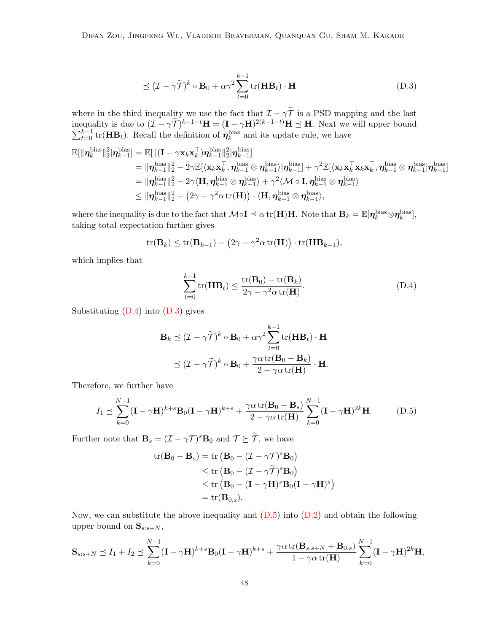$$
\preceq (\mathcal{I} - \gamma \widetilde{\mathcal{T}})^k \circ \mathbf{B}_0 + \alpha \gamma^2 \sum_{t=0}^{k-1} \text{tr}(\mathbf{H} \mathbf{B}_t) \cdot \mathbf{H}
$$
 (D.3)

where in the third inequality we use the fact that  $\mathcal{I} - \gamma \mathcal{T}$  is a PSD mapping and the last inequality is due to  $(\mathcal{I} - \gamma \widetilde{\mathcal{T}})^{k-1-t} \mathbf{H} = (\mathbf{I} - \gamma \mathbf{H})$  $\sum$ equality is due to  $(\mathcal{I} - \gamma \widetilde{\mathcal{T}})^{k-1-t} \mathbf{H} = (\mathbf{I} - \gamma \mathbf{H})^{2(k-1-t)} \mathbf{H} \preceq \mathbf{H}$ . Next we will upper bound  $k-1 \atop t=0}$  tr( $\mathbf{H} \mathbf{B}_t$ ). Recall the definition of  $\eta_k^{\text{bias}}$  and its update rule, we have

$$
\begin{aligned} \mathbb{E}[\|\pmb{\eta}_{k}^{\text{bias}}\|_2^2|\pmb{\eta}_{k-1}^{\text{bias}}] &= \mathbb{E}[\|(\mathbf{I} - \gamma \mathbf{x}_k \mathbf{x}_k^\top) \pmb{\eta}_{k-1}^{\text{bias}}\|_2^2|\pmb{\eta}_{k-1}^{\text{bias}}] \\ &= \|\pmb{\eta}_{k-1}^{\text{bias}}\|_2^2 - 2\gamma \mathbb{E}[\langle\mathbf{x}_k \mathbf{x}_k^\top, \pmb{\eta}_{k-1}^{\text{bias}}\otimes \pmb{\eta}_{k-1}^{\text{bias}}\rangle|\pmb{\eta}_{k-1}^{\text{bias}}] + \gamma^2 \mathbb{E}[\langle\mathbf{x}_k \mathbf{x}_k^\top \mathbf{x}_k \mathbf{x}_k^\top, \pmb{\eta}_{k-1}^{\text{bias}}\otimes \pmb{\eta}_{k-1}^{\text{bias}}|\pmb{\eta}_{k-1}^{\text{bias}}] \\ &= \|\pmb{\eta}_{k-1}^{\text{bias}}\|_2^2 - 2\gamma \langle \mathbf{H}, \pmb{\eta}_{k-1}^{\text{bias}}\otimes \pmb{\eta}_{k-1}^{\text{bias}}\rangle + \gamma^2 \langle \mathcal{M} \circ \mathbf{I}, \pmb{\eta}_{k-1}^{\text{bias}}\otimes \pmb{\eta}_{k-1}^{\text{bias}}\rangle \\ &\leq \|\pmb{\eta}_{k-1}^{\text{bias}}\|_2^2 - \left(2\gamma - \gamma^2 \alpha \operatorname{tr}(\mathbf{H})\right) \cdot \langle \mathbf{H}, \pmb{\eta}_{k-1}^{\text{bias}}\otimes \pmb{\eta}_{k-1}^{\text{bias}}\rangle, \end{aligned}
$$

where the inequality is due to the fact that  $\mathcal{M} \circ \mathbf{I} \preceq \alpha \operatorname{tr}(\mathbf{H})\mathbf{H}$ . Note that  $\mathbf{B}_k = \mathbb{E}[\boldsymbol{\eta}_k^{\text{bias}} \otimes \boldsymbol{\eta}_k^{\text{bias}}]$ , taking total expectation further gives

$$
\mathrm{tr}(\mathbf{B}_k) \leq \mathrm{tr}(\mathbf{B}_{k-1}) - (2\gamma - \gamma^2 \alpha \,\mathrm{tr}(\mathbf{H})) \cdot \mathrm{tr}(\mathbf{H}\mathbf{B}_{k-1}),
$$

which implies that

$$
\sum_{t=0}^{k-1} \text{tr}(\mathbf{H}\mathbf{B}_t) \le \frac{\text{tr}(\mathbf{B}_0) - \text{tr}(\mathbf{B}_k)}{2\gamma - \gamma^2 \alpha \text{tr}(\mathbf{H})}.
$$
 (D.4)

Substituting  $(D.4)$  into  $(D.3)$  gives

$$
\mathbf{B}_k \preceq (\mathcal{I} - \gamma \widetilde{\mathcal{T}})^k \circ \mathbf{B}_0 + \alpha \gamma^2 \sum_{t=0}^{k-1} \text{tr}(\mathbf{H} \mathbf{B}_t) \cdot \mathbf{H}
$$

$$
\preceq (\mathcal{I} - \gamma \widetilde{\mathcal{T}})^k \circ \mathbf{B}_0 + \frac{\gamma \alpha \, \text{tr}(\mathbf{B}_0 - \mathbf{B}_k)}{2 - \gamma \alpha \, \text{tr}(\mathbf{H})} \cdot \mathbf{H}.
$$

Therefore, we further have

$$
I_1 \preceq \sum_{k=0}^{N-1} (\mathbf{I} - \gamma \mathbf{H})^{k+s} \mathbf{B}_0 (\mathbf{I} - \gamma \mathbf{H})^{k+s} + \frac{\gamma \alpha \operatorname{tr}(\mathbf{B}_0 - \mathbf{B}_s)}{2 - \gamma \alpha \operatorname{tr}(\mathbf{H})} \sum_{k=0}^{N-1} (\mathbf{I} - \gamma \mathbf{H})^{2k} \mathbf{H}.
$$
 (D.5)

Further note that  $\mathbf{B}_s = (\mathcal{I} - \gamma \mathcal{T})^s \mathbf{B}_0$  and  $\mathcal{T} \succeq \widetilde{\mathcal{T}}$ , we have

$$
\text{tr}(\mathbf{B}_0 - \mathbf{B}_s) = \text{tr} (\mathbf{B}_0 - (\mathcal{I} - \gamma \mathcal{T})^s \mathbf{B}_0)
$$
  
\n
$$
\leq \text{tr} (\mathbf{B}_0 - (\mathcal{I} - \gamma \widetilde{\mathcal{T}})^s \mathbf{B}_0)
$$
  
\n
$$
\leq \text{tr} (\mathbf{B}_0 - (\mathbf{I} - \gamma \mathbf{H})^s \mathbf{B}_0 (\mathbf{I} - \gamma \mathbf{H})^s)
$$
  
\n
$$
= \text{tr}(\mathbf{B}_{0,s}).
$$

Now, we can substitute the above inequality and [\(D.5\)](#page-11-4) into [\(D.2\)](#page-10-2) and obtain the following upper bound on  $\mathbf{S}_{s:s+N}$ ,

$$
\mathbf{S}_{s:s+N} \preceq I_1 + I_2 \preceq \sum_{k=0}^{N-1} (\mathbf{I} - \gamma \mathbf{H})^{k+s} \mathbf{B}_0 (\mathbf{I} - \gamma \mathbf{H})^{k+s} + \frac{\gamma \alpha \operatorname{tr}(\mathbf{B}_{s,s+N} + \mathbf{B}_{0,s})}{1 - \gamma \alpha \operatorname{tr}(\mathbf{H})} \sum_{k=0}^{N-1} (\mathbf{I} - \gamma \mathbf{H})^{2k} \mathbf{H},
$$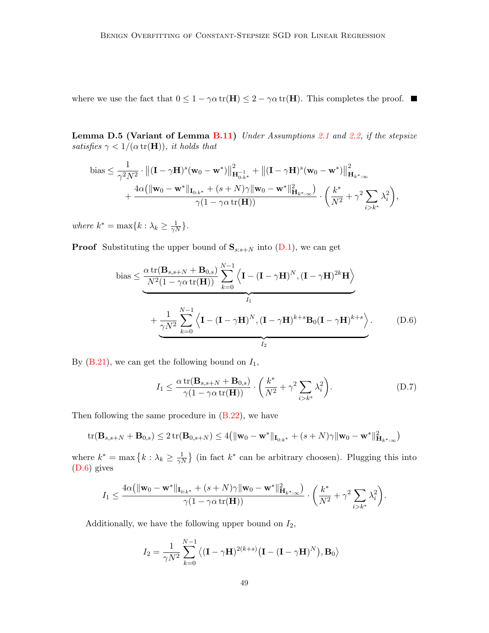where we use the fact that  $0 \leq 1 - \gamma \alpha \operatorname{tr}(\mathbf{H}) \leq 2 - \gamma \alpha \operatorname{tr}(\mathbf{H})$ . This completes the proof.  $\blacksquare$ 

<span id="page-48-0"></span>Lemma D.5 (Variant of Lemma [B.11\)](#page-31-0) Under Assumptions [2.1](#page-3-0) and [2.2,](#page-4-3) if the stepsize satisfies  $\gamma < 1/(\alpha \operatorname{tr}(\mathbf{H}))$ , it holds that

$$
\begin{aligned} \mathrm{bias} &\leq \frac{1}{\gamma^2 N^2} \cdot \big\| (\mathbf{I} - \gamma \mathbf{H})^s (\mathbf{w}_0 - \mathbf{w}^*) \big\|_{\mathbf{H}_{0:k^*}}^2 + \big\| (\mathbf{I} - \gamma \mathbf{H})^s (\mathbf{w}_0 - \mathbf{w}^*) \big\|_{\mathbf{H}_{k^*:\infty}}^2 \\ &\quad + \frac{4\alpha \big( \| \mathbf{w}_0 - \mathbf{w}^* \|_{\mathbf{I}_{0:k^*}} + (s + N) \gamma \| \mathbf{w}_0 - \mathbf{w}^* \|^2_{\mathbf{H}_{k^*:\infty}} \big)}{\gamma (1 - \gamma \alpha \operatorname{tr}(\mathbf{H}))} \cdot \left( \frac{k^*}{N^2} + \gamma^2 \sum_{i > k^*} \lambda_i^2 \right), \end{aligned}
$$

where  $k^* = \max\{k : \lambda_k \geq \frac{1}{\gamma N}\}.$ 

**Proof** Substituting the upper bound of  $\mathbf{S}_{s:s+N}$  into [\(D.1\)](#page-10-3), we can get

bias 
$$
\leq \frac{\alpha \operatorname{tr}(\mathbf{B}_{s,s+N} + \mathbf{B}_{0,s})}{N^2 (1 - \gamma \alpha \operatorname{tr}(\mathbf{H}))} \sum_{k=0}^{N-1} \left\langle \mathbf{I} - (\mathbf{I} - \gamma \mathbf{H})^N, (\mathbf{I} - \gamma \mathbf{H})^{2k} \mathbf{H} \right\rangle
$$
  
+ 
$$
\frac{1}{\gamma N^2} \sum_{k=0}^{N-1} \left\langle \mathbf{I} - (\mathbf{I} - \gamma \mathbf{H})^N, (\mathbf{I} - \gamma \mathbf{H})^{k+s} \mathbf{B}_0 (\mathbf{I} - \gamma \mathbf{H})^{k+s} \right\rangle.
$$
 (D.6)

By  $(B.21)$ , we can get the following bound on  $I_1$ ,

$$
I_1 \leq \frac{\alpha \operatorname{tr}(\mathbf{B}_{s,s+N} + \mathbf{B}_{0,s})}{\gamma (1 - \gamma \alpha \operatorname{tr}(\mathbf{H}))} \cdot \left(\frac{k^*}{N^2} + \gamma^2 \sum_{i > k^*} \lambda_i^2\right). \tag{D.7}
$$

Then following the same procedure in  $(B.22)$ , we have

$$
\mathrm{tr}(\mathbf{B}_{s,s+N} + \mathbf{B}_{0,s}) \leq 2\,\mathrm{tr}(\mathbf{B}_{0,s+N}) \leq 4(\|\mathbf{w}_0 - \mathbf{w}^*\|_{\mathbf{I}_{0:k^*}} + (s+N)\gamma \|\mathbf{w}_0 - \mathbf{w}^*\|_{\mathbf{H}_{k^*:\infty}}^2)
$$

where  $k^* = \max\left\{k : \lambda_k \geq \frac{1}{\gamma N}\right\}$  (in fact  $k^*$  can be arbitrary choosen). Plugging this into [\(D.6\)](#page-11-0) gives

$$
I_1 \leq \frac{4\alpha \left(\|\mathbf{w}_0 - \mathbf{w}^*\|_{\mathbf{I}_{0:k^*}} + (s+N)\gamma \|\mathbf{w}_0 - \mathbf{w}^*\|_{\mathbf{H}_{k^*:\infty}}^2\right)}{\gamma(1 - \gamma \alpha \operatorname{tr}(\mathbf{H}))} \cdot \left(\frac{k^*}{N^2} + \gamma^2 \sum_{i > k^*} \lambda_i^2\right).
$$

Additionally, we have the following upper bound on  $I_2$ ,

$$
I_2 = \frac{1}{\gamma N^2} \sum_{k=0}^{N-1} \langle (\mathbf{I} - \gamma \mathbf{H})^{2(k+s)} (\mathbf{I} - (\mathbf{I} - \gamma \mathbf{H})^N), \mathbf{B}_0 \rangle
$$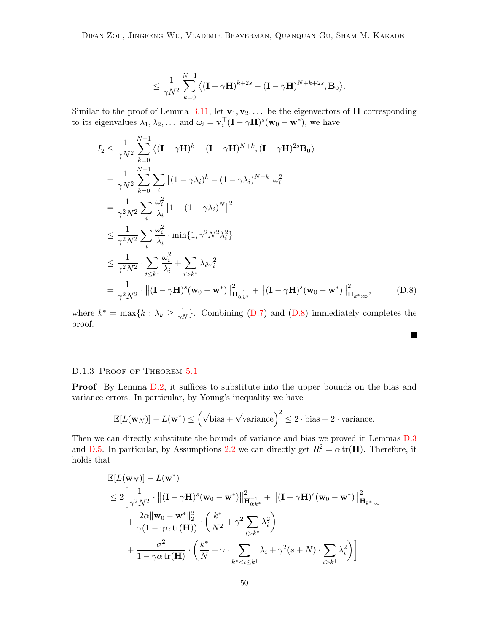$$
\leq \frac{1}{\gamma N^2}\sum_{k=0}^{N-1}\big\langle (\mathbf{I} - \gamma \mathbf{H})^{k+2s} - (\mathbf{I} - \gamma \mathbf{H})^{N+k+2s}, \mathbf{B}_0 \big\rangle.
$$

Similar to the proof of Lemma [B.11,](#page-31-0) let  $\mathbf{v}_1, \mathbf{v}_2, \ldots$  be the eigenvectors of **H** corresponding to its eigenvalues  $\lambda_1, \lambda_2, \ldots$  and  $\omega_i = \mathbf{v}_i^{\top} (\mathbf{I} - \gamma \mathbf{H})^s (\mathbf{w}_0 - \mathbf{w}^*)$ , we have

$$
I_2 \leq \frac{1}{\gamma N^2} \sum_{k=0}^{N-1} \left\langle (\mathbf{I} - \gamma \mathbf{H})^k - (\mathbf{I} - \gamma \mathbf{H})^{N+k}, (\mathbf{I} - \gamma \mathbf{H})^{2s} \mathbf{B}_0 \right\rangle
$$
  
\n
$$
= \frac{1}{\gamma N^2} \sum_{k=0}^{N-1} \sum_{i} \left[ (1 - \gamma \lambda_i)^k - (1 - \gamma \lambda_i)^{N+k} \right] \omega_i^2
$$
  
\n
$$
= \frac{1}{\gamma^2 N^2} \sum_{i} \frac{\omega_i^2}{\lambda_i} \left[ 1 - (1 - \gamma \lambda_i)^N \right]^2
$$
  
\n
$$
\leq \frac{1}{\gamma^2 N^2} \sum_{i} \frac{\omega_i^2}{\lambda_i} \cdot \min\{1, \gamma^2 N^2 \lambda_i^2\}
$$
  
\n
$$
\leq \frac{1}{\gamma^2 N^2} \cdot \sum_{i \le k^*} \frac{\omega_i^2}{\lambda_i} + \sum_{i > k^*} \lambda_i \omega_i^2
$$
  
\n
$$
= \frac{1}{\gamma^2 N^2} \cdot ||(\mathbf{I} - \gamma \mathbf{H})^s (\mathbf{w}_0 - \mathbf{w}^*)||^2_{\mathbf{H}_{0:k^*}} + ||(\mathbf{I} - \gamma \mathbf{H})^s (\mathbf{w}_0 - \mathbf{w}^*)||^2_{\mathbf{H}_{k^*:\infty}},
$$
 (D.8)

where  $k^* = \max\{k : \lambda_k \geq \frac{1}{\gamma N}\}\.$  Combining [\(D.7\)](#page-11-2) and [\(D.8\)](#page-11-3) immediately completes the proof.

 $\blacksquare$ 

#### D.1.3 PROOF OF THEOREM [5.1](#page-14-1)

Proof By Lemma [D.2,](#page-44-0) it suffices to substitute into the upper bounds on the bias and variance errors. In particular, by Young's inequality we have

$$
\mathbb{E}[L(\overline{\mathbf{w}}_N)] - L(\mathbf{w}^*) \le (\sqrt{\text{bias}} + \sqrt{\text{variance}})^2 \le 2 \cdot \text{bias} + 2 \cdot \text{variance}.
$$

Then we can directly substitute the bounds of variance and bias we proved in Lemmas [D.3](#page-44-1) and [D.5.](#page-48-0) In particular, by Assumptions [2.2](#page-4-3) we can directly get  $R^2 = \alpha \text{ tr}(\mathbf{H})$ . Therefore, it holds that

$$
\mathbb{E}[L(\overline{\mathbf{w}}_N)] - L(\mathbf{w}^*)
$$
\n
$$
\leq 2\left[\frac{1}{\gamma^2 N^2} \cdot \left\| (\mathbf{I} - \gamma \mathbf{H})^s (\mathbf{w}_0 - \mathbf{w}^*) \right\|_{\mathbf{H}_{0:k^*}}^2 + \left\| (\mathbf{I} - \gamma \mathbf{H})^s (\mathbf{w}_0 - \mathbf{w}^*) \right\|_{\mathbf{H}_{k^*:\infty}}^2 + \frac{2\alpha \|\mathbf{w}_0 - \mathbf{w}^*\|_2^2}{\gamma(1 - \gamma \alpha \operatorname{tr}(\mathbf{H}))} \cdot \left(\frac{k^*}{N^2} + \gamma^2 \sum_{i > k^*} \lambda_i^2\right) + \frac{\sigma^2}{1 - \gamma \alpha \operatorname{tr}(\mathbf{H})} \cdot \left(\frac{k^*}{N} + \gamma \cdot \sum_{k^* < i \leq k^{\dagger}} \lambda_i + \gamma^2 (s + N) \cdot \sum_{i > k^{\dagger}} \lambda_i^2\right)\right]
$$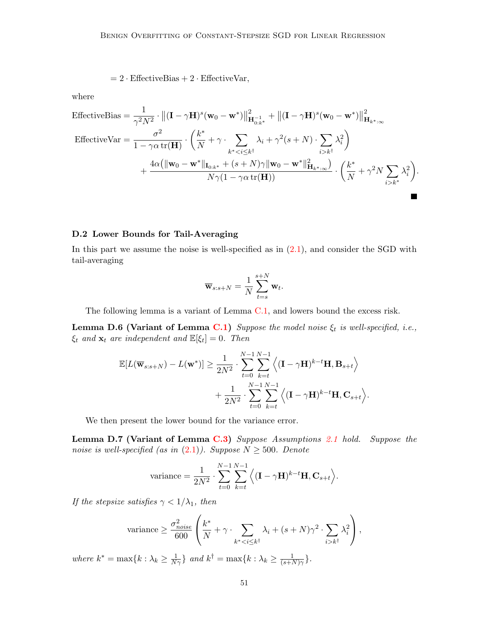$= 2 \cdot$  EffectiveBias  $+ 2 \cdot$  EffectiveVar,

where

$$
\begin{split} \text{EffectiveBias} &= \frac{1}{\gamma^2 N^2} \cdot \left\| (\mathbf{I} - \gamma \mathbf{H})^s (\mathbf{w}_0 - \mathbf{w}^*) \right\|_{\mathbf{H}_{0:k^*}}^2 + \left\| (\mathbf{I} - \gamma \mathbf{H})^s (\mathbf{w}_0 - \mathbf{w}^*) \right\|_{\mathbf{H}_{k^*:\infty}}^2 \\ \text{EffectiveVar} &= \frac{\sigma^2}{1 - \gamma \alpha \operatorname{tr}(\mathbf{H})} \cdot \left( \frac{k^*}{N} + \gamma \cdot \sum_{k^* < i \leq k^{\dagger}} \lambda_i + \gamma^2 (s + N) \cdot \sum_{i > k^{\dagger}} \lambda_i^2 \right) \\ &+ \frac{4\alpha (\|\mathbf{w}_0 - \mathbf{w}^*\|_{\mathbf{I}_{0:k^*}} + (s + N)\gamma \|\mathbf{w}_0 - \mathbf{w}^*\|_{\mathbf{H}_{k^*:\infty}}^2)}{N\gamma (1 - \gamma \alpha \operatorname{tr}(\mathbf{H}))} \cdot \left( \frac{k^*}{N} + \gamma^2 N \sum_{i > k^*} \lambda_i^2 \right). \end{split}
$$

### D.2 Lower Bounds for Tail-Averaging

In this part we assume the noise is well-specified as in  $(2.1)$ , and consider the SGD with tail-averaging

<span id="page-50-0"></span>
$$
\overline{\mathbf{w}}_{s:s+N} = \frac{1}{N} \sum_{t=s}^{s+N} \mathbf{w}_t.
$$

The following lemma is a variant of Lemma [C.1,](#page-36-0) and lowers bound the excess risk.

**Lemma D.6 (Variant of Lemma [C.1\)](#page-36-0)** Suppose the model noise  $\xi_t$  is well-specified, i.e.,  $\xi_t$  and  $\mathbf{x}_t$  are independent and  $\mathbb{E}[\xi_t] = 0$ . Then

$$
\mathbb{E}[L(\overline{\mathbf{w}}_{s:s+N}) - L(\mathbf{w}^*)] \ge \frac{1}{2N^2} \cdot \sum_{t=0}^{N-1} \sum_{k=t}^{N-1} \left\langle (\mathbf{I} - \gamma \mathbf{H})^{k-t} \mathbf{H}, \mathbf{B}_{s+t} \right\rangle + \frac{1}{2N^2} \cdot \sum_{t=0}^{N-1} \sum_{k=t}^{N-1} \left\langle (\mathbf{I} - \gamma \mathbf{H})^{k-t} \mathbf{H}, \mathbf{C}_{s+t} \right\rangle.
$$

We then present the lower bound for the variance error.

<span id="page-50-1"></span>Lemma D.7 (Variant of Lemma [C.3\)](#page-38-1) Suppose Assumptions [2.1](#page-3-0) hold. Suppose the noise is well-specified (as in  $(2.1)$ ). Suppose  $N \geq 500$ . Denote

variance = 
$$
\frac{1}{2N^2} \cdot \sum_{t=0}^{N-1} \sum_{k=t}^{N-1} \left\langle (\mathbf{I} - \gamma \mathbf{H})^{k-t} \mathbf{H}, \mathbf{C}_{s+t} \right\rangle.
$$

If the stepsize satisfies  $\gamma < 1/\lambda_1$ , then

variance 
$$
\geq \frac{\sigma_{noise}^2}{600} \left( \frac{k^*}{N} + \gamma \cdot \sum_{k^* \leq i \leq k^{\dagger}} \lambda_i + (s+N)\gamma^2 \cdot \sum_{i > k^{\dagger}} \lambda_i^2 \right),
$$

where  $k^* = \max\{k : \lambda_k \geq \frac{1}{N\gamma}\}\$  and  $k^{\dagger} = \max\{k : \lambda_k \geq \frac{1}{(s+l)}\}\$  $\frac{1}{(s+N)\gamma}\big\}.$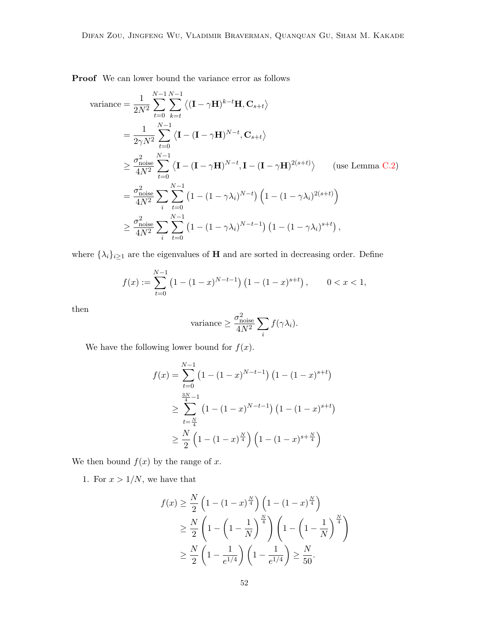Proof We can lower bound the variance error as follows

variance = 
$$
\frac{1}{2N^2} \sum_{t=0}^{N-1} \sum_{k=t}^{N-1} \langle (\mathbf{I} - \gamma \mathbf{H})^{k-t} \mathbf{H}, \mathbf{C}_{s+t} \rangle
$$
  
\n= 
$$
\frac{1}{2\gamma N^2} \sum_{t=0}^{N-1} \langle \mathbf{I} - (\mathbf{I} - \gamma \mathbf{H})^{N-t}, \mathbf{C}_{s+t} \rangle
$$
  
\n
$$
\geq \frac{\sigma_{\text{noise}}^2}{4N^2} \sum_{t=0}^{N-1} \langle \mathbf{I} - (\mathbf{I} - \gamma \mathbf{H})^{N-t}, \mathbf{I} - (\mathbf{I} - \gamma \mathbf{H})^{2(s+t)} \rangle \qquad \text{(use Lemma C.2)}
$$
  
\n= 
$$
\frac{\sigma_{\text{noise}}^2}{4N^2} \sum_{i} \sum_{t=0}^{N-1} (1 - (1 - \gamma \lambda_i)^{N-t}) \left(1 - (1 - \gamma \lambda_i)^{2(s+t)}\right)
$$
  
\n
$$
\geq \frac{\sigma_{\text{noise}}^2}{4N^2} \sum_{i} \sum_{t=0}^{N-1} (1 - (1 - \gamma \lambda_i)^{N-t-1}) \left(1 - (1 - \gamma \lambda_i)^{s+t}\right),
$$

where  $\{\lambda_i\}_{i\geq 1}$  are the eigenvalues of  ${\bf H}$  and are sorted in decreasing order. Define

$$
f(x) := \sum_{t=0}^{N-1} \left(1 - (1-x)^{N-t-1}\right) \left(1 - (1-x)^{s+t}\right), \qquad 0 < x < 1,
$$

then

variance 
$$
\geq \frac{\sigma_{\text{noise}}^2}{4N^2} \sum_i f(\gamma \lambda_i).
$$

We have the following lower bound for  $f(x)$ .

$$
f(x) = \sum_{t=0}^{N-1} (1 - (1 - x)^{N-t-1}) (1 - (1 - x)^{s+t})
$$
  
\n
$$
\geq \sum_{t=\frac{N}{4}}^{\frac{3N}{4}-1} (1 - (1 - x)^{N-t-1}) (1 - (1 - x)^{s+t})
$$
  
\n
$$
\geq \frac{N}{2} (1 - (1 - x)^{\frac{N}{4}}) (1 - (1 - x)^{s+\frac{N}{4}})
$$

We then bound  $f(x)$  by the range of x.

1. For  $x > 1/N$ , we have that

$$
f(x) \ge \frac{N}{2} \left( 1 - (1 - x)^{\frac{N}{4}} \right) \left( 1 - (1 - x)^{\frac{N}{4}} \right)
$$
  
 
$$
\ge \frac{N}{2} \left( 1 - \left( 1 - \frac{1}{N} \right)^{\frac{N}{4}} \right) \left( 1 - \left( 1 - \frac{1}{N} \right)^{\frac{N}{4}} \right)
$$
  
 
$$
\ge \frac{N}{2} \left( 1 - \frac{1}{e^{1/4}} \right) \left( 1 - \frac{1}{e^{1/4}} \right) \ge \frac{N}{50}.
$$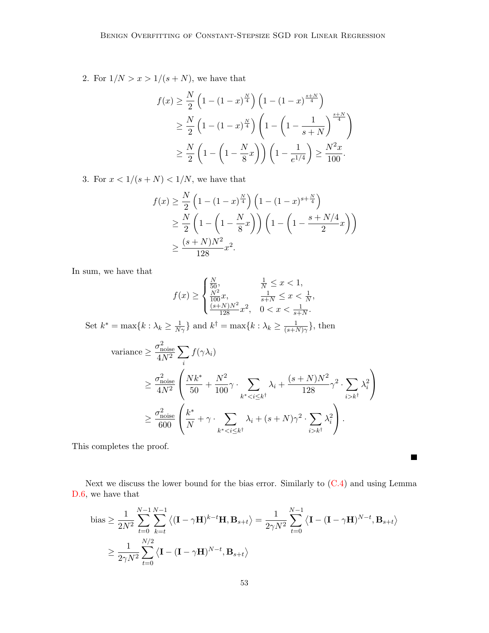2. For  $1/N > x > 1/(s+N)$ , we have that

$$
f(x) \ge \frac{N}{2} \left( 1 - (1 - x)^{\frac{N}{4}} \right) \left( 1 - (1 - x)^{\frac{s+N}{4}} \right)
$$
  
 
$$
\ge \frac{N}{2} \left( 1 - (1 - x)^{\frac{N}{4}} \right) \left( 1 - \left( 1 - \frac{1}{s+N} \right)^{\frac{s+N}{4}} \right)
$$
  
 
$$
\ge \frac{N}{2} \left( 1 - \left( 1 - \frac{N}{8} x \right) \right) \left( 1 - \frac{1}{e^{1/4}} \right) \ge \frac{N^2 x}{100}.
$$

3. For  $x < 1/(s + N) < 1/N$ , we have that

$$
f(x) \ge \frac{N}{2} \left( 1 - (1 - x)^{\frac{N}{4}} \right) \left( 1 - (1 - x)^{s + \frac{N}{4}} \right)
$$
  
 
$$
\ge \frac{N}{2} \left( 1 - \left( 1 - \frac{N}{8} x \right) \right) \left( 1 - \left( 1 - \frac{s + N/4}{2} x \right) \right)
$$
  
 
$$
\ge \frac{(s + N)N^2}{128} x^2.
$$

In sum, we have that

$$
f(x) \ge \begin{cases} \frac{N}{50}, & \frac{1}{N} \le x < 1, \\ \frac{N^2}{100}x, & \frac{1}{s+N} \le x < \frac{1}{N}, \\ \frac{(s+N)N^2}{128}x^2, & 0 < x < \frac{1}{s+N}. \end{cases}
$$

Set  $k^* = \max\{k : \lambda_k \ge \frac{1}{N\gamma}\}\$  and  $k^{\dagger} = \max\{k : \lambda_k \ge \frac{1}{(s+l)}\}\$  $\frac{1}{(s+N)\gamma}$ , then

variance 
$$
\geq \frac{\sigma_{\text{noise}}^2}{4N^2} \sum_i f(\gamma \lambda_i)
$$
  
\n $\geq \frac{\sigma_{\text{noise}}^2}{4N^2} \left( \frac{Nk^*}{50} + \frac{N^2}{100} \gamma \cdot \sum_{k^* < i \leq k^{\dagger}} \lambda_i + \frac{(s+N)N^2}{128} \gamma^2 \cdot \sum_{i > k^{\dagger}} \lambda_i^2 \right)$   
\n $\geq \frac{\sigma_{\text{noise}}^2}{600} \left( \frac{k^*}{N} + \gamma \cdot \sum_{k^* < i \leq k^{\dagger}} \lambda_i + (s+N) \gamma^2 \cdot \sum_{i > k^{\dagger}} \lambda_i^2 \right).$ 

This completes the proof.

Next we discuss the lower bound for the bias error. Similarly to [\(C.4\)](#page-40-0) and using Lemma [D.6,](#page-50-0) we have that

 $\blacksquare$ 

bias 
$$
\geq \frac{1}{2N^2} \sum_{t=0}^{N-1} \sum_{k=t}^{N-1} \langle (\mathbf{I} - \gamma \mathbf{H})^{k-t} \mathbf{H}, \mathbf{B}_{s+t} \rangle = \frac{1}{2\gamma N^2} \sum_{t=0}^{N-1} \langle \mathbf{I} - (\mathbf{I} - \gamma \mathbf{H})^{N-t}, \mathbf{B}_{s+t} \rangle
$$
  
 $\geq \frac{1}{2\gamma N^2} \sum_{t=0}^{N/2} \langle \mathbf{I} - (\mathbf{I} - \gamma \mathbf{H})^{N-t}, \mathbf{B}_{s+t} \rangle$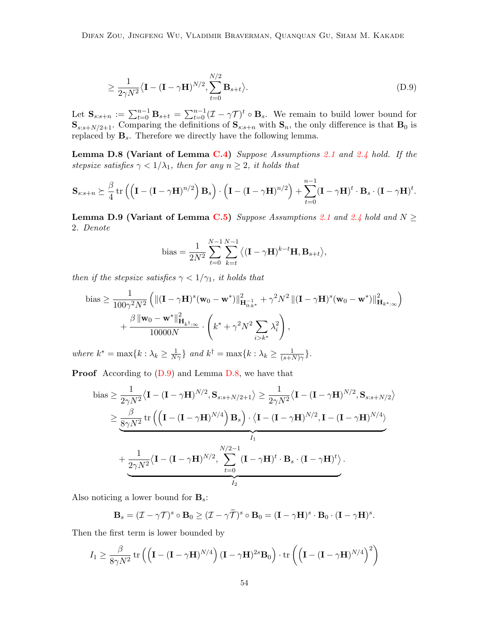$$
\geq \frac{1}{2\gamma N^2} \langle \mathbf{I} - (\mathbf{I} - \gamma \mathbf{H})^{N/2}, \sum_{t=0}^{N/2} \mathbf{B}_{s+t} \rangle.
$$
 (D.9)

Let  $\mathbf{S}_{s:s+n} := \sum_{t=0}^{n-1} \mathbf{B}_{s+t} = \sum_{t=0}^{n-1} (\mathcal{I} - \gamma \mathcal{T})^t \circ \mathbf{B}_s$ . We remain to build lower bound for  $\mathbf{S}_{s:s+N/2+1}$ . Comparing the definitions of  $\mathbf{S}_{s:s+n}$  with  $\mathbf{S}_n$ , the only difference is that  $\mathbf{B}_0$  is replaced by  $\mathbf{B}_s$ . Therefore we directly have the following lemma.

<span id="page-53-0"></span>**Lemma D.8 (Variant of Lemma [C.4\)](#page-41-0)** Suppose Assumptions [2.1](#page-3-0) and [2.4](#page-6-0) hold. If the stepsize satisfies  $\gamma < 1/\lambda_1$ , then for any  $n \geq 2$ , it holds that

$$
\mathbf{S}_{s:s+n} \succeq \frac{\beta}{4} \operatorname{tr} \left( \left( \mathbf{I} - (\mathbf{I} - \gamma \mathbf{H})^{n/2} \right) \mathbf{B}_s \right) \cdot \left( \mathbf{I} - (\mathbf{I} - \gamma \mathbf{H})^{n/2} \right) + \sum_{t=0}^{n-1} (\mathbf{I} - \gamma \mathbf{H})^t \cdot \mathbf{B}_s \cdot (\mathbf{I} - \gamma \mathbf{H})^t.
$$

<span id="page-53-1"></span>**Lemma D.9 (Variant of Lemma [C.5\)](#page-42-0)** Suppose Assumptions [2.1](#page-3-0) and [2.4](#page-6-0) hold and  $N \geq$ 2. Denote

bias = 
$$
\frac{1}{2N^2} \sum_{t=0}^{N-1} \sum_{k=t}^{N-1} \langle (\mathbf{I} - \gamma \mathbf{H})^{k-t} \mathbf{H}, \mathbf{B}_{s+t} \rangle,
$$

then if the stepsize satisfies  $\gamma < 1/\gamma_1$ , it holds that

bias 
$$
\geq \frac{1}{100\gamma^2 N^2} \left( \| (\mathbf{I} - \gamma \mathbf{H})^s (\mathbf{w}_0 - \mathbf{w}^*) \|_{\mathbf{H}_{0:k^*}}^2 + \gamma^2 N^2 \| (\mathbf{I} - \gamma \mathbf{H})^s (\mathbf{w}_0 - \mathbf{w}^*) \|_{\mathbf{H}_{k^*:\infty}}^2 \right) + \frac{\beta \| \mathbf{w}_0 - \mathbf{w}^* \|_{\mathbf{H}_{k^*:\infty}}^2}{10000N} \cdot \left( k^* + \gamma^2 N^2 \sum_{i > k^*} \lambda_i^2 \right),
$$

where  $k^* = \max\{k : \lambda_k \geq \frac{1}{N\gamma}\}\$  and  $k^{\dagger} = \max\{k : \lambda_k \geq \frac{1}{(s+l)}\}\$  $\frac{1}{(s+N)\gamma}\big\}.$ 

**Proof** According to  $(D.9)$  and Lemma [D.8,](#page-53-0) we have that

bias 
$$
\geq \frac{1}{2\gamma N^2} \langle \mathbf{I} - (\mathbf{I} - \gamma \mathbf{H})^{N/2}, \mathbf{S}_{s:s+N/2+1} \rangle \geq \frac{1}{2\gamma N^2} \langle \mathbf{I} - (\mathbf{I} - \gamma \mathbf{H})^{N/2}, \mathbf{S}_{s:s+N/2} \rangle
$$
  
 $\geq \frac{\beta}{8\gamma N^2} tr \left( \left( \mathbf{I} - (\mathbf{I} - \gamma \mathbf{H})^{N/4} \right) \mathbf{B}_s \right) \cdot \langle \mathbf{I} - (\mathbf{I} - \gamma \mathbf{H})^{N/2}, \mathbf{I} - (\mathbf{I} - \gamma \mathbf{H})^{N/4} \rangle$   
 $+ \frac{1}{2\gamma N^2} \langle \mathbf{I} - (\mathbf{I} - \gamma \mathbf{H})^{N/2}, \sum_{t=0}^{N/2-1} (\mathbf{I} - \gamma \mathbf{H})^t \cdot \mathbf{B}_s \cdot (\mathbf{I} - \gamma \mathbf{H})^t \rangle.$ 

Also noticing a lower bound for  $\mathbf{B}_s$ :

$$
\mathbf{B}_s = (\mathcal{I} - \gamma \mathcal{T})^s \circ \mathbf{B}_0 \geq (\mathcal{I} - \gamma \widetilde{\mathcal{T}})^s \circ \mathbf{B}_0 = (\mathbf{I} - \gamma \mathbf{H})^s \cdot \mathbf{B}_0 \cdot (\mathbf{I} - \gamma \mathbf{H})^s.
$$

Then the first term is lower bounded by

$$
I_1 \ge \frac{\beta}{8\gamma N^2} \operatorname{tr} \left( \left( \mathbf{I} - (\mathbf{I} - \gamma \mathbf{H})^{N/4} \right) (\mathbf{I} - \gamma \mathbf{H})^{2s} \mathbf{B}_0 \right) \cdot \operatorname{tr} \left( \left( \mathbf{I} - (\mathbf{I} - \gamma \mathbf{H})^{N/4} \right)^2 \right)
$$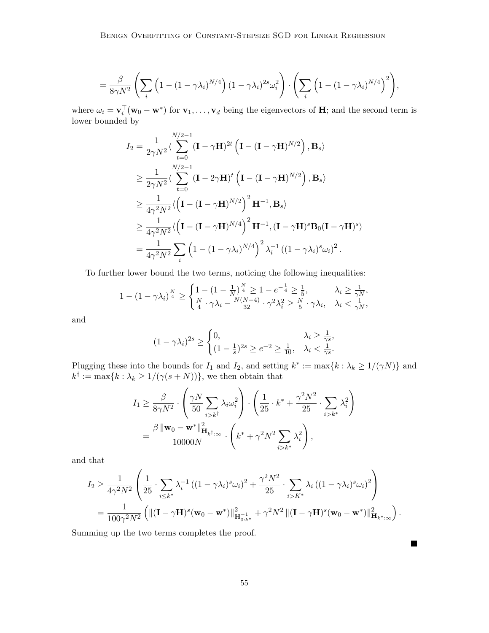$$
= \frac{\beta}{8\gamma N^2} \left( \sum_i \left( 1 - (1 - \gamma \lambda_i)^{N/4} \right) (1 - \gamma \lambda_i)^{2s} \omega_i^2 \right) \cdot \left( \sum_i \left( 1 - (1 - \gamma \lambda_i)^{N/4} \right)^2 \right),
$$

where  $\omega_i = \mathbf{v}_i^{\top}(\mathbf{w}_0 - \mathbf{w}^*)$  for  $\mathbf{v}_1, \dots, \mathbf{v}_d$  being the eigenvectors of **H**; and the second term is lower bounded by

$$
I_2 = \frac{1}{2\gamma N^2} \langle \sum_{t=0}^{N/2-1} (\mathbf{I} - \gamma \mathbf{H})^{2t} \left( \mathbf{I} - (\mathbf{I} - \gamma \mathbf{H})^{N/2} \right), \mathbf{B}_s \rangle
$$
  
\n
$$
\geq \frac{1}{2\gamma N^2} \langle \sum_{t=0}^{N/2-1} (\mathbf{I} - 2\gamma \mathbf{H})^t \left( \mathbf{I} - (\mathbf{I} - \gamma \mathbf{H})^{N/2} \right), \mathbf{B}_s \rangle
$$
  
\n
$$
\geq \frac{1}{4\gamma^2 N^2} \langle \left( \mathbf{I} - (\mathbf{I} - \gamma \mathbf{H})^{N/2} \right)^2 \mathbf{H}^{-1}, \mathbf{B}_s \rangle
$$
  
\n
$$
\geq \frac{1}{4\gamma^2 N^2} \langle \left( \mathbf{I} - (\mathbf{I} - \gamma \mathbf{H})^{N/4} \right)^2 \mathbf{H}^{-1}, (\mathbf{I} - \gamma \mathbf{H})^s \mathbf{B}_0 (\mathbf{I} - \gamma \mathbf{H})^s \rangle
$$
  
\n
$$
= \frac{1}{4\gamma^2 N^2} \sum_{i} \left( 1 - (1 - \gamma \lambda_i)^{N/4} \right)^2 \lambda_i^{-1} ((1 - \gamma \lambda_i)^s \omega_i)^2.
$$

To further lower bound the two terms, noticing the following inequalities:

$$
1 - (1 - \gamma \lambda_i)^{\frac{N}{4}} \ge \begin{cases} 1 - (1 - \frac{1}{N})^{\frac{N}{4}} \ge 1 - e^{-\frac{1}{4}} \ge \frac{1}{5}, & \lambda_i \ge \frac{1}{\gamma N}, \\ \frac{N}{4} \cdot \gamma \lambda_i - \frac{N(N-4)}{32} \cdot \gamma^2 \lambda_i^2 \ge \frac{N}{5} \cdot \gamma \lambda_i, & \lambda_i < \frac{1}{\gamma N}, \end{cases}
$$

and

$$
(1 - \gamma \lambda_i)^{2s} \ge \begin{cases} 0, & \lambda_i \ge \frac{1}{\gamma s}, \\ (1 - \frac{1}{s})^{2s} \ge e^{-2} \ge \frac{1}{10}, & \lambda_i < \frac{1}{\gamma s}. \end{cases}
$$

Plugging these into the bounds for  $I_1$  and  $I_2$ , and setting  $k^* := \max\{k : \lambda_k \ge 1/(\gamma N)\}\)$  and  $k^{\dagger} := \max\{k : \lambda_k \geq 1/(\gamma(s+N))\},\$  we then obtain that

$$
I_1 \ge \frac{\beta}{8\gamma N^2} \cdot \left(\frac{\gamma N}{50} \sum_{i>k^{\dagger}} \lambda_i \omega_i^2\right) \cdot \left(\frac{1}{25} \cdot k^* + \frac{\gamma^2 N^2}{25} \cdot \sum_{i>k^*} \lambda_i^2\right)
$$

$$
= \frac{\beta \left\|\mathbf{w}_0 - \mathbf{w}^*\right\|_{\mathbf{H}_k}^2}{10000N} \cdot \left(k^* + \gamma^2 N^2 \sum_{i>k^*} \lambda_i^2\right),
$$

and that

$$
I_2 \geq \frac{1}{4\gamma^2 N^2} \left( \frac{1}{25} \cdot \sum_{i \leq k^*} \lambda_i^{-1} \left( (1 - \gamma \lambda_i)^s \omega_i \right)^2 + \frac{\gamma^2 N^2}{25} \cdot \sum_{i > K^*} \lambda_i \left( (1 - \gamma \lambda_i)^s \omega_i \right)^2 \right) = \frac{1}{100\gamma^2 N^2} \left( \| (\mathbf{I} - \gamma \mathbf{H})^s (\mathbf{w}_0 - \mathbf{w}^*) \|_{\mathbf{H}_{0:k^*}}^2 + \gamma^2 N^2 \| (\mathbf{I} - \gamma \mathbf{H})^s (\mathbf{w}_0 - \mathbf{w}^*) \|_{\mathbf{H}_{k^*;\infty}}^2 \right).
$$

Summing up the two terms completes the proof.

 $\blacksquare$